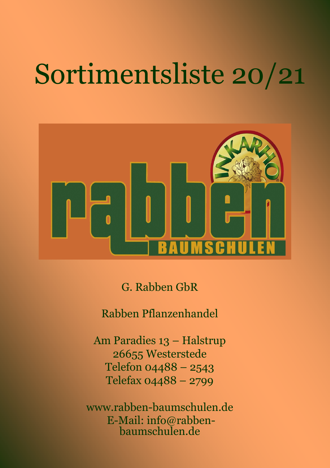## Sortimentsliste 20/21



G. Rabben GbR

Rabben Pflanzenhandel

Am Paradies 13 – Halstrup 26655 Westerstede Telefon 04488 – 2543 Telefax 04488 – 2799

www.rabben-baumschulen.de E-Mail: info@rabbenbaumschulen.de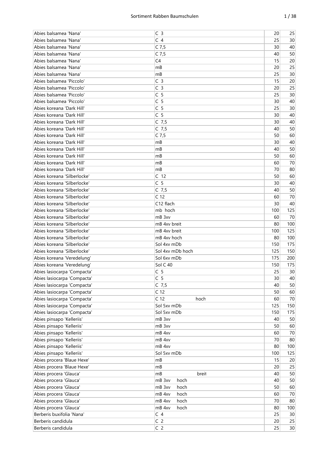| Abies balsamea 'Nana'       | C <sub>3</sub>          | 20  | 25  |
|-----------------------------|-------------------------|-----|-----|
| Abies balsamea 'Nana'       | C <sub>4</sub>          | 25  | 30  |
| Abies balsamea 'Nana'       | $C$ 7,5                 | 30  | 40  |
| Abies balsamea 'Nana'       | $C$ 7,5                 | 40  | 50  |
| Abies balsamea 'Nana'       | C <sub>4</sub>          | 15  | 20  |
| Abies balsamea 'Nana'       | mB                      | 20  | 25  |
| Abies balsamea 'Nana'       | mB                      | 25  | 30  |
| Abies balsamea 'Piccolo'    | C <sub>3</sub>          | 15  | 20  |
| Abies balsamea 'Piccolo'    | C <sub>3</sub>          | 20  | 25  |
| Abies balsamea 'Piccolo'    | C <sub>5</sub>          | 25  | 30  |
| Abies balsamea 'Piccolo'    | C <sub>5</sub>          | 30  | 40  |
|                             |                         |     |     |
| Abies koreana 'Dark Hill'   | C <sub>5</sub>          | 25  | 30  |
| Abies koreana 'Dark Hill'   | C <sub>5</sub>          | 30  | 40  |
| Abies koreana 'Dark Hill'   | $C$ 7,5                 | 30  | 40  |
| Abies koreana 'Dark Hill'   | C $7,5$                 | 40  | 50  |
| Abies koreana 'Dark Hill'   | $C$ 7,5                 | 50  | 60  |
| Abies koreana 'Dark Hill'   | mB                      | 30  | 40  |
| Abies koreana 'Dark Hill'   | mB                      | 40  | 50  |
| Abies koreana 'Dark Hill'   | mB                      | 50  | 60  |
| Abies koreana 'Dark Hill'   | mB                      | 60  | 70  |
| Abies koreana 'Dark Hill'   | mB                      | 70  | 80  |
| Abies koreana 'Silberlocke' | C <sub>12</sub>         | 50  | 60  |
| Abies koreana 'Silberlocke' | C <sub>5</sub>          | 30  | 40  |
| Abies koreana 'Silberlocke' | $C$ 7,5                 | 40  | 50  |
| Abies koreana 'Silberlocke' | C <sub>12</sub>         | 60  | 70  |
| Abies koreana 'Silberlocke' | C12 flach               | 30  | 40  |
| Abies koreana 'Silberlocke' | mb hoch                 | 100 | 125 |
| Abies koreana 'Silberlocke' | mB 3xv                  | 60  | 70  |
| Abies koreana 'Silberlocke' | mB 4xv breit            | 80  | 100 |
| Abies koreana 'Silberlocke' | mB 4xv breit            | 100 | 125 |
| Abies koreana 'Silberlocke' | mB 4xv hoch             | 80  | 100 |
| Abies koreana 'Silberlocke' | Sol 4xv mDb             | 150 | 175 |
| Abies koreana 'Silberlocke' | Sol 4xv mDb hoch        | 125 | 150 |
|                             | Sol 6xv mDb             |     | 200 |
| Abies koreana 'Veredelung'  |                         | 175 |     |
| Abies koreana 'Veredelung'  | Sol C 40                | 150 | 175 |
| Abies lasiocarpa 'Compacta' | C <sub>5</sub>          | 25  | 30  |
| Abies lasiocarpa 'Compacta' | C <sub>5</sub>          | 30  | 40  |
| Abies lasiocarpa 'Compacta' | $C$ 7,5                 | 40  | 50  |
| Abies lasiocarpa 'Compacta' | C <sub>12</sub>         | 50  | 60  |
| Abies lasiocarpa 'Compacta' | C <sub>12</sub><br>hoch | 60  | 70  |
| Abies lasiocarpa 'Compacta' | Sol 5xv mDb             | 125 | 150 |
| Abies lasiocarpa 'Compacta' | Sol 5xv mDb             | 150 | 175 |
| Abies pinsapo 'Kelleriis'   | mB 3xv                  | 40  | 50  |
| Abies pinsapo 'Kelleriis'   | mB 3xv                  | 50  | 60  |
| Abies pinsapo 'Kelleriis'   | mB 4xv                  | 60  | 70  |
| Abies pinsapo 'Kelleriis'   | mB 4xv                  | 70  | 80  |
| Abies pinsapo 'Kelleriis'   | mB 4xv                  | 80  | 100 |
| Abies pinsapo 'Kelleriis'   | Sol 5xv mDb             | 100 | 125 |
| Abies procera 'Blaue Hexe'  | mB                      | 15  | 20  |
| Abies procera 'Blaue Hexe'  | mB                      | 20  | 25  |
| Abies procera 'Glauca'      | mB<br>breit             | 40  | 50  |
| Abies procera 'Glauca'      | mB 3xv<br>hoch          | 40  | 50  |
| Abies procera 'Glauca'      | mB 3xv<br>hoch          | 50  | 60  |
| Abies procera 'Glauca'      | mB 4xv<br>hoch          | 60  | 70  |
| Abies procera 'Glauca'      | mB 4xv<br>hoch          | 70  | 80  |
| Abies procera 'Glauca'      | mB 4xv<br>hoch          | 80  | 100 |
| Berberis buxifolia 'Nana'   | C <sub>4</sub>          | 25  | 30  |
| Berberis candidula          | C <sub>2</sub>          |     |     |
|                             |                         | 20  | 25  |
| Berberis candidula          | C <sub>2</sub>          | 25  | 30  |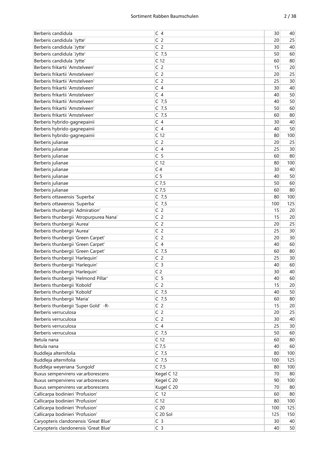| C <sub>2</sub><br>20<br>25<br>Berberis candidula 'Jytte'<br>C <sub>2</sub><br>30<br>Berberis candidula 'Jytte'<br>40<br>Berberis candidula 'Jytte'<br>60<br>$C$ 7,5<br>50<br>Berberis candidula 'Jytte'<br>C <sub>12</sub><br>60<br>80<br>C <sub>2</sub><br>Berberis frikartii 'Amstelveen'<br>20<br>15<br>C <sub>2</sub><br>Berberis frikartii 'Amstelveen'<br>20<br>25<br>C <sub>2</sub><br>Berberis frikartii 'Amstelveen'<br>25<br>30<br>C <sub>4</sub><br>Berberis frikartii 'Amstelveen'<br>30<br>40<br>Berberis frikartii 'Amstelveen'<br>C <sub>4</sub><br>50<br>40<br>Berberis frikartii 'Amstelveen'<br>$C$ 7,5<br>50<br>40<br>Berberis frikartii 'Amstelveen'<br>$C$ 7,5<br>50<br>60<br>Berberis frikartii 'Amstelveen'<br>$C$ 7,5<br>80<br>60<br>C <sub>4</sub><br>40<br>Berberis hybrido-gagnepainii<br>30<br>C <sub>4</sub><br>50<br>Berberis hybrido-gagnepainii<br>40<br>Berberis hybrido-gagnepainii<br>C <sub>12</sub><br>80<br>100<br>C <sub>2</sub><br>25<br>Berberis julianae<br>20<br>Berberis julianae<br>C <sub>4</sub><br>30<br>25<br>C <sub>5</sub><br>Berberis julianae<br>80<br>60<br>C <sub>12</sub><br>100<br>Berberis julianae<br>80<br>C <sub>4</sub><br>30<br>Berberis julianae<br>40<br>C <sub>5</sub><br>50<br>Berberis julianae<br>40<br>$C$ 7,5<br>Berberis julianae<br>50<br>60<br>$C$ 7,5<br>Berberis julianae<br>60<br>80<br>Berberis ottawensis 'Superba'<br>$C$ 7,5<br>100<br>80<br>$C$ 7,5<br>100<br>125<br>Berberis ottawensis 'Superba'<br>C <sub>2</sub><br>Berberis thunbergii 'Admiration'<br>15<br>20<br>C <sub>2</sub><br>Berberis thunbergii 'Atropurpurea Nana'<br>15<br>20<br>C <sub>2</sub><br>Berberis thunbergii 'Aurea'<br>25<br>20<br>Berberis thunbergii 'Aurea'<br>C <sub>2</sub><br>30<br>25<br>C <sub>2</sub><br>Berberis thunbergii 'Green Carpet'<br>30<br>20<br>Berberis thunbergii 'Green Carpet'<br>C <sub>4</sub><br>40<br>60<br>Berberis thunbergii 'Green Carpet'<br>$C$ 7,5<br>60<br>80<br>C <sub>2</sub><br>Berberis thunbergii 'Harlequin'<br>25<br>30<br>C <sub>3</sub><br>Berberis thunbergii 'Harlequin'<br>40<br>60<br>C <sub>2</sub><br>Berberis thunbergii 'Harlequin'<br>30<br>40<br>C <sub>5</sub><br>40<br>60<br>Berberis thunbergii 'Helmond Pillar'<br>C <sub>2</sub><br>Berberis thunbergii 'Kobold'<br>15<br>20<br>Berberis thunbergii 'Kobold'<br>$C$ 7,5<br>50<br>40<br>Berberis thunbergii 'Maria'<br>$C$ 7,5<br>60<br>80<br>C <sub>2</sub><br>Berberis thunbergii 'Super Gold' -R-<br>20<br>15<br>Berberis verruculosa<br>C <sub>2</sub><br>25<br>20<br>Berberis verruculosa<br>C <sub>2</sub><br>40<br>30<br>C <sub>4</sub><br>25<br>$30\,$<br>Berberis verruculosa<br>$C$ 7,5<br>60<br>Berberis verruculosa<br>50<br>C <sub>12</sub><br>60<br>80<br>Betula nana<br>$C$ 7,5<br>Betula nana<br>40<br>60<br>Buddleja alternifolia<br>$C$ 7,5<br>80<br>100<br>Buddleja alternifolia<br>$C$ 7,5<br>125<br>100<br>Buddleja weyeriana 'Sungold'<br>$C$ 7,5<br>80<br>100<br>Buxus sempervirens var.arborescens<br>Kegel C 12<br>70<br>80<br>Buxus sempervirens var.arborescens<br>Kegel C 20<br>90<br>100<br>Kugel C 20<br>Buxus sempervirens var.arborescens<br>70<br>80<br>Callicarpa bodinieri 'Profusion'<br>C <sub>12</sub><br>60<br>80<br>Callicarpa bodinieri 'Profusion'<br>C <sub>12</sub><br>100<br>80<br>Callicarpa bodinieri 'Profusion'<br>C <sub>20</sub><br>125<br>100<br>C 20 Sol<br>Callicarpa bodinieri 'Profusion'<br>125<br>150<br>Caryopteris clandonensis 'Great Blue'<br>C <sub>3</sub><br>30<br>40<br>Caryopteris clandonensis 'Great Blue'<br>C <sub>3</sub><br>40<br>50 | Berberis candidula | C <sub>4</sub> | 30 | 40 |
|---------------------------------------------------------------------------------------------------------------------------------------------------------------------------------------------------------------------------------------------------------------------------------------------------------------------------------------------------------------------------------------------------------------------------------------------------------------------------------------------------------------------------------------------------------------------------------------------------------------------------------------------------------------------------------------------------------------------------------------------------------------------------------------------------------------------------------------------------------------------------------------------------------------------------------------------------------------------------------------------------------------------------------------------------------------------------------------------------------------------------------------------------------------------------------------------------------------------------------------------------------------------------------------------------------------------------------------------------------------------------------------------------------------------------------------------------------------------------------------------------------------------------------------------------------------------------------------------------------------------------------------------------------------------------------------------------------------------------------------------------------------------------------------------------------------------------------------------------------------------------------------------------------------------------------------------------------------------------------------------------------------------------------------------------------------------------------------------------------------------------------------------------------------------------------------------------------------------------------------------------------------------------------------------------------------------------------------------------------------------------------------------------------------------------------------------------------------------------------------------------------------------------------------------------------------------------------------------------------------------------------------------------------------------------------------------------------------------------------------------------------------------------------------------------------------------------------------------------------------------------------------------------------------------------------------------------------------------------------------------------------------------------------------------------------------------------------------------------------------------------------------------------------------------------------------------------------------------------------------------------------------------------------------------------------------------------------------------------------------------------------------------------------------------------------------------------------------------------------------------------------------------------------------------------------------------------------------|--------------------|----------------|----|----|
|                                                                                                                                                                                                                                                                                                                                                                                                                                                                                                                                                                                                                                                                                                                                                                                                                                                                                                                                                                                                                                                                                                                                                                                                                                                                                                                                                                                                                                                                                                                                                                                                                                                                                                                                                                                                                                                                                                                                                                                                                                                                                                                                                                                                                                                                                                                                                                                                                                                                                                                                                                                                                                                                                                                                                                                                                                                                                                                                                                                                                                                                                                                                                                                                                                                                                                                                                                                                                                                                                                                                                                                       |                    |                |    |    |
|                                                                                                                                                                                                                                                                                                                                                                                                                                                                                                                                                                                                                                                                                                                                                                                                                                                                                                                                                                                                                                                                                                                                                                                                                                                                                                                                                                                                                                                                                                                                                                                                                                                                                                                                                                                                                                                                                                                                                                                                                                                                                                                                                                                                                                                                                                                                                                                                                                                                                                                                                                                                                                                                                                                                                                                                                                                                                                                                                                                                                                                                                                                                                                                                                                                                                                                                                                                                                                                                                                                                                                                       |                    |                |    |    |
|                                                                                                                                                                                                                                                                                                                                                                                                                                                                                                                                                                                                                                                                                                                                                                                                                                                                                                                                                                                                                                                                                                                                                                                                                                                                                                                                                                                                                                                                                                                                                                                                                                                                                                                                                                                                                                                                                                                                                                                                                                                                                                                                                                                                                                                                                                                                                                                                                                                                                                                                                                                                                                                                                                                                                                                                                                                                                                                                                                                                                                                                                                                                                                                                                                                                                                                                                                                                                                                                                                                                                                                       |                    |                |    |    |
|                                                                                                                                                                                                                                                                                                                                                                                                                                                                                                                                                                                                                                                                                                                                                                                                                                                                                                                                                                                                                                                                                                                                                                                                                                                                                                                                                                                                                                                                                                                                                                                                                                                                                                                                                                                                                                                                                                                                                                                                                                                                                                                                                                                                                                                                                                                                                                                                                                                                                                                                                                                                                                                                                                                                                                                                                                                                                                                                                                                                                                                                                                                                                                                                                                                                                                                                                                                                                                                                                                                                                                                       |                    |                |    |    |
|                                                                                                                                                                                                                                                                                                                                                                                                                                                                                                                                                                                                                                                                                                                                                                                                                                                                                                                                                                                                                                                                                                                                                                                                                                                                                                                                                                                                                                                                                                                                                                                                                                                                                                                                                                                                                                                                                                                                                                                                                                                                                                                                                                                                                                                                                                                                                                                                                                                                                                                                                                                                                                                                                                                                                                                                                                                                                                                                                                                                                                                                                                                                                                                                                                                                                                                                                                                                                                                                                                                                                                                       |                    |                |    |    |
|                                                                                                                                                                                                                                                                                                                                                                                                                                                                                                                                                                                                                                                                                                                                                                                                                                                                                                                                                                                                                                                                                                                                                                                                                                                                                                                                                                                                                                                                                                                                                                                                                                                                                                                                                                                                                                                                                                                                                                                                                                                                                                                                                                                                                                                                                                                                                                                                                                                                                                                                                                                                                                                                                                                                                                                                                                                                                                                                                                                                                                                                                                                                                                                                                                                                                                                                                                                                                                                                                                                                                                                       |                    |                |    |    |
|                                                                                                                                                                                                                                                                                                                                                                                                                                                                                                                                                                                                                                                                                                                                                                                                                                                                                                                                                                                                                                                                                                                                                                                                                                                                                                                                                                                                                                                                                                                                                                                                                                                                                                                                                                                                                                                                                                                                                                                                                                                                                                                                                                                                                                                                                                                                                                                                                                                                                                                                                                                                                                                                                                                                                                                                                                                                                                                                                                                                                                                                                                                                                                                                                                                                                                                                                                                                                                                                                                                                                                                       |                    |                |    |    |
|                                                                                                                                                                                                                                                                                                                                                                                                                                                                                                                                                                                                                                                                                                                                                                                                                                                                                                                                                                                                                                                                                                                                                                                                                                                                                                                                                                                                                                                                                                                                                                                                                                                                                                                                                                                                                                                                                                                                                                                                                                                                                                                                                                                                                                                                                                                                                                                                                                                                                                                                                                                                                                                                                                                                                                                                                                                                                                                                                                                                                                                                                                                                                                                                                                                                                                                                                                                                                                                                                                                                                                                       |                    |                |    |    |
|                                                                                                                                                                                                                                                                                                                                                                                                                                                                                                                                                                                                                                                                                                                                                                                                                                                                                                                                                                                                                                                                                                                                                                                                                                                                                                                                                                                                                                                                                                                                                                                                                                                                                                                                                                                                                                                                                                                                                                                                                                                                                                                                                                                                                                                                                                                                                                                                                                                                                                                                                                                                                                                                                                                                                                                                                                                                                                                                                                                                                                                                                                                                                                                                                                                                                                                                                                                                                                                                                                                                                                                       |                    |                |    |    |
|                                                                                                                                                                                                                                                                                                                                                                                                                                                                                                                                                                                                                                                                                                                                                                                                                                                                                                                                                                                                                                                                                                                                                                                                                                                                                                                                                                                                                                                                                                                                                                                                                                                                                                                                                                                                                                                                                                                                                                                                                                                                                                                                                                                                                                                                                                                                                                                                                                                                                                                                                                                                                                                                                                                                                                                                                                                                                                                                                                                                                                                                                                                                                                                                                                                                                                                                                                                                                                                                                                                                                                                       |                    |                |    |    |
|                                                                                                                                                                                                                                                                                                                                                                                                                                                                                                                                                                                                                                                                                                                                                                                                                                                                                                                                                                                                                                                                                                                                                                                                                                                                                                                                                                                                                                                                                                                                                                                                                                                                                                                                                                                                                                                                                                                                                                                                                                                                                                                                                                                                                                                                                                                                                                                                                                                                                                                                                                                                                                                                                                                                                                                                                                                                                                                                                                                                                                                                                                                                                                                                                                                                                                                                                                                                                                                                                                                                                                                       |                    |                |    |    |
|                                                                                                                                                                                                                                                                                                                                                                                                                                                                                                                                                                                                                                                                                                                                                                                                                                                                                                                                                                                                                                                                                                                                                                                                                                                                                                                                                                                                                                                                                                                                                                                                                                                                                                                                                                                                                                                                                                                                                                                                                                                                                                                                                                                                                                                                                                                                                                                                                                                                                                                                                                                                                                                                                                                                                                                                                                                                                                                                                                                                                                                                                                                                                                                                                                                                                                                                                                                                                                                                                                                                                                                       |                    |                |    |    |
|                                                                                                                                                                                                                                                                                                                                                                                                                                                                                                                                                                                                                                                                                                                                                                                                                                                                                                                                                                                                                                                                                                                                                                                                                                                                                                                                                                                                                                                                                                                                                                                                                                                                                                                                                                                                                                                                                                                                                                                                                                                                                                                                                                                                                                                                                                                                                                                                                                                                                                                                                                                                                                                                                                                                                                                                                                                                                                                                                                                                                                                                                                                                                                                                                                                                                                                                                                                                                                                                                                                                                                                       |                    |                |    |    |
|                                                                                                                                                                                                                                                                                                                                                                                                                                                                                                                                                                                                                                                                                                                                                                                                                                                                                                                                                                                                                                                                                                                                                                                                                                                                                                                                                                                                                                                                                                                                                                                                                                                                                                                                                                                                                                                                                                                                                                                                                                                                                                                                                                                                                                                                                                                                                                                                                                                                                                                                                                                                                                                                                                                                                                                                                                                                                                                                                                                                                                                                                                                                                                                                                                                                                                                                                                                                                                                                                                                                                                                       |                    |                |    |    |
|                                                                                                                                                                                                                                                                                                                                                                                                                                                                                                                                                                                                                                                                                                                                                                                                                                                                                                                                                                                                                                                                                                                                                                                                                                                                                                                                                                                                                                                                                                                                                                                                                                                                                                                                                                                                                                                                                                                                                                                                                                                                                                                                                                                                                                                                                                                                                                                                                                                                                                                                                                                                                                                                                                                                                                                                                                                                                                                                                                                                                                                                                                                                                                                                                                                                                                                                                                                                                                                                                                                                                                                       |                    |                |    |    |
|                                                                                                                                                                                                                                                                                                                                                                                                                                                                                                                                                                                                                                                                                                                                                                                                                                                                                                                                                                                                                                                                                                                                                                                                                                                                                                                                                                                                                                                                                                                                                                                                                                                                                                                                                                                                                                                                                                                                                                                                                                                                                                                                                                                                                                                                                                                                                                                                                                                                                                                                                                                                                                                                                                                                                                                                                                                                                                                                                                                                                                                                                                                                                                                                                                                                                                                                                                                                                                                                                                                                                                                       |                    |                |    |    |
|                                                                                                                                                                                                                                                                                                                                                                                                                                                                                                                                                                                                                                                                                                                                                                                                                                                                                                                                                                                                                                                                                                                                                                                                                                                                                                                                                                                                                                                                                                                                                                                                                                                                                                                                                                                                                                                                                                                                                                                                                                                                                                                                                                                                                                                                                                                                                                                                                                                                                                                                                                                                                                                                                                                                                                                                                                                                                                                                                                                                                                                                                                                                                                                                                                                                                                                                                                                                                                                                                                                                                                                       |                    |                |    |    |
|                                                                                                                                                                                                                                                                                                                                                                                                                                                                                                                                                                                                                                                                                                                                                                                                                                                                                                                                                                                                                                                                                                                                                                                                                                                                                                                                                                                                                                                                                                                                                                                                                                                                                                                                                                                                                                                                                                                                                                                                                                                                                                                                                                                                                                                                                                                                                                                                                                                                                                                                                                                                                                                                                                                                                                                                                                                                                                                                                                                                                                                                                                                                                                                                                                                                                                                                                                                                                                                                                                                                                                                       |                    |                |    |    |
|                                                                                                                                                                                                                                                                                                                                                                                                                                                                                                                                                                                                                                                                                                                                                                                                                                                                                                                                                                                                                                                                                                                                                                                                                                                                                                                                                                                                                                                                                                                                                                                                                                                                                                                                                                                                                                                                                                                                                                                                                                                                                                                                                                                                                                                                                                                                                                                                                                                                                                                                                                                                                                                                                                                                                                                                                                                                                                                                                                                                                                                                                                                                                                                                                                                                                                                                                                                                                                                                                                                                                                                       |                    |                |    |    |
|                                                                                                                                                                                                                                                                                                                                                                                                                                                                                                                                                                                                                                                                                                                                                                                                                                                                                                                                                                                                                                                                                                                                                                                                                                                                                                                                                                                                                                                                                                                                                                                                                                                                                                                                                                                                                                                                                                                                                                                                                                                                                                                                                                                                                                                                                                                                                                                                                                                                                                                                                                                                                                                                                                                                                                                                                                                                                                                                                                                                                                                                                                                                                                                                                                                                                                                                                                                                                                                                                                                                                                                       |                    |                |    |    |
|                                                                                                                                                                                                                                                                                                                                                                                                                                                                                                                                                                                                                                                                                                                                                                                                                                                                                                                                                                                                                                                                                                                                                                                                                                                                                                                                                                                                                                                                                                                                                                                                                                                                                                                                                                                                                                                                                                                                                                                                                                                                                                                                                                                                                                                                                                                                                                                                                                                                                                                                                                                                                                                                                                                                                                                                                                                                                                                                                                                                                                                                                                                                                                                                                                                                                                                                                                                                                                                                                                                                                                                       |                    |                |    |    |
|                                                                                                                                                                                                                                                                                                                                                                                                                                                                                                                                                                                                                                                                                                                                                                                                                                                                                                                                                                                                                                                                                                                                                                                                                                                                                                                                                                                                                                                                                                                                                                                                                                                                                                                                                                                                                                                                                                                                                                                                                                                                                                                                                                                                                                                                                                                                                                                                                                                                                                                                                                                                                                                                                                                                                                                                                                                                                                                                                                                                                                                                                                                                                                                                                                                                                                                                                                                                                                                                                                                                                                                       |                    |                |    |    |
|                                                                                                                                                                                                                                                                                                                                                                                                                                                                                                                                                                                                                                                                                                                                                                                                                                                                                                                                                                                                                                                                                                                                                                                                                                                                                                                                                                                                                                                                                                                                                                                                                                                                                                                                                                                                                                                                                                                                                                                                                                                                                                                                                                                                                                                                                                                                                                                                                                                                                                                                                                                                                                                                                                                                                                                                                                                                                                                                                                                                                                                                                                                                                                                                                                                                                                                                                                                                                                                                                                                                                                                       |                    |                |    |    |
|                                                                                                                                                                                                                                                                                                                                                                                                                                                                                                                                                                                                                                                                                                                                                                                                                                                                                                                                                                                                                                                                                                                                                                                                                                                                                                                                                                                                                                                                                                                                                                                                                                                                                                                                                                                                                                                                                                                                                                                                                                                                                                                                                                                                                                                                                                                                                                                                                                                                                                                                                                                                                                                                                                                                                                                                                                                                                                                                                                                                                                                                                                                                                                                                                                                                                                                                                                                                                                                                                                                                                                                       |                    |                |    |    |
|                                                                                                                                                                                                                                                                                                                                                                                                                                                                                                                                                                                                                                                                                                                                                                                                                                                                                                                                                                                                                                                                                                                                                                                                                                                                                                                                                                                                                                                                                                                                                                                                                                                                                                                                                                                                                                                                                                                                                                                                                                                                                                                                                                                                                                                                                                                                                                                                                                                                                                                                                                                                                                                                                                                                                                                                                                                                                                                                                                                                                                                                                                                                                                                                                                                                                                                                                                                                                                                                                                                                                                                       |                    |                |    |    |
|                                                                                                                                                                                                                                                                                                                                                                                                                                                                                                                                                                                                                                                                                                                                                                                                                                                                                                                                                                                                                                                                                                                                                                                                                                                                                                                                                                                                                                                                                                                                                                                                                                                                                                                                                                                                                                                                                                                                                                                                                                                                                                                                                                                                                                                                                                                                                                                                                                                                                                                                                                                                                                                                                                                                                                                                                                                                                                                                                                                                                                                                                                                                                                                                                                                                                                                                                                                                                                                                                                                                                                                       |                    |                |    |    |
|                                                                                                                                                                                                                                                                                                                                                                                                                                                                                                                                                                                                                                                                                                                                                                                                                                                                                                                                                                                                                                                                                                                                                                                                                                                                                                                                                                                                                                                                                                                                                                                                                                                                                                                                                                                                                                                                                                                                                                                                                                                                                                                                                                                                                                                                                                                                                                                                                                                                                                                                                                                                                                                                                                                                                                                                                                                                                                                                                                                                                                                                                                                                                                                                                                                                                                                                                                                                                                                                                                                                                                                       |                    |                |    |    |
|                                                                                                                                                                                                                                                                                                                                                                                                                                                                                                                                                                                                                                                                                                                                                                                                                                                                                                                                                                                                                                                                                                                                                                                                                                                                                                                                                                                                                                                                                                                                                                                                                                                                                                                                                                                                                                                                                                                                                                                                                                                                                                                                                                                                                                                                                                                                                                                                                                                                                                                                                                                                                                                                                                                                                                                                                                                                                                                                                                                                                                                                                                                                                                                                                                                                                                                                                                                                                                                                                                                                                                                       |                    |                |    |    |
|                                                                                                                                                                                                                                                                                                                                                                                                                                                                                                                                                                                                                                                                                                                                                                                                                                                                                                                                                                                                                                                                                                                                                                                                                                                                                                                                                                                                                                                                                                                                                                                                                                                                                                                                                                                                                                                                                                                                                                                                                                                                                                                                                                                                                                                                                                                                                                                                                                                                                                                                                                                                                                                                                                                                                                                                                                                                                                                                                                                                                                                                                                                                                                                                                                                                                                                                                                                                                                                                                                                                                                                       |                    |                |    |    |
|                                                                                                                                                                                                                                                                                                                                                                                                                                                                                                                                                                                                                                                                                                                                                                                                                                                                                                                                                                                                                                                                                                                                                                                                                                                                                                                                                                                                                                                                                                                                                                                                                                                                                                                                                                                                                                                                                                                                                                                                                                                                                                                                                                                                                                                                                                                                                                                                                                                                                                                                                                                                                                                                                                                                                                                                                                                                                                                                                                                                                                                                                                                                                                                                                                                                                                                                                                                                                                                                                                                                                                                       |                    |                |    |    |
|                                                                                                                                                                                                                                                                                                                                                                                                                                                                                                                                                                                                                                                                                                                                                                                                                                                                                                                                                                                                                                                                                                                                                                                                                                                                                                                                                                                                                                                                                                                                                                                                                                                                                                                                                                                                                                                                                                                                                                                                                                                                                                                                                                                                                                                                                                                                                                                                                                                                                                                                                                                                                                                                                                                                                                                                                                                                                                                                                                                                                                                                                                                                                                                                                                                                                                                                                                                                                                                                                                                                                                                       |                    |                |    |    |
|                                                                                                                                                                                                                                                                                                                                                                                                                                                                                                                                                                                                                                                                                                                                                                                                                                                                                                                                                                                                                                                                                                                                                                                                                                                                                                                                                                                                                                                                                                                                                                                                                                                                                                                                                                                                                                                                                                                                                                                                                                                                                                                                                                                                                                                                                                                                                                                                                                                                                                                                                                                                                                                                                                                                                                                                                                                                                                                                                                                                                                                                                                                                                                                                                                                                                                                                                                                                                                                                                                                                                                                       |                    |                |    |    |
|                                                                                                                                                                                                                                                                                                                                                                                                                                                                                                                                                                                                                                                                                                                                                                                                                                                                                                                                                                                                                                                                                                                                                                                                                                                                                                                                                                                                                                                                                                                                                                                                                                                                                                                                                                                                                                                                                                                                                                                                                                                                                                                                                                                                                                                                                                                                                                                                                                                                                                                                                                                                                                                                                                                                                                                                                                                                                                                                                                                                                                                                                                                                                                                                                                                                                                                                                                                                                                                                                                                                                                                       |                    |                |    |    |
|                                                                                                                                                                                                                                                                                                                                                                                                                                                                                                                                                                                                                                                                                                                                                                                                                                                                                                                                                                                                                                                                                                                                                                                                                                                                                                                                                                                                                                                                                                                                                                                                                                                                                                                                                                                                                                                                                                                                                                                                                                                                                                                                                                                                                                                                                                                                                                                                                                                                                                                                                                                                                                                                                                                                                                                                                                                                                                                                                                                                                                                                                                                                                                                                                                                                                                                                                                                                                                                                                                                                                                                       |                    |                |    |    |
|                                                                                                                                                                                                                                                                                                                                                                                                                                                                                                                                                                                                                                                                                                                                                                                                                                                                                                                                                                                                                                                                                                                                                                                                                                                                                                                                                                                                                                                                                                                                                                                                                                                                                                                                                                                                                                                                                                                                                                                                                                                                                                                                                                                                                                                                                                                                                                                                                                                                                                                                                                                                                                                                                                                                                                                                                                                                                                                                                                                                                                                                                                                                                                                                                                                                                                                                                                                                                                                                                                                                                                                       |                    |                |    |    |
|                                                                                                                                                                                                                                                                                                                                                                                                                                                                                                                                                                                                                                                                                                                                                                                                                                                                                                                                                                                                                                                                                                                                                                                                                                                                                                                                                                                                                                                                                                                                                                                                                                                                                                                                                                                                                                                                                                                                                                                                                                                                                                                                                                                                                                                                                                                                                                                                                                                                                                                                                                                                                                                                                                                                                                                                                                                                                                                                                                                                                                                                                                                                                                                                                                                                                                                                                                                                                                                                                                                                                                                       |                    |                |    |    |
|                                                                                                                                                                                                                                                                                                                                                                                                                                                                                                                                                                                                                                                                                                                                                                                                                                                                                                                                                                                                                                                                                                                                                                                                                                                                                                                                                                                                                                                                                                                                                                                                                                                                                                                                                                                                                                                                                                                                                                                                                                                                                                                                                                                                                                                                                                                                                                                                                                                                                                                                                                                                                                                                                                                                                                                                                                                                                                                                                                                                                                                                                                                                                                                                                                                                                                                                                                                                                                                                                                                                                                                       |                    |                |    |    |
|                                                                                                                                                                                                                                                                                                                                                                                                                                                                                                                                                                                                                                                                                                                                                                                                                                                                                                                                                                                                                                                                                                                                                                                                                                                                                                                                                                                                                                                                                                                                                                                                                                                                                                                                                                                                                                                                                                                                                                                                                                                                                                                                                                                                                                                                                                                                                                                                                                                                                                                                                                                                                                                                                                                                                                                                                                                                                                                                                                                                                                                                                                                                                                                                                                                                                                                                                                                                                                                                                                                                                                                       |                    |                |    |    |
|                                                                                                                                                                                                                                                                                                                                                                                                                                                                                                                                                                                                                                                                                                                                                                                                                                                                                                                                                                                                                                                                                                                                                                                                                                                                                                                                                                                                                                                                                                                                                                                                                                                                                                                                                                                                                                                                                                                                                                                                                                                                                                                                                                                                                                                                                                                                                                                                                                                                                                                                                                                                                                                                                                                                                                                                                                                                                                                                                                                                                                                                                                                                                                                                                                                                                                                                                                                                                                                                                                                                                                                       |                    |                |    |    |
|                                                                                                                                                                                                                                                                                                                                                                                                                                                                                                                                                                                                                                                                                                                                                                                                                                                                                                                                                                                                                                                                                                                                                                                                                                                                                                                                                                                                                                                                                                                                                                                                                                                                                                                                                                                                                                                                                                                                                                                                                                                                                                                                                                                                                                                                                                                                                                                                                                                                                                                                                                                                                                                                                                                                                                                                                                                                                                                                                                                                                                                                                                                                                                                                                                                                                                                                                                                                                                                                                                                                                                                       |                    |                |    |    |
|                                                                                                                                                                                                                                                                                                                                                                                                                                                                                                                                                                                                                                                                                                                                                                                                                                                                                                                                                                                                                                                                                                                                                                                                                                                                                                                                                                                                                                                                                                                                                                                                                                                                                                                                                                                                                                                                                                                                                                                                                                                                                                                                                                                                                                                                                                                                                                                                                                                                                                                                                                                                                                                                                                                                                                                                                                                                                                                                                                                                                                                                                                                                                                                                                                                                                                                                                                                                                                                                                                                                                                                       |                    |                |    |    |
|                                                                                                                                                                                                                                                                                                                                                                                                                                                                                                                                                                                                                                                                                                                                                                                                                                                                                                                                                                                                                                                                                                                                                                                                                                                                                                                                                                                                                                                                                                                                                                                                                                                                                                                                                                                                                                                                                                                                                                                                                                                                                                                                                                                                                                                                                                                                                                                                                                                                                                                                                                                                                                                                                                                                                                                                                                                                                                                                                                                                                                                                                                                                                                                                                                                                                                                                                                                                                                                                                                                                                                                       |                    |                |    |    |
|                                                                                                                                                                                                                                                                                                                                                                                                                                                                                                                                                                                                                                                                                                                                                                                                                                                                                                                                                                                                                                                                                                                                                                                                                                                                                                                                                                                                                                                                                                                                                                                                                                                                                                                                                                                                                                                                                                                                                                                                                                                                                                                                                                                                                                                                                                                                                                                                                                                                                                                                                                                                                                                                                                                                                                                                                                                                                                                                                                                                                                                                                                                                                                                                                                                                                                                                                                                                                                                                                                                                                                                       |                    |                |    |    |
|                                                                                                                                                                                                                                                                                                                                                                                                                                                                                                                                                                                                                                                                                                                                                                                                                                                                                                                                                                                                                                                                                                                                                                                                                                                                                                                                                                                                                                                                                                                                                                                                                                                                                                                                                                                                                                                                                                                                                                                                                                                                                                                                                                                                                                                                                                                                                                                                                                                                                                                                                                                                                                                                                                                                                                                                                                                                                                                                                                                                                                                                                                                                                                                                                                                                                                                                                                                                                                                                                                                                                                                       |                    |                |    |    |
|                                                                                                                                                                                                                                                                                                                                                                                                                                                                                                                                                                                                                                                                                                                                                                                                                                                                                                                                                                                                                                                                                                                                                                                                                                                                                                                                                                                                                                                                                                                                                                                                                                                                                                                                                                                                                                                                                                                                                                                                                                                                                                                                                                                                                                                                                                                                                                                                                                                                                                                                                                                                                                                                                                                                                                                                                                                                                                                                                                                                                                                                                                                                                                                                                                                                                                                                                                                                                                                                                                                                                                                       |                    |                |    |    |
|                                                                                                                                                                                                                                                                                                                                                                                                                                                                                                                                                                                                                                                                                                                                                                                                                                                                                                                                                                                                                                                                                                                                                                                                                                                                                                                                                                                                                                                                                                                                                                                                                                                                                                                                                                                                                                                                                                                                                                                                                                                                                                                                                                                                                                                                                                                                                                                                                                                                                                                                                                                                                                                                                                                                                                                                                                                                                                                                                                                                                                                                                                                                                                                                                                                                                                                                                                                                                                                                                                                                                                                       |                    |                |    |    |
|                                                                                                                                                                                                                                                                                                                                                                                                                                                                                                                                                                                                                                                                                                                                                                                                                                                                                                                                                                                                                                                                                                                                                                                                                                                                                                                                                                                                                                                                                                                                                                                                                                                                                                                                                                                                                                                                                                                                                                                                                                                                                                                                                                                                                                                                                                                                                                                                                                                                                                                                                                                                                                                                                                                                                                                                                                                                                                                                                                                                                                                                                                                                                                                                                                                                                                                                                                                                                                                                                                                                                                                       |                    |                |    |    |
|                                                                                                                                                                                                                                                                                                                                                                                                                                                                                                                                                                                                                                                                                                                                                                                                                                                                                                                                                                                                                                                                                                                                                                                                                                                                                                                                                                                                                                                                                                                                                                                                                                                                                                                                                                                                                                                                                                                                                                                                                                                                                                                                                                                                                                                                                                                                                                                                                                                                                                                                                                                                                                                                                                                                                                                                                                                                                                                                                                                                                                                                                                                                                                                                                                                                                                                                                                                                                                                                                                                                                                                       |                    |                |    |    |
|                                                                                                                                                                                                                                                                                                                                                                                                                                                                                                                                                                                                                                                                                                                                                                                                                                                                                                                                                                                                                                                                                                                                                                                                                                                                                                                                                                                                                                                                                                                                                                                                                                                                                                                                                                                                                                                                                                                                                                                                                                                                                                                                                                                                                                                                                                                                                                                                                                                                                                                                                                                                                                                                                                                                                                                                                                                                                                                                                                                                                                                                                                                                                                                                                                                                                                                                                                                                                                                                                                                                                                                       |                    |                |    |    |
|                                                                                                                                                                                                                                                                                                                                                                                                                                                                                                                                                                                                                                                                                                                                                                                                                                                                                                                                                                                                                                                                                                                                                                                                                                                                                                                                                                                                                                                                                                                                                                                                                                                                                                                                                                                                                                                                                                                                                                                                                                                                                                                                                                                                                                                                                                                                                                                                                                                                                                                                                                                                                                                                                                                                                                                                                                                                                                                                                                                                                                                                                                                                                                                                                                                                                                                                                                                                                                                                                                                                                                                       |                    |                |    |    |
|                                                                                                                                                                                                                                                                                                                                                                                                                                                                                                                                                                                                                                                                                                                                                                                                                                                                                                                                                                                                                                                                                                                                                                                                                                                                                                                                                                                                                                                                                                                                                                                                                                                                                                                                                                                                                                                                                                                                                                                                                                                                                                                                                                                                                                                                                                                                                                                                                                                                                                                                                                                                                                                                                                                                                                                                                                                                                                                                                                                                                                                                                                                                                                                                                                                                                                                                                                                                                                                                                                                                                                                       |                    |                |    |    |
|                                                                                                                                                                                                                                                                                                                                                                                                                                                                                                                                                                                                                                                                                                                                                                                                                                                                                                                                                                                                                                                                                                                                                                                                                                                                                                                                                                                                                                                                                                                                                                                                                                                                                                                                                                                                                                                                                                                                                                                                                                                                                                                                                                                                                                                                                                                                                                                                                                                                                                                                                                                                                                                                                                                                                                                                                                                                                                                                                                                                                                                                                                                                                                                                                                                                                                                                                                                                                                                                                                                                                                                       |                    |                |    |    |
|                                                                                                                                                                                                                                                                                                                                                                                                                                                                                                                                                                                                                                                                                                                                                                                                                                                                                                                                                                                                                                                                                                                                                                                                                                                                                                                                                                                                                                                                                                                                                                                                                                                                                                                                                                                                                                                                                                                                                                                                                                                                                                                                                                                                                                                                                                                                                                                                                                                                                                                                                                                                                                                                                                                                                                                                                                                                                                                                                                                                                                                                                                                                                                                                                                                                                                                                                                                                                                                                                                                                                                                       |                    |                |    |    |
|                                                                                                                                                                                                                                                                                                                                                                                                                                                                                                                                                                                                                                                                                                                                                                                                                                                                                                                                                                                                                                                                                                                                                                                                                                                                                                                                                                                                                                                                                                                                                                                                                                                                                                                                                                                                                                                                                                                                                                                                                                                                                                                                                                                                                                                                                                                                                                                                                                                                                                                                                                                                                                                                                                                                                                                                                                                                                                                                                                                                                                                                                                                                                                                                                                                                                                                                                                                                                                                                                                                                                                                       |                    |                |    |    |
|                                                                                                                                                                                                                                                                                                                                                                                                                                                                                                                                                                                                                                                                                                                                                                                                                                                                                                                                                                                                                                                                                                                                                                                                                                                                                                                                                                                                                                                                                                                                                                                                                                                                                                                                                                                                                                                                                                                                                                                                                                                                                                                                                                                                                                                                                                                                                                                                                                                                                                                                                                                                                                                                                                                                                                                                                                                                                                                                                                                                                                                                                                                                                                                                                                                                                                                                                                                                                                                                                                                                                                                       |                    |                |    |    |
|                                                                                                                                                                                                                                                                                                                                                                                                                                                                                                                                                                                                                                                                                                                                                                                                                                                                                                                                                                                                                                                                                                                                                                                                                                                                                                                                                                                                                                                                                                                                                                                                                                                                                                                                                                                                                                                                                                                                                                                                                                                                                                                                                                                                                                                                                                                                                                                                                                                                                                                                                                                                                                                                                                                                                                                                                                                                                                                                                                                                                                                                                                                                                                                                                                                                                                                                                                                                                                                                                                                                                                                       |                    |                |    |    |
|                                                                                                                                                                                                                                                                                                                                                                                                                                                                                                                                                                                                                                                                                                                                                                                                                                                                                                                                                                                                                                                                                                                                                                                                                                                                                                                                                                                                                                                                                                                                                                                                                                                                                                                                                                                                                                                                                                                                                                                                                                                                                                                                                                                                                                                                                                                                                                                                                                                                                                                                                                                                                                                                                                                                                                                                                                                                                                                                                                                                                                                                                                                                                                                                                                                                                                                                                                                                                                                                                                                                                                                       |                    |                |    |    |
|                                                                                                                                                                                                                                                                                                                                                                                                                                                                                                                                                                                                                                                                                                                                                                                                                                                                                                                                                                                                                                                                                                                                                                                                                                                                                                                                                                                                                                                                                                                                                                                                                                                                                                                                                                                                                                                                                                                                                                                                                                                                                                                                                                                                                                                                                                                                                                                                                                                                                                                                                                                                                                                                                                                                                                                                                                                                                                                                                                                                                                                                                                                                                                                                                                                                                                                                                                                                                                                                                                                                                                                       |                    |                |    |    |
|                                                                                                                                                                                                                                                                                                                                                                                                                                                                                                                                                                                                                                                                                                                                                                                                                                                                                                                                                                                                                                                                                                                                                                                                                                                                                                                                                                                                                                                                                                                                                                                                                                                                                                                                                                                                                                                                                                                                                                                                                                                                                                                                                                                                                                                                                                                                                                                                                                                                                                                                                                                                                                                                                                                                                                                                                                                                                                                                                                                                                                                                                                                                                                                                                                                                                                                                                                                                                                                                                                                                                                                       |                    |                |    |    |
|                                                                                                                                                                                                                                                                                                                                                                                                                                                                                                                                                                                                                                                                                                                                                                                                                                                                                                                                                                                                                                                                                                                                                                                                                                                                                                                                                                                                                                                                                                                                                                                                                                                                                                                                                                                                                                                                                                                                                                                                                                                                                                                                                                                                                                                                                                                                                                                                                                                                                                                                                                                                                                                                                                                                                                                                                                                                                                                                                                                                                                                                                                                                                                                                                                                                                                                                                                                                                                                                                                                                                                                       |                    |                |    |    |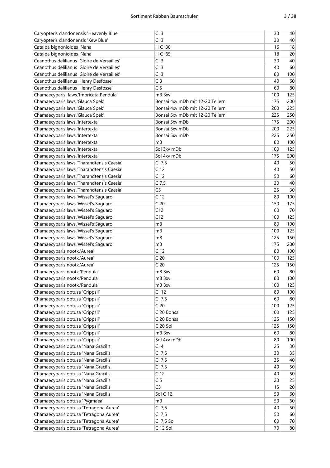| Caryopteris clandonensis 'Heavenly Blue'    | C <sub>3</sub>                   | 30  | 40  |
|---------------------------------------------|----------------------------------|-----|-----|
| Caryopteris clandonensis 'Kew Blue'         | C <sub>3</sub>                   | 30  | 40  |
| Catalpa bignonioides 'Nana'                 | H C 30                           | 16  | 18  |
| Catalpa bignonioides 'Nana'                 | H C 65                           | 18  | 20  |
| Ceanothus delilianus 'Gloire de Versailles' | C <sub>3</sub>                   | 30  | 40  |
| Ceanothus delilianus 'Gloire de Versailles' | C <sub>3</sub>                   | 40  | 60  |
| Ceanothus delilianus 'Gloire de Versailles' | C <sub>3</sub>                   | 80  | 100 |
| Ceanothus delilianus 'Henry Desfosse'       | C <sub>3</sub>                   | 40  | 60  |
| Ceanothus delilianus 'Henry Desfosse'       | C <sub>5</sub>                   | 60  | 80  |
| Chamaecyparis laws.'Imbricata Pendula'      | mB 3xv                           | 100 | 125 |
| Chamaecyparis laws.'Glauca Spek'            | Bonsai 4xy mDb mit 12-20 Tellern | 175 | 200 |
| Chamaecyparis laws.'Glauca Spek'            | Bonsai 4xv mDb mit 12-20 Tellern | 200 | 225 |
| Chamaecyparis laws.'Glauca Spek'            | Bonsai 5xv mDb mit 12-20 Tellern | 225 | 250 |
| Chamaecyparis laws.'Intertexta'             | Bonsai 5xy mDb                   | 175 | 200 |
| Chamaecyparis laws.'Intertexta'             | Bonsai 5xy mDb                   | 200 | 225 |
| Chamaecyparis laws.'Intertexta'             | Bonsai 5xy mDb                   | 225 | 250 |
| Chamaecyparis laws.'Intertexta'             | mB                               | 80  | 100 |
| Chamaecyparis laws.'Intertexta'             | Sol 3xy mDb                      | 100 | 125 |
| Chamaecyparis laws.'Intertexta'             | Sol 4xv mDb                      | 175 | 200 |
|                                             |                                  | 40  | 50  |
| Chamaecyparis laws.'Tharandtensis Caesia'   | $C$ 7,5                          |     |     |
| Chamaecyparis laws.'Tharandtensis Caesia'   | C <sub>12</sub>                  | 40  | 50  |
| Chamaecyparis laws.'Tharandtensis Caesia'   | C <sub>12</sub>                  | 50  | 60  |
| Chamaecyparis laws.'Tharandtensis Caesia'   | $C$ 7,5                          | 30  | 40  |
| Chamaecyparis laws.'Tharandtensis Caesia'   | C <sub>5</sub>                   | 25  | 30  |
| Chamaecyparis laws.'Wissel's Saguaro'       | C <sub>12</sub>                  | 80  | 100 |
| Chamaecyparis laws.'Wissel's Saguaro'       | C <sub>20</sub>                  | 150 | 175 |
| Chamaecyparis laws.'Wissel's Saguaro'       | C12                              | 60  | 70  |
| Chamaecyparis laws.'Wissel's Saguaro'       | C12                              | 100 | 125 |
| Chamaecyparis laws.'Wissel's Saguaro'       | mB                               | 80  | 100 |
| Chamaecyparis laws.'Wissel's Saguaro'       | mB                               | 100 | 125 |
| Chamaecyparis laws.'Wissel's Saguaro'       | mB                               | 125 | 150 |
| Chamaecyparis laws.'Wissel's Saguaro'       | mB                               | 175 | 200 |
| Chamaecyparis nootk.'Aurea'                 | C <sub>12</sub>                  | 80  | 100 |
| Chamaecyparis nootk.'Aurea'                 | C <sub>20</sub>                  | 100 | 125 |
| Chamaecyparis nootk.'Aurea'                 | C <sub>20</sub>                  | 125 | 150 |
| Chamaecyparis nootk.'Pendula'               | mB 3xv                           | 60  | 80  |
| Chamaecyparis nootk.'Pendula'               | mB 3xv                           | 80  | 100 |
| Chamaecyparis nootk.'Pendula'               | mB 3xv                           | 100 | 125 |
| Chamaecyparis obtusa 'Crippsii'             | C <sub>12</sub>                  | 80  | 100 |
| Chamaecyparis obtusa 'Crippsii'             | $C$ 7,5                          | 60  | 80  |
| Chamaecyparis obtusa 'Crippsii'             | C <sub>20</sub>                  | 100 | 125 |
| Chamaecyparis obtusa 'Crippsii'             | C 20 Bonsai                      | 100 | 125 |
| Chamaecyparis obtusa 'Crippsii'             | C 20 Bonsai                      | 125 | 150 |
| Chamaecyparis obtusa 'Crippsii'             | C 20 Sol                         | 125 | 150 |
| Chamaecyparis obtusa 'Crippsii'             |                                  |     |     |
|                                             | mB 3xv                           | 60  | 80  |
| Chamaecyparis obtusa 'Crippsii'             | Sol 4xv mDb                      | 80  | 100 |
| Chamaecyparis obtusa 'Nana Gracilis'        | C <sub>4</sub>                   | 25  | 30  |
| Chamaecyparis obtusa 'Nana Gracilis'        | $C$ 7,5                          | 30  | 35  |
| Chamaecyparis obtusa 'Nana Gracilis'        | $C$ 7,5                          | 35  | 40  |
| Chamaecyparis obtusa 'Nana Gracilis'        | $C$ 7,5                          | 40  | 50  |
| Chamaecyparis obtusa 'Nana Gracilis'        | C <sub>12</sub>                  | 40  | 50  |
| Chamaecyparis obtusa 'Nana Gracilis'        | C <sub>5</sub>                   | 20  | 25  |
| Chamaecyparis obtusa 'Nana Gracilis'        | C <sub>3</sub>                   | 15  | 20  |
| Chamaecyparis obtusa 'Nana Gracilis'        | Sol C 12                         | 50  | 60  |
| Chamaecyparis obtusa 'Pygmaea'              | mB                               | 50  | 60  |
| Chamaecyparis obtusa 'Tetragona Aurea'      | $C$ 7,5                          | 40  | 50  |
| Chamaecyparis obtusa 'Tetragona Aurea'      | $C$ 7,5                          | 50  | 60  |
| Chamaecyparis obtusa 'Tetragona Aurea'      | $C$ 7,5 Sol                      | 60  | 70  |
| Chamaecyparis obtusa 'Tetragona Aurea'      | C 12 Sol                         | 70  | 80  |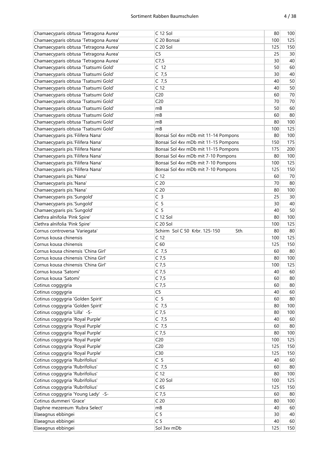| Chamaecyparis obtusa 'Tetragona Aurea' | C 12 Sol                              | 80  | 100 |
|----------------------------------------|---------------------------------------|-----|-----|
| Chamaecyparis obtusa 'Tetragona Aurea' | C 20 Bonsai                           | 100 | 125 |
| Chamaecyparis obtusa 'Tetragona Aurea' | C 20 Sol                              | 125 | 150 |
| Chamaecyparis obtusa 'Tetragona Aurea' | C <sub>5</sub>                        | 25  | 30  |
| Chamaecyparis obtusa 'Tetragona Aurea' | C7,5                                  | 30  | 40  |
| Chamaecyparis obtusa 'Tsatsumi Gold'   | C <sub>12</sub>                       | 50  | 60  |
| Chamaecyparis obtusa 'Tsatsumi Gold'   | $C$ 7,5                               | 30  | 40  |
| Chamaecyparis obtusa 'Tsatsumi Gold'   | C $7,5$                               | 40  | 50  |
| Chamaecyparis obtusa 'Tsatsumi Gold'   | C <sub>12</sub>                       | 40  | 50  |
| Chamaecyparis obtusa 'Tsatsumi Gold'   | C <sub>20</sub>                       | 60  | 70  |
| Chamaecyparis obtusa 'Tsatsumi Gold'   | C <sub>20</sub>                       | 70  | 70  |
| Chamaecyparis obtusa 'Tsatsumi Gold'   | mB                                    | 50  | 60  |
| Chamaecyparis obtusa 'Tsatsumi Gold'   | mB                                    | 60  | 80  |
| Chamaecyparis obtusa 'Tsatsumi Gold'   | mB                                    | 80  | 100 |
| Chamaecyparis obtusa 'Tsatsumi Gold'   | mB                                    | 100 | 125 |
| Chamaecyparis pis.'Filifera Nana'      | Bonsai Sol 4xv mDb mit 11-14 Pompons  | 80  | 100 |
| Chamaecyparis pis.'Filifera Nana'      | Bonsai Sol 4xv mDb mit 11-15 Pompons  | 150 | 175 |
| Chamaecyparis pis.'Filifera Nana'      | Bonsai Sol 4xv mDb mit 11-15 Pompons  | 175 | 200 |
| Chamaecyparis pis.'Filifera Nana'      | Bonsai Sol 4xv mDb mit 7-10 Pompons   | 80  | 100 |
|                                        |                                       |     |     |
| Chamaecyparis pis.'Filifera Nana'      | Bonsai Sol 4xv mDb mit 7-10 Pompons   | 100 | 125 |
| Chamaecyparis pis.'Filifera Nana'      | Bonsai Sol 4xv mDb mit 7-10 Pompons   | 125 | 150 |
| Chamaecyparis pis.'Nana'               | C <sub>12</sub>                       | 60  | 70  |
| Chamaecyparis pis.'Nana'               | C <sub>20</sub>                       | 70  | 80  |
| Chamaecyparis pis.'Nana'               | C <sub>20</sub>                       | 80  | 100 |
| Chamaecyparis pis.'Sungold'            | C <sub>3</sub>                        | 25  | 30  |
| Chamaecyparis pis.'Sungold'            | C <sub>5</sub>                        | 30  | 40  |
| Chamaecyparis pis.'Sungold'            | C <sub>5</sub>                        | 40  | 50  |
| Clethra alnifolia 'Pink Spire'         | C 12 Sol                              | 80  | 100 |
| Clethra alnifolia 'Pink Spire'         | $C20$ Sol                             | 100 | 125 |
| Cornus controversa 'Variegata'         | Schirm Sol C 50 Krbr. 125-150<br>Sth. | 80  | 80  |
| Cornus kousa chinensis                 | C <sub>12</sub>                       | 100 | 125 |
| Cornus kousa chinensis                 | C <sub>60</sub>                       | 125 | 150 |
| Cornus kousa chinensis 'China Girl'    | C $7,5$                               | 60  | 80  |
| Cornus kousa chinensis 'China Girl'    | $C$ 7,5                               | 80  | 100 |
| Cornus kousa chinensis 'China Girl'    | $C$ 7,5                               | 100 | 125 |
| Cornus kousa 'Satomi'                  | $C$ 7,5                               | 40  | 60  |
| Cornus kousa 'Satomi'                  | $C$ 7,5                               | 60  | 80  |
| Cotinus coggygria                      | $C$ 7,5                               | 60  | 80  |
| Cotinus coggygria                      | C <sub>5</sub>                        | 40  | 60  |
| Cotinus coggygria 'Golden Spirit'      | C <sub>5</sub>                        | 60  | 80  |
| Cotinus coggygria 'Golden Spirit'      | $C$ 7,5                               | 80  | 100 |
| Cotinus coggygria 'Lilla' -S-          | $C$ 7,5                               | 80  | 100 |
| Cotinus coggygria 'Royal Purple'       | $C$ 7,5                               | 40  | 60  |
| Cotinus coggygria 'Royal Purple'       | $C$ 7,5                               | 60  | 80  |
| Cotinus coggygria 'Royal Purple'       | $C$ 7,5                               | 80  | 100 |
| Cotinus coggygria 'Royal Purple'       | C <sub>20</sub>                       |     | 125 |
|                                        |                                       | 100 |     |
| Cotinus coggygria 'Royal Purple'       | C <sub>20</sub>                       | 125 | 150 |
| Cotinus coggygria 'Royal Purple'       | C30                                   | 125 | 150 |
| Cotinus coggygria 'Rubrifolius'        | C <sub>5</sub>                        | 40  | 60  |
| Cotinus coggygria 'Rubrifolius'        | $C$ 7,5                               | 60  | 80  |
| Cotinus coggygria 'Rubrifolius'        | C <sub>12</sub>                       | 80  | 100 |
| Cotinus coggygria 'Rubrifolius'        | C 20 Sol                              | 100 | 125 |
| Cotinus coggygria 'Rubrifolius'        | C <sub>65</sub>                       | 125 | 150 |
| Cotinus coggygria 'Young Lady' -S-     | $C$ 7,5                               | 60  | 80  |
| Cotinus dummeri 'Grace'                | C <sub>20</sub>                       | 80  | 100 |
| Daphne mezereum 'Rubra Select'         | mB                                    | 40  | 60  |
| Elaeagnus ebbingei                     | C <sub>5</sub>                        | 30  | 40  |
| Elaeagnus ebbingei                     | C <sub>5</sub>                        | 40  | 60  |
| Elaeagnus ebbingei                     | Sol 3xv mDb                           | 125 | 150 |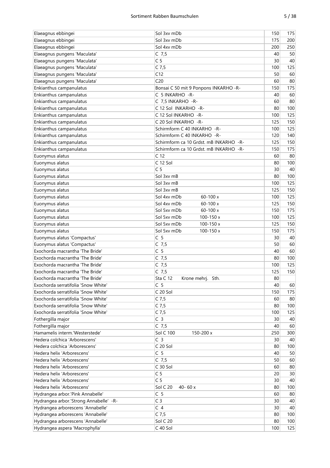| Elaeagnus ebbingei                     | Sol 3xv mDb                            | 150 | 175 |
|----------------------------------------|----------------------------------------|-----|-----|
| Elaeagnus ebbingei                     | Sol 3xy mDb                            | 175 | 200 |
| Elaeagnus ebbingei                     | Sol 4xv mDb                            | 200 | 250 |
| Elaeagnus pungens 'Maculata'           | $C$ 7,5                                | 40  | 50  |
| Elaeagnus pungens 'Maculata'           | C <sub>5</sub>                         | 30  | 40  |
| Elaeagnus pungens 'Maculata'           | $C$ 7,5                                | 100 | 125 |
| Elaeagnus pungens 'Maculata'           | C12                                    | 50  | 60  |
| Elaeagnus pungens 'Maculata'           | C <sub>20</sub>                        | 60  | 80  |
| Enkianthus campanulatus                | Bonsai C 50 mit 9 Ponpons INKARHO -R-  | 150 | 175 |
| Enkianthus campanulatus                | C 5 INKARHO - R-                       | 40  | 60  |
| Enkianthus campanulatus                | C 7,5 INKARHO -R-                      | 60  | 80  |
| Enkianthus campanulatus                | C 12 Sol INKARHO -R-                   | 80  | 100 |
| Enkianthus campanulatus                | C 12 Sol INKARHO -R-                   | 100 | 125 |
| Enkianthus campanulatus                | C 20 Sol INKARHO -R-                   | 125 | 150 |
| Enkianthus campanulatus                | Schirmform C 40 INKARHO -R-            | 100 | 125 |
|                                        |                                        |     |     |
| Enkianthus campanulatus                | Schirmform C 40 INKARHO -R-            | 120 | 140 |
| Enkianthus campanulatus                | Schirmform ca 10 Grdst. mB INKARHO -R- | 125 | 150 |
| Enkianthus campanulatus                | Schirmform ca 10 Grdst. mB INKARHO -R- | 150 | 175 |
| Euonymus alatus                        | C <sub>12</sub>                        | 60  | 80  |
| Euonymus alatus                        | C 12 Sol                               | 80  | 100 |
| Euonymus alatus                        | C <sub>5</sub>                         | 30  | 40  |
| Euonymus alatus                        | Sol 3xv mB                             | 80  | 100 |
| Euonymus alatus                        | Sol 3xv mB                             | 100 | 125 |
| Euonymus alatus                        | Sol 3xv mB                             | 125 | 150 |
| Euonymus alatus                        | Sol 4xv mDb<br>$60 - 100x$             | 100 | 125 |
| Euonymus alatus                        | Sol 4xy mDb<br>$60 - 100x$             | 125 | 150 |
| Euonymus alatus                        | Sol 5xy mDb<br>$60 - 100x$             | 150 | 175 |
| Euonymus alatus                        | Sol 5xv mDb<br>100-150 x               | 100 | 125 |
| Euonymus alatus                        | Sol 5xv mDb<br>100-150 x               | 125 | 150 |
| Euonymus alatus                        | Sol 5xv mDb<br>100-150 x               | 150 | 175 |
| Euonymus alatus 'Compactus'            | C <sub>5</sub>                         | 30  | 40  |
| Euonymus alatus 'Compactus'            | $C$ 7,5                                | 50  | 60  |
| Exochorda macrantha 'The Bride'        | C <sub>5</sub>                         | 40  | 60  |
| Exochorda macrantha 'The Bride'        | $C$ 7,5                                | 80  | 100 |
| Exochorda macrantha 'The Bride'        | $C$ 7,5                                | 100 | 125 |
| Exochorda macrantha 'The Bride'        | $C$ 7,5                                | 125 | 150 |
| Exochorda macrantha 'The Bride'        | Sta C 12<br>Sth.<br>Krone mehrj.       | 80  |     |
| Exochorda serratifolia 'Snow White'    | C 5                                    | 40  | 60  |
| Exochorda serratifolia 'Snow White'    | C 20 Sol                               | 150 | 175 |
| Exochorda serratifolia 'Snow White'    | $C$ 7,5                                | 60  | 80  |
| Exochorda serratifolia 'Snow White'    | $C$ 7,5                                | 80  | 100 |
| Exochorda serratifolia 'Snow White'    | $C$ 7,5                                | 100 | 125 |
| Fothergilla major                      | C <sub>3</sub>                         | 30  | 40  |
| Fothergilla major                      | $C$ 7,5                                | 40  | 60  |
| Hamamelis interm.'Westerstede'         | <b>Sol C 100</b><br>150-200 x          | 250 | 300 |
| Hedera colchica 'Arborescens'          | C <sub>3</sub>                         | 30  | 40  |
| Hedera colchica 'Arborescens'          | C 20 Sol                               | 80  | 100 |
| Hedera helix 'Arborescens'             | C <sub>5</sub>                         | 40  | 50  |
| Hedera helix 'Arborescens'             | $C$ 7,5                                | 50  |     |
| Hedera helix 'Arborescens'             | C 30 Sol                               |     | 60  |
| Hedera helix 'Arborescens'             | C <sub>5</sub>                         | 60  | 80  |
|                                        |                                        | 20  | 30  |
| Hedera helix 'Arborescens'             | C <sub>5</sub>                         | 30  | 40  |
| Hedera helix 'Arborescens'             | Sol C 20<br>40-60 x                    | 80  | 100 |
| Hydrangea arbor.'Pink Annabelle'       | C <sub>5</sub>                         | 60  | 80  |
| Hydrangea arbor.'Strong Annabelle' -R- | C <sub>3</sub>                         | 30  | 40  |
| Hydrangea arborescens 'Annabelle'      | C <sub>4</sub>                         | 30  | 40  |
| Hydrangea arborescens 'Annabelle'      | $C$ 7,5                                | 80  | 100 |
| Hydrangea arborescens 'Annabelle'      | Sol C 20                               | 80  | 100 |
| Hydrangea aspera 'Macrophylla'         | C 40 Sol                               | 100 | 125 |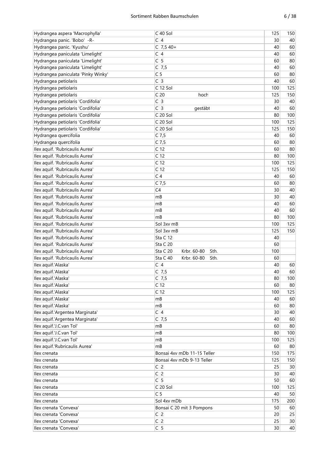| ۹<br>×<br>۰,<br>× | ×<br>v |
|-------------------|--------|
|-------------------|--------|

| Hydrangea aspera 'Macrophylla'     | C 40 Sol                        | 125 | 150 |
|------------------------------------|---------------------------------|-----|-----|
| Hydrangea panic. 'Bobo' -R-        | C <sub>4</sub>                  | 30  | 40  |
| Hydrangea panic. 'Kyushu'          | $C$ 7,5 40+                     | 40  | 60  |
| Hydrangea paniculata 'Limelight'   | C <sub>4</sub>                  | 40  | 60  |
| Hydrangea paniculata 'Limelight'   | C <sub>5</sub>                  | 60  | 80  |
| Hydrangea paniculata 'Limelight'   | $C$ 7,5                         | 40  | 60  |
| Hydrangea paniculata 'Pinky Winky' | C <sub>5</sub>                  | 60  | 80  |
| Hydrangea petiolaris               | C <sub>3</sub>                  | 40  | 60  |
| Hydrangea petiolaris               | C 12 Sol                        | 100 | 125 |
| Hydrangea petiolaris               | C <sub>20</sub><br>hoch         | 125 | 150 |
| Hydrangea petiolaris 'Cordifolia'  | C <sub>3</sub>                  | 30  | 40  |
| Hydrangea petiolaris 'Cordifolia'  | C <sub>3</sub><br>gestäbt       | 40  | 60  |
| Hydrangea petiolaris 'Cordifolia'  | C 20 Sol                        | 80  | 100 |
| Hydrangea petiolaris 'Cordifolia'  | C 20 Sol                        | 100 | 125 |
| Hydrangea petiolaris 'Cordifolia'  | C 20 Sol                        | 125 | 150 |
| Hydrangea quercifolia              | $C$ 7,5                         | 40  | 60  |
|                                    | $C$ 7,5                         | 60  | 80  |
| Hydrangea quercifolia              | C <sub>12</sub>                 |     |     |
| Ilex aquif. 'Rubricaulis Aurea'    |                                 | 60  | 80  |
| Ilex aquif. 'Rubricaulis Aurea'    | C <sub>12</sub>                 | 80  | 100 |
| Ilex aquif. 'Rubricaulis Aurea'    | C <sub>12</sub>                 | 100 | 125 |
| Ilex aquif. 'Rubricaulis Aurea'    | C <sub>12</sub>                 | 125 | 150 |
| Ilex aquif. 'Rubricaulis Aurea'    | C <sub>4</sub>                  | 40  | 60  |
| Ilex aquif. 'Rubricaulis Aurea'    | $C$ 7,5                         | 60  | 80  |
| Ilex aquif. 'Rubricaulis Aurea'    | C <sub>4</sub>                  | 30  | 40  |
| Ilex aquif. 'Rubricaulis Aurea'    | mB                              | 30  | 40  |
| Ilex aquif. 'Rubricaulis Aurea'    | mB                              | 40  | 60  |
| Ilex aquif. 'Rubricaulis Aurea'    | mB                              | 40  | 60  |
| Ilex aquif. 'Rubricaulis Aurea'    | mB                              | 80  | 100 |
| Ilex aquif. 'Rubricaulis Aurea'    | Sol 3xv mB                      | 100 | 125 |
| Ilex aquif. 'Rubricaulis Aurea'    | Sol 3xv mB                      | 125 | 150 |
| Ilex aquif. 'Rubricaulis Aurea'    | Sta C 12                        | 40  |     |
| Ilex aquif. 'Rubricaulis Aurea'    | Sta C 20                        | 60  |     |
| Ilex aquif. 'Rubricaulis Aurea'    | Sta C 20<br>Krbr. 60-80<br>Sth. | 100 |     |
| Ilex aquif. 'Rubricaulis Aurea'    | Sta C 40<br>Krbr. 60-80<br>Sth. | 60  |     |
| Ilex aquif.'Alaska'                | C <sub>4</sub>                  | 40  | 60  |
| Ilex aquif.'Alaska'                | $C$ 7,5                         | 40  | 60  |
| Ilex aquif.'Alaska'                | $C$ 7,5                         | 80  | 100 |
| Ilex aquif.'Alaska'                | C <sub>12</sub>                 | 60  | 80  |
| Ilex aquif.'Alaska'                | C <sub>12</sub>                 | 100 | 125 |
| Ilex aquif.'Alaska'                | mB                              | 40  | 60  |
| Ilex aquif.'Alaska'                | mB                              | 60  | 80  |
| Ilex aquif.'Argentea Marginata'    | C <sub>4</sub>                  | 30  | 40  |
| Ilex aquif.'Argentea Marginata'    | $C$ 7,5                         | 40  | 60  |
| llex aquif.'J.C.van Tol'           | mB                              | 60  | 80  |
| Ilex aquif.'J.C.van Tol'           | mB                              | 80  | 100 |
| Ilex aquif.'J.C.van Tol'           | mB                              | 100 | 125 |
| Ilex aquif.'Rubricaulis Aurea'     | mB                              | 60  | 80  |
| Ilex crenata                       | Bonsai 4xv mDb 11-15 Teller     | 150 | 175 |
| Ilex crenata                       | Bonsai 4xv mDb 9-13 Teller      | 125 | 150 |
| llex crenata                       | C <sub>2</sub>                  | 25  | 30  |
| Ilex crenata                       | C <sub>2</sub>                  | 30  | 40  |
| Ilex crenata                       | C <sub>5</sub>                  | 50  | 60  |
| Ilex crenata                       | C 20 Sol                        | 100 | 125 |
| Ilex crenata                       | C <sub>5</sub>                  | 40  | 50  |
| Ilex crenata                       | Sol 4xv mDb                     | 175 | 200 |
| Ilex crenata 'Convexa'             | Bonsai C 20 mit 3 Pompons       | 50  | 60  |
| Ilex crenata 'Convexa'             | C <sub>2</sub>                  | 20  | 25  |
| Ilex crenata 'Convexa'             | C <sub>2</sub>                  | 25  | 30  |
| Ilex crenata 'Convexa'             | C <sub>5</sub>                  | 30  | 40  |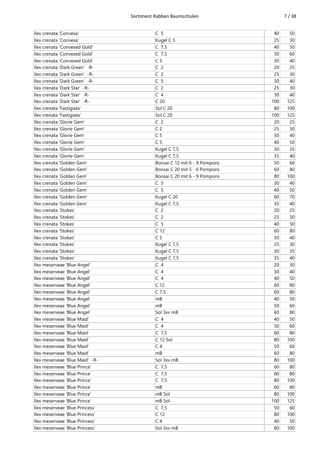| Ilex crenata 'Convexa'         | C <sub>5</sub>                | 40  | 50  |
|--------------------------------|-------------------------------|-----|-----|
| Ilex crenata 'Convexa'         | Kugel C 5                     | 25  | 30  |
| Ilex crenata 'Convexed Gold'   | $C$ 7,5                       | 40  | 50  |
| Ilex crenata 'Convexed Gold'   | $C$ 7,5                       | 50  | 60  |
| Ilex crenata 'Convexed Gold'   | C <sub>5</sub>                | 30  | 40  |
| Ilex crenata 'Dark Green' - R- | C <sub>2</sub>                | 20  | 25  |
| Ilex crenata 'Dark Green' -R-  | C <sub>2</sub>                | 25  | 30  |
| Ilex crenata 'Dark Green' -R-  | C <sub>5</sub>                | 30  | 40  |
| Ilex crenata 'Dark Star' -R-   | C <sub>2</sub>                | 25  | 30  |
| Ilex crenata 'Dark Star' - R-  | C <sub>4</sub>                | 30  | 40  |
|                                | C <sub>20</sub>               |     |     |
| Ilex crenata 'Dark Star' -R-   |                               | 100 | 125 |
| Ilex crenata 'Fastigiata'      | Sol C 20                      | 80  | 100 |
| Ilex crenata 'Fastigiata'      | Sol C 20                      | 100 | 125 |
| Ilex crenata 'Glorie Gem'      | C <sub>2</sub>                | 20  | 25  |
| Ilex crenata 'Glorie Gem'      | C <sub>2</sub>                | 25  | 30  |
| Ilex crenata 'Glorie Gem'      | C <sub>5</sub>                | 30  | 40  |
| Ilex crenata 'Glorie Gem'      | C <sub>5</sub>                | 40  | 50  |
| Ilex crenata 'Glorie Gem'      | Kugel C 7,5                   | 30  | 35  |
| Ilex crenata 'Glorie Gem'      | Kugel C 7,5                   | 35  | 40  |
| Ilex crenata 'Golden Gem'      | Bonsai C 12 mit 6 - 9 Pompons | 50  | 60  |
| Ilex crenata 'Golden Gem'      | Bonsai C 20 mit 5 - 6 Pompons | 60  | 80  |
| Ilex crenata 'Golden Gem'      | Bonsai C 20 mit 6 - 9 Pompons | 80  | 100 |
| Ilex crenata 'Golden Gem'      | C <sub>5</sub>                | 30  | 40  |
| Ilex crenata 'Golden Gem'      | C <sub>5</sub>                | 40  | 50  |
| Ilex crenata 'Golden Gem'      | Kugel C 20                    | 60  | 70  |
| Ilex crenata 'Golden Gem'      | Kugel C 7,5                   | 35  | 40  |
| Ilex crenata 'Stokes'          | C <sub>2</sub>                | 20  | 25  |
| Ilex crenata 'Stokes'          | C <sub>2</sub>                | 25  | 30  |
| Ilex crenata 'Stokes'          | C <sub>5</sub>                | 40  | 50  |
| Ilex crenata 'Stokes'          | C <sub>12</sub>               | 60  | 80  |
| Ilex crenata 'Stokes'          | C <sub>5</sub>                | 30  | 40  |
| Ilex crenata 'Stokes'          |                               | 25  | 30  |
|                                | Kugel C 7,5                   |     |     |
| Ilex crenata 'Stokes'          | Kugel C 7,5                   | 30  | 35  |
| Ilex crenata 'Stokes'          | Kugel C 7,5                   | 35  | 40  |
| llex meserveae 'Blue Angel'    | C <sub>4</sub>                | 20  | 30  |
| llex meserveae 'Blue Angel'    | C <sub>4</sub>                | 30  | 40  |
| Ilex meserveae 'Blue Angel'    | C <sub>4</sub>                | 40  | 50  |
| Ilex meserveae 'Blue Angel'    | C <sub>12</sub>               | 60  | 80  |
| llex meserveae 'Blue Angel'    | $C$ 7,5                       | 60  | 80  |
| Ilex meserveae 'Blue Angel'    | mВ                            | 40  | 50  |
| Ilex meserveae 'Blue Angel'    | mB                            | 50  | 60  |
| Ilex meserveae 'Blue Angel'    | Sol 3xv mB                    | 60  | 80  |
| Ilex meserveae 'Blue Maid'     | C <sub>4</sub>                | 40  | 50  |
| Ilex meserveae 'Blue Maid'     | C <sub>4</sub>                | 50  | 60  |
| Ilex meserveae 'Blue Maid'     | $C$ 7,5                       | 60  | 80  |
| Ilex meserveae 'Blue Maid'     | C 12 Sol                      | 80  | 100 |
| Ilex meserveae 'Blue Maid'     | C <sub>4</sub>                | 50  | 60  |
| Ilex meserveae 'Blue Maid'     | mВ                            | 60  | 80  |
| Ilex meserveae 'Blue Maid' -R- | Sol 3xv mB                    | 80  | 100 |
| Ilex meserveae 'Blue Prince'   | $C$ 7,5                       | 60  | 80  |
| llex meserveae 'Blue Prince'   | $C$ 7,5                       | 60  | 80  |
| Ilex meserveae 'Blue Prince'   | $C$ 7,5                       | 80  | 100 |
| Ilex meserveae 'Blue Prince'   | mB                            | 60  | 80  |
| Ilex meserveae 'Blue Prince'   | mB Sol                        | 80  | 100 |
| llex meserveae 'Blue Prince'   | mB Sol                        | 100 | 125 |
| Ilex meserveae 'Blue Princess' | $C$ 7,5                       | 50  | 60  |
|                                | C <sub>12</sub>               | 80  |     |
| Ilex meserveae 'Blue Princess' |                               |     | 100 |
| Ilex meserveae 'Blue Princess' | C <sub>4</sub>                | 40  | 50  |
| Ilex meserveae 'Blue Princess' | Sol 3xv mB                    | 80  | 100 |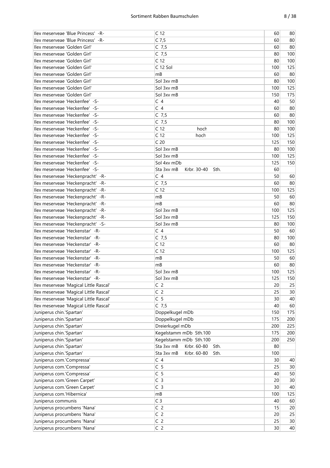| Ilex meserveae 'Blue Princess' -R-                                 | C <sub>12</sub>                                     | 60       | 80       |
|--------------------------------------------------------------------|-----------------------------------------------------|----------|----------|
| Ilex meserveae 'Blue Princess' -R-                                 | $C$ 7,5                                             | 60       | 80       |
| llex meserveae 'Golden Girl'                                       | $C$ 7,5                                             | 60       | 80       |
| Ilex meserveae 'Golden Girl'                                       | $C$ 7,5                                             | 80       | 100      |
| Ilex meserveae 'Golden Girl'                                       | C <sub>12</sub>                                     | 80       | 100      |
| Ilex meserveae 'Golden Girl'                                       | C 12 Sol                                            | 100      | 125      |
| Ilex meserveae 'Golden Girl'                                       | mB                                                  | 60       | 80       |
| Ilex meserveae 'Golden Girl'                                       | Sol 3xv mB                                          | 80       | 100      |
| Ilex meserveae 'Golden Girl'                                       | Sol 3xv mB                                          | 100      | 125      |
| Ilex meserveae 'Golden Girl'                                       | Sol 3xv mB                                          | 150      | 175      |
| Ilex meserveae 'Heckenfee' -S-                                     | $\subset 4$                                         | 40       | 50       |
| Ilex meserveae 'Heckenfee' -S-                                     | C <sub>4</sub>                                      | 60       | 80       |
| Ilex meserveae 'Heckenfee' -S-                                     | $C$ 7,5                                             | 60       | 80       |
| Ilex meserveae 'Heckenfee' -S-                                     | $C$ 7,5                                             | 80       | 100      |
| Ilex meserveae 'Heckenfee' -S-                                     | C <sub>12</sub><br>hoch                             | 80       | 100      |
| Ilex meserveae 'Heckenfee' -S-                                     | C <sub>12</sub><br>hoch                             | 100      | 125      |
| Ilex meserveae 'Heckenfee' -S-                                     | C <sub>20</sub>                                     | 125      | 150      |
| Ilex meserveae 'Heckenfee' -S-                                     | Sol 3xv mB                                          | 80       | 100      |
|                                                                    | Sol 3xv mB                                          | 100      | 125      |
| Ilex meserveae 'Heckenfee' -S-                                     | Sol 4xv mDb                                         | 125      | 150      |
| Ilex meserveae 'Heckenfee' -S-                                     |                                                     | 60       |          |
| llex meserveae 'Heckenfee' -S-                                     | Sta 3xv mB<br>Krbr. 30-40<br>Sth.<br>C <sub>4</sub> |          |          |
| Ilex meserveae 'Heckenpracht' -R-                                  |                                                     | 50<br>60 | 60<br>80 |
| Ilex meserveae 'Heckenpracht' -R-                                  | $C$ 7,5                                             |          |          |
| Ilex meserveae 'Heckenpracht' -R-                                  | C <sub>12</sub>                                     | 100      | 125      |
| Ilex meserveae 'Heckenpracht' -R-                                  | mB                                                  | 50       | 60       |
| Ilex meserveae 'Heckenpracht' -R-                                  | mB                                                  | 60       | 80       |
| Ilex meserveae 'Heckenpracht' -R-                                  | Sol 3xv mB                                          | 100      | 125      |
| Ilex meserveae 'Heckenpracht' -R-                                  | Sol 3xv mB                                          | 125      | 150      |
| Ilex meserveae 'Heckenpracht' -S-                                  | Sol 3xv mB                                          | 80       | 100      |
| Ilex meserveae 'Heckenstar' -R-                                    | C <sub>4</sub>                                      | 50       | 60       |
| Ilex meserveae 'Heckenstar' -R-                                    | $C$ 7,5                                             | 80       | 100      |
| Ilex meserveae 'Heckenstar' -R-                                    | C <sub>12</sub>                                     | 60       | 80       |
| Ilex meserveae 'Heckenstar' -R-                                    | C <sub>12</sub>                                     | 100      | 125      |
| Ilex meserveae 'Heckenstar' -R-<br>Ilex meserveae 'Heckenstar' -R- | mB                                                  | 50       | 60       |
|                                                                    | mB                                                  | 60       | 80       |
| Ilex meserveae 'Heckenstar' -R-                                    | Sol 3xv mB                                          | 100      | 125      |
| Ilex meserveae 'Heckenstar' -R-                                    | Sol 3xv mB                                          | 125      | 150      |
| Ilex meserveae 'Magical Little Rascal'                             | C <sub>2</sub>                                      | 20       | 25       |
| Ilex meserveae 'Magical Little Rascal'                             | C <sub>2</sub><br>C <sub>5</sub>                    | 25       | 30       |
| Ilex meserveae 'Magical Little Rascal'                             |                                                     | 30       | 40       |
| Ilex meserveae 'Magical Little Rascal'                             | $C$ 7,5                                             | 40       | 60       |
| Juniperus chin.'Spartan'                                           | Doppelkugel mDb                                     | 150      | 175      |
| Juniperus chin.'Spartan'                                           | Doppelkugel mDb                                     | 175      | 200      |
| Juniperus chin.'Spartan'                                           | Dreierkugel mDb                                     | 200      | 225      |
| Juniperus chin.'Spartan'                                           | Kegelstamm mDb Sth.100                              | 175      | 200      |
| Juniperus chin.'Spartan'                                           | Kegelstamm mDb Sth.100                              | 200      | 250      |
| Juniperus chin.'Spartan'                                           | Sta 3xv mB<br>Krbr. 60-80<br>Sth.                   | 80       |          |
| Juniperus chin.'Spartan'                                           | Sta 3xv mB<br>Krbr. 60-80<br>Sth.                   | 100      |          |
| Juniperus com.'Compressa'                                          | C <sub>4</sub>                                      | 30       | 40       |
| Juniperus com.'Compressa'                                          | C <sub>5</sub>                                      | 25       | 30       |
| Juniperus com.'Compressa'                                          | C <sub>5</sub>                                      | 40       | 50       |
| Juniperus com.'Green Carpet'                                       | C <sub>3</sub>                                      | 20       | 30       |
| Juniperus com.'Green Carpet'                                       | C <sub>3</sub>                                      | 30       | 40       |
| Juniperus com.'Hibernica'                                          | mB                                                  | 100      | 125      |
| Juniperus communis                                                 | C <sub>3</sub><br>C <sub>2</sub>                    | 40       | 60       |
| Juniperus procumbens 'Nana'                                        | C <sub>2</sub>                                      | 15<br>20 | 20       |
| Juniperus procumbens 'Nana'<br>Juniperus procumbens 'Nana'         | C <sub>2</sub>                                      | 25       | 25<br>30 |
| Juniperus procumbens 'Nana'                                        | C <sub>2</sub>                                      | 30       | 40       |
|                                                                    |                                                     |          |          |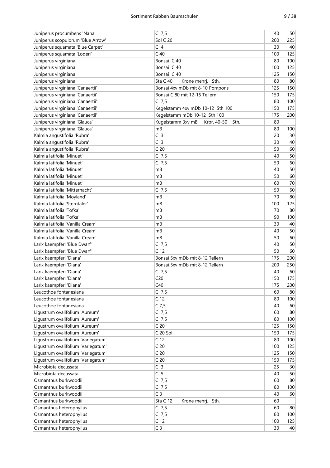| Juniperus procumbens 'Nana'                                | $C$ 7,5                                  | 40  | 50              |
|------------------------------------------------------------|------------------------------------------|-----|-----------------|
| Juniperus scopulorum 'Blue Arrow'                          | <b>Sol C 20</b>                          | 200 | 225             |
| Juniperus squamata 'Blue Carpet'                           | C <sub>4</sub>                           | 30  | 40              |
| Juniperus squamata 'Loderi'                                | C <sub>40</sub>                          | 100 | 125             |
| Juniperus virginiana                                       | Bonsai C 40                              | 80  | 100             |
| Juniperus virginiana                                       | Bonsai C 40                              | 100 | 125             |
| Juniperus virginiana                                       | Bonsai C 40                              | 125 | 150             |
| Juniperus virginiana                                       | Sta C 40<br>Krone mehrj. Sth.            | 80  | 80              |
| Juniperus virginiana 'Canaertii'                           | Bonsai 4xv mDb mit 8-10 Pompons          | 125 | 150             |
| Juniperus virginiana 'Canaertii'                           | Bonsai C 80 mit 12-15 Tellern            | 150 | 175             |
| Juniperus virginiana 'Canaertii'                           | $C$ 7,5                                  | 80  | 100             |
| Juniperus virginiana 'Canaertii'                           | Kegelstamm 4xv mDb 10-12 Sth 100         | 150 | 175             |
| Juniperus virginiana 'Canaertii'                           | Kegelstamm mDb 10-12 Sth 100             | 175 | 200             |
| Juniperus virginiana 'Glauca'                              | Kugelstamm 3xv mB<br>Krbr. 40-50<br>Sth. | 80  |                 |
| Juniperus virginiana 'Glauca'                              | mB                                       | 80  | 100             |
|                                                            | C <sub>3</sub>                           |     |                 |
| Kalmia angustifolia 'Rubra'<br>Kalmia angustifolia 'Rubra' | C <sub>3</sub>                           | 20  | 30 <sup>°</sup> |
|                                                            | C <sub>20</sub>                          | 30  | 40              |
| Kalmia angustifolia 'Rubra'                                |                                          | 50  | 60              |
| Kalmia latifolia 'Minuet'                                  | $C$ 7,5                                  | 40  | 50              |
| Kalmia latifolia 'Minuet'                                  | $C$ 7,5                                  | 50  | 60              |
| Kalmia latifolia 'Minuet'                                  | mB                                       | 40  | 50              |
| Kalmia latifolia 'Minuet'                                  | mB                                       | 50  | 60              |
| Kalmia latifolia 'Minuet'                                  | mB                                       | 60  | 70              |
| Kalmia latifolia 'Mitternacht'                             | $C$ 7,5                                  | 50  | 60              |
| Kalmia latifolia 'Moyland'                                 | mB                                       | 70  | 80              |
| Kalmia latifolia 'Sterntaler'                              | mB                                       | 100 | 125             |
| Kalmia latifolia 'Tofka'                                   | mB                                       | 70  | 80              |
| Kalmia latifolia 'Tofka'                                   | mB                                       | 90  | 100             |
| Kalmia latifolia 'Vanilla Cream'                           | mB                                       | 30  | 40              |
| Kalmia latifolia 'Vanilla Cream'                           | mB                                       | 40  | 50              |
| Kalmia latifolia 'Vanilla Cream'                           | mB                                       | 50  | 60              |
| Larix kaempferi 'Blue Dwarf'                               | $C$ 7,5                                  | 40  | 50              |
| Larix kaempferi 'Blue Dwarf'                               | C <sub>12</sub>                          | 50  | 60              |
| Larix kaempferi 'Diana'                                    | Bonsai 5xv mDb mit 8-12 Tellern          | 175 | 200             |
| Larix kaempferi 'Diana'                                    | Bonsai 5xv mDb mit 8-12 Tellern          | 200 | 250             |
| Larix kaempferi 'Diana'                                    | $C$ 7,5                                  | 40  | 60              |
| Larix kaempferi 'Diana'                                    | C <sub>20</sub>                          | 150 | 175             |
| Larix kaempferi 'Diana'                                    | C40                                      | 175 | 200             |
| Leucothoe fontanesiana                                     | $C$ 7,5                                  | 60  | 80              |
| Leucothoe fontanesiana                                     | C <sub>12</sub>                          | 80  | 100             |
| Leucothoe fontanesiana                                     | $C$ 7,5                                  | 40  | 60              |
| Ligustrum ovalifolium 'Aureum'                             | $C$ 7,5                                  | 60  | 80              |
| Ligustrum ovalifolium 'Aureum'                             | $C$ 7,5                                  | 80  | 100             |
| Ligustrum ovalifolium 'Aureum'                             | C <sub>20</sub>                          | 125 | 150             |
| Ligustrum ovalifolium 'Aureum'                             | C 20 Sol                                 | 150 | 175             |
| Ligustrum ovalifolium 'Variegatum'                         | C <sub>12</sub>                          | 80  | 100             |
| Ligustrum ovalifolium 'Variegatum'                         | C <sub>20</sub>                          | 100 | 125             |
| Ligustrum ovalifolium 'Variegatum'                         | C <sub>20</sub>                          | 125 | 150             |
| Ligustrum ovalifolium 'Variegatum'                         | C <sub>20</sub>                          | 150 | 175             |
| Microbiota decussata                                       | C <sub>3</sub>                           | 25  | 30              |
| Microbiota decussata                                       | C <sub>5</sub>                           | 40  | 50              |
| Osmanthus burkwoodii                                       | $C$ 7,5                                  | 60  | 80              |
| Osmanthus burkwoodii                                       | $C$ 7,5                                  | 80  | 100             |
| Osmanthus burkwoodii                                       | C <sub>3</sub>                           | 40  | 60              |
| Osmanthus burkwoodii                                       | Sta C 12<br>Krone mehrj. Sth.            | 60  |                 |
| Osmanthus heterophyllus                                    | $C$ 7,5                                  | 60  | 80              |
| Osmanthus heterophyllus                                    | $C$ 7,5                                  | 80  | 100             |
| Osmanthus heterophyllus                                    | C <sub>12</sub>                          | 100 | 125             |
| Osmanthus heterophyllus                                    | C <sub>3</sub>                           | 30  | 40              |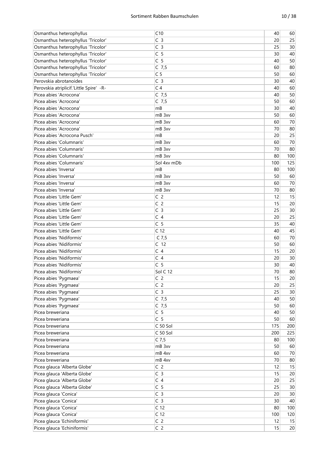| Osmanthus heterophyllus                              | C10                                | 40        | 60                    |
|------------------------------------------------------|------------------------------------|-----------|-----------------------|
| Osmanthus heterophyllus 'Tricolor'                   | C <sub>3</sub>                     | 20        | 25                    |
| Osmanthus heterophyllus 'Tricolor'                   | C <sub>3</sub>                     | 25        | 30                    |
| Osmanthus heterophyllus 'Tricolor'                   | C <sub>5</sub>                     | 30        | 40                    |
| Osmanthus heterophyllus 'Tricolor'                   | C <sub>5</sub>                     | 40        | 50                    |
| Osmanthus heterophyllus 'Tricolor'                   | $C$ 7,5                            | 60        | 80                    |
| Osmanthus heterophyllus 'Tricolor'                   | C <sub>5</sub>                     | 50        | 60                    |
| Perovskia abrotanoides                               | C <sub>3</sub>                     | 30        | 40                    |
| Perovskia atriplicif.'Little Spire' -R-              | C <sub>4</sub>                     | 40        | 60                    |
| Picea abies 'Acrocona'                               | $C$ 7,5                            | 40        | 50                    |
| Picea abies 'Acrocona'                               | $C$ 7,5                            | 50        | 60                    |
| Picea abies 'Acrocona'                               | mB                                 | 30        | 40                    |
| Picea abies 'Acrocona'                               | mB 3xv                             | 50        | 60                    |
| Picea abies 'Acrocona'                               | mB 3xv                             | 60        | 70                    |
| Picea abies 'Acrocona'                               | mB 3xv                             | 70        | 80                    |
| Picea abies 'Acrocona Pusch'                         | mB                                 | 20        | 25                    |
| Picea abies 'Columnaris'                             | mB 3xv                             | 60        | 70                    |
| Picea abies 'Columnaris'                             | mB 3xv                             | 70        | 80                    |
| Picea abies 'Columnaris'                             | mB 3xv                             | 80        | 100                   |
| Picea abies 'Columnaris'                             | Sol 4xv mDb                        | 100       | 125                   |
| Picea abies 'Inversa'                                | mB                                 | 80        | 100                   |
| Picea abies 'Inversa'                                | mB 3xv                             | 50        | 60                    |
| Picea abies 'Inversa'                                | mB 3xv                             | 60        | 70                    |
| Picea abies 'Inversa'                                | mB 3xv                             | 70        | 80                    |
| Picea abies 'Little Gem'                             | C <sub>2</sub>                     | 12        | 15                    |
| Picea abies 'Little Gem'                             | C <sub>2</sub>                     | 15        | 20                    |
| Picea abies 'Little Gem'                             | C <sub>3</sub>                     | 25        | 30                    |
| Picea abies 'Little Gem'                             | C <sub>4</sub>                     |           | 25                    |
| Picea abies 'Little Gem'                             | C <sub>5</sub>                     | 20<br>35  | 40                    |
|                                                      |                                    | 40        | 45                    |
| Picea abies 'Little Gem'<br>Picea abies 'Nidiformis' | C <sub>12</sub>                    | 60        | 70                    |
| Picea abies 'Nidiformis'                             | $C$ 7,5<br>C <sub>12</sub>         | 50        | 60                    |
| Picea abies 'Nidiformis'                             | C <sub>4</sub>                     | 15        | 20                    |
| Picea abies 'Nidiformis'                             | C <sub>4</sub>                     | 20        | 30                    |
| Picea abies 'Nidiformis'                             | C 5                                | 30        | 40                    |
| Picea abies 'Nidiformis'                             | Sol C 12                           | 70        | 80                    |
|                                                      | C <sub>2</sub>                     | 15        | 20                    |
| Picea abies 'Pygmaea'                                |                                    |           |                       |
| Picea abies 'Pygmaea'                                | C <sub>2</sub><br>$\overline{C}$ 3 | 20        | 25                    |
| Picea abies 'Pygmaea'                                |                                    | 25<br>40  | 30 <sup>°</sup><br>50 |
| Picea abies 'Pygmaea'                                | $C$ 7,5                            |           |                       |
| Picea abies 'Pygmaea'<br>Picea breweriana            | $C$ 7,5<br>C <sub>5</sub>          | 50        | 60                    |
|                                                      | C <sub>5</sub>                     | 40        | 50                    |
| Picea breweriana                                     |                                    | 50        | 60                    |
| Picea breweriana                                     | C 50 Sol                           | 175       | 200                   |
| Picea breweriana<br>Picea breweriana                 | C 50 Sol<br>$C$ 7,5                | 200<br>80 | 225                   |
| Picea breweriana                                     |                                    | 50        | 100                   |
| Picea breweriana                                     | mB 3xv<br>mB 4xv                   | 60        | 60                    |
| Picea breweriana                                     | mB 4xv                             | 70        | $70\,$<br>80          |
|                                                      | C <sub>2</sub>                     | 12        |                       |
| Picea glauca 'Alberta Globe'                         | C <sub>3</sub>                     |           | 15                    |
| Picea glauca 'Alberta Globe'                         | C <sub>4</sub>                     | 15<br>20  | 20<br>25              |
| Picea glauca 'Alberta Globe'                         |                                    |           |                       |
| Picea glauca 'Alberta Globe'                         | C <sub>5</sub>                     | 25        | 30                    |
| Picea glauca 'Conica'                                | C <sub>3</sub>                     | 20        | 30                    |
| Picea glauca 'Conica'                                | C <sub>3</sub>                     | 30        | 40                    |
| Picea glauca 'Conica'                                | C <sub>12</sub>                    | 80        | 100                   |
| Picea glauca 'Conica'                                | C <sub>12</sub>                    | 100       | 120                   |
| Picea glauca 'Echiniformis'                          | C <sub>2</sub>                     | 12        | 15                    |
| Picea glauca 'Echiniformis'                          | C <sub>2</sub>                     | 15        | 20                    |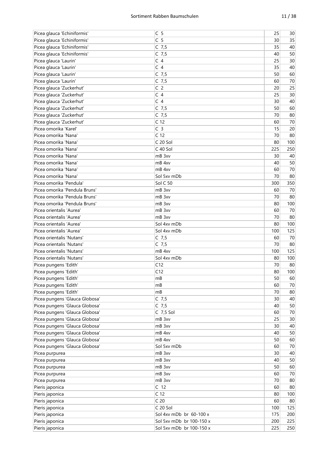| Picea glauca 'Echiniformis'    | C <sub>5</sub>           | 25  | 30     |
|--------------------------------|--------------------------|-----|--------|
| Picea glauca 'Echiniformis'    | C <sub>5</sub>           | 30  | 35     |
| Picea glauca 'Echiniformis'    | $C$ 7,5                  | 35  | 40     |
| Picea glauca 'Echiniformis'    | $C$ 7,5                  | 40  | 50     |
| Picea glauca 'Laurin'          | C <sub>4</sub>           | 25  | 30     |
| Picea glauca 'Laurin'          | C <sub>4</sub>           | 35  | 40     |
| Picea glauca 'Laurin'          | $C$ 7,5                  | 50  | 60     |
| Picea glauca 'Laurin'          | $C$ 7,5                  | 60  | 70     |
| Picea glauca 'Zuckerhut'       | C <sub>2</sub>           | 20  | 25     |
| Picea glauca 'Zuckerhut'       | C <sub>4</sub>           | 25  | 30     |
| Picea glauca 'Zuckerhut'       | C <sub>4</sub>           | 30  | 40     |
| Picea glauca 'Zuckerhut'       | $C$ 7,5                  | 50  | 60     |
| Picea glauca 'Zuckerhut'       | $C$ 7,5                  | 70  | 80     |
| Picea glauca 'Zuckerhut'       | C <sub>12</sub>          | 60  | 70     |
| Picea omorika 'Karel'          | C <sub>3</sub>           | 15  | 20     |
| Picea omorika 'Nana'           | C <sub>12</sub>          | 70  | 80     |
| Picea omorika 'Nana'           | C 20 Sol                 | 80  | 100    |
| Picea omorika 'Nana'           | C 40 Sol                 | 225 | 250    |
| Picea omorika 'Nana'           | mB 3xv                   | 30  | 40     |
| Picea omorika 'Nana'           | mB 4xv                   | 40  | 50     |
| Picea omorika 'Nana'           | mB 4xv                   | 60  | 70     |
| Picea omorika 'Nana'           | Sol 5xv mDb              | 70  | 80     |
| Picea omorika 'Pendula'        | Sol C 50                 | 300 | 350    |
| Picea omorika 'Pendula Bruns'  | mB 3xv                   | 60  | 70     |
| Picea omorika 'Pendula Bruns'  | mB 3xv                   | 70  | 80     |
| Picea omorika 'Pendula Bruns'  | mB 3xv                   | 80  | 100    |
| Picea orientalis 'Aurea'       | mB 3xv                   | 60  | 70     |
| Picea orientalis 'Aurea'       | mB 3xv                   | 70  | 80     |
| Picea orientalis 'Aurea'       | Sol 4xv mDb              | 80  | 100    |
| Picea orientalis 'Aurea'       | Sol 4xv mDb              | 100 | 125    |
| Picea orientalis 'Nutans'      | $C$ 7,5                  | 60  | 70     |
| Picea orientalis 'Nutans'      | $C$ 7,5                  | 70  | 80     |
| Picea orientalis 'Nutans'      | mB 4xv                   | 100 | 125    |
| Picea orientalis 'Nutans'      | Sol 4xv mDb              | 80  | 100    |
| Picea pungens 'Edith'          | C12                      | 70  | 80     |
|                                |                          |     |        |
| Picea pungens 'Edith'          | C12                      | 80  | 100    |
| Picea pungens 'Edith'          | mB                       | 50  | 60     |
| Picea pungens 'Edith'          | mB                       | 60  | 70     |
| Picea pungens 'Edith'          | mB                       | 70  | 80     |
| Picea pungens 'Glauca Globosa' | $C$ 7,5                  | 30  | 40     |
| Picea pungens 'Glauca Globosa' | $C$ 7,5                  | 40  | 50     |
| Picea pungens 'Glauca Globosa' | C 7,5 Sol                | 60  | 70     |
| Picea pungens 'Glauca Globosa' | mB 3xv                   | 25  | 30     |
| Picea pungens 'Glauca Globosa' | mB 3xv                   | 30  | 40     |
| Picea pungens 'Glauca Globosa' | mB 4xv                   | 40  | 50     |
| Picea pungens 'Glauca Globosa' | mB 4xv                   | 50  | 60     |
| Picea pungens 'Glauca Globosa' | Sol 5xv mDb              | 60  | 70     |
| Picea purpurea                 | mB 3xv                   | 30  | 40     |
| Picea purpurea                 | mB 3xv                   | 40  | 50     |
| Picea purpurea                 | mB 3xv                   | 50  | 60     |
| Picea purpurea                 | mB 3xv                   | 60  | $70\,$ |
| Picea purpurea                 | mB 3xv                   | 70  | 80     |
| Pieris japonica                | C <sub>12</sub>          | 60  | 80     |
| Pieris japonica                | C <sub>12</sub>          | 80  | 100    |
| Pieris japonica                | C <sub>20</sub>          | 60  | 80     |
| Pieris japonica                | C 20 Sol                 | 100 | 125    |
| Pieris japonica                | Sol 4xv mDb br 60-100 x  | 175 | 200    |
| Pieris japonica                | Sol 5xv mDb br 100-150 x | 200 | 225    |
| Pieris japonica                | Sol 5xv mDb br 100-150 x | 225 | 250    |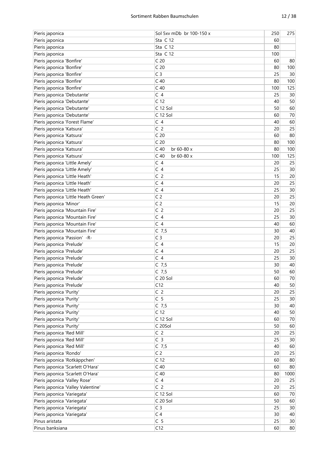| Pieris japonica                      | Sol 5xv mDb br 100-150 x | 250 | 275    |
|--------------------------------------|--------------------------|-----|--------|
| Pieris japonica                      | Sta C 12                 | 60  |        |
| Pieris japonica                      | Sta C 12                 | 80  |        |
| Pieris japonica                      | Sta C 12                 | 100 |        |
| Pieris japonica 'Bonfire'            | C <sub>20</sub>          | 60  | 80     |
| Pieris japonica 'Bonfire'            | C <sub>20</sub>          | 80  | 100    |
| Pieris japonica 'Bonfire'            | C <sub>3</sub>           | 25  | 30     |
| Pieris japonica 'Bonfire'            | C <sub>40</sub>          | 80  | 100    |
| Pieris japonica 'Bonfire'            | C <sub>40</sub>          | 100 | 125    |
| Pieris japonica 'Debutante'          | C <sub>4</sub>           | 25  | 30     |
| Pieris japonica 'Debutante'          | C <sub>12</sub>          | 40  | 50     |
| Pieris japonica 'Debutante'          | C 12 Sol                 | 50  | 60     |
| Pieris japonica 'Debutante'          | C 12 Sol                 | 60  | 70     |
|                                      | C <sub>4</sub>           | 40  |        |
| Pieris japonica 'Forest Flame'       |                          |     | 60     |
| Pieris japonica 'Katsura'            | C <sub>2</sub>           | 20  | 25     |
| Pieris japonica 'Katsura'            | C <sub>20</sub>          | 60  | 80     |
| Pieris japonica 'Katsura'            | C <sub>20</sub>          | 80  | 100    |
| Pieris japonica 'Katsura'            | $C$ 40<br>br 60-80 x     | 80  | 100    |
| Pieris japonica 'Katsura'            | $C$ 40<br>br 60-80 x     | 100 | 125    |
| Pieris japonica 'Little Amely'       | C <sub>4</sub>           | 20  | 25     |
| Pieris japonica 'Little Amely'       | C <sub>4</sub>           | 25  | 30     |
| Pieris japonica 'Little Heath'       | C <sub>2</sub>           | 15  | 20     |
| Pieris japonica 'Little Heath'       | C <sub>4</sub>           | 20  | 25     |
| Pieris japonica 'Little Heath'       | C <sub>4</sub>           | 25  | 30     |
| Pieris japonica 'Little Heath Green' | C <sub>2</sub>           | 20  | 25     |
| Pieris japonica 'Minor'              | C <sub>2</sub>           | 15  | 20     |
| Pieris japonica 'Mountain Fire'      | C <sub>2</sub>           | 20  | 25     |
| Pieris japonica 'Mountain Fire'      | C <sub>4</sub>           | 25  | 30     |
| Pieris japonica 'Mountain Fire'      | C <sub>4</sub>           | 40  | 60     |
| Pieris japonica 'Mountain Fire'      | $C$ 7,5                  | 30  | 40     |
| Pieris japonica 'Passion' -R-        | C <sub>3</sub>           | 20  | 25     |
| Pieris japonica 'Prelude'            | C <sub>4</sub>           | 15  | 20     |
| Pieris japonica 'Prelude'            | C <sub>4</sub>           | 20  | 25     |
| Pieris japonica 'Prelude'            | C <sub>4</sub>           | 25  | 30     |
|                                      |                          | 30  | 40     |
| Pieris japonica 'Prelude'            | $C$ 7,5                  |     |        |
| Pieris japonica 'Prelude'            | $C$ 7,5                  | 50  | 60     |
| Pieris japonica 'Prelude'            | C 20 Sol                 | 60  | 70     |
| Pieris japonica 'Prelude'            | C12                      | 40  | 50     |
| Pieris japonica 'Purity'             | C <sub>2</sub>           | 20  | 25     |
| Pieris japonica 'Purity'             | C <sub>5</sub>           | 25  | $30\,$ |
| Pieris japonica 'Purity'             | $C$ 7,5                  | 30  | 40     |
| Pieris japonica 'Purity'             | C <sub>12</sub>          | 40  | 50     |
| Pieris japonica 'Purity'             | C 12 Sol                 | 60  | $70\,$ |
| Pieris japonica 'Purity'             | C 20Sol                  | 50  | 60     |
| Pieris japonica 'Red Mill'           | C <sub>2</sub>           | 20  | 25     |
| Pieris japonica 'Red Mill'           | C <sub>3</sub>           | 25  | $30\,$ |
| Pieris japonica 'Red Mill'           | $C$ 7,5                  | 40  | 60     |
| Pieris japonica 'Rondo'              | C <sub>2</sub>           | 20  | 25     |
| Pieris japonica 'Rotkäppchen'        | C <sub>12</sub>          | 60  | 80     |
| Pieris japonica 'Scarlett O'Hara'    | $C$ 40                   | 60  | 80     |
| Pieris japonica 'Scarlett O'Hara'    | $C$ 40                   | 80  | 1000   |
| Pieris japonica 'Valley Rose'        | C <sub>4</sub>           | 20  | 25     |
| Pieris japonica 'Valley Valentine'   | C <sub>2</sub>           | 20  | 25     |
| Pieris japonica 'Variegata'          | C 12 Sol                 | 60  | $70$   |
| Pieris japonica 'Variegata'          | C 20 Sol                 | 50  | 60     |
| Pieris japonica 'Variegata'          | C <sub>3</sub>           | 25  | 30     |
| Pieris japonica 'Variegata'          | C <sub>4</sub>           | 30  | 40     |
| Pinus aristata                       | C <sub>5</sub>           | 25  | 30     |
|                                      |                          |     |        |
| Pinus banksiana                      | C12                      | 60  | 80     |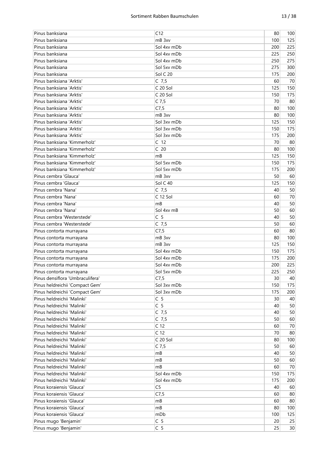| Pinus banksiana                                                    | C12                        | 80         | 100        |
|--------------------------------------------------------------------|----------------------------|------------|------------|
| Pinus banksiana                                                    | mB 3xv                     | 100        | 125        |
| Pinus banksiana                                                    | Sol 4xv mDb                | 200        | 225        |
| Pinus banksiana                                                    | Sol 4xy mDb                | 225        | 250        |
| Pinus banksiana                                                    | Sol 4xy mDb                | 250        | 275        |
| Pinus banksiana                                                    | Sol 5xv mDb                | 275        | 300        |
| Pinus banksiana                                                    | Sol C 20                   | 175        | 200        |
| Pinus banksiana 'Arktis'                                           | $C$ 7,5                    | 60         | 70         |
| Pinus banksiana 'Arktis'                                           | C 20 Sol                   | 125        | 150        |
| Pinus banksiana 'Arktis'                                           | C 20 Sol                   | 150        | 175        |
| Pinus banksiana 'Arktis'                                           | $C$ 7,5                    | 70         | 80         |
| Pinus banksiana 'Arktis'                                           | C7,5                       | 80         | 100        |
| Pinus banksiana 'Arktis'                                           | mB 3xv                     | 80         | 100        |
| Pinus banksiana 'Arktis'                                           | Sol 3xy mDb                | 125        | 150        |
| Pinus banksiana 'Arktis'                                           | Sol 3xy mDb                | 150        | 175        |
| Pinus banksiana 'Arktis'                                           | Sol 3xv mDb                | 175        | 200        |
| Pinus banksiana 'Kimmerholz'                                       | C <sub>12</sub>            | 70         | 80         |
| Pinus banksiana 'Kimmerholz'                                       | C <sub>20</sub>            | 80         | 100        |
| Pinus banksiana 'Kimmerholz'                                       | mB                         | 125        | 150        |
| Pinus banksiana 'Kimmerholz'                                       | Sol 5xy mDb                | 150        | 175        |
| Pinus banksiana 'Kimmerholz'                                       | Sol 5xv mDb                | 175        | 200        |
| Pinus cembra 'Glauca'                                              | mB 3xv                     | 50         | 60         |
| Pinus cembra 'Glauca'                                              | Sol C 40                   | 125        | 150        |
| Pinus cembra 'Nana'                                                | C 7, 5                     | 40         | 50         |
| Pinus cembra 'Nana'                                                | C 12 Sol                   | 60         | 70         |
| Pinus cembra 'Nana'                                                | mB                         | 40         | 50         |
| Pinus cembra 'Nana'                                                | Sol 4xy mB                 | 50         | 60         |
|                                                                    |                            |            |            |
| Pinus cembra 'Westerstede'<br>Pinus cembra 'Westerstede'           | C <sub>5</sub>             | 40<br>50   | 50<br>60   |
|                                                                    | $C$ 7,5                    | 60         | 80         |
| Pinus contorta murrayana                                           | C7,5<br>mB 3xv             | 80         | 100        |
| Pinus contorta murrayana                                           | mB 3xv                     | 125        | 150        |
| Pinus contorta murrayana                                           | Sol 4xy mDb                |            | 175        |
| Pinus contorta murrayana<br>Pinus contorta murrayana               | Sol 4xv mDb                | 150<br>175 | 200        |
|                                                                    | Sol 4xv mDb                | 200        | 225        |
| Pinus contorta murrayana                                           | Sol 5xv mDb                | 225        | 250        |
| Pinus contorta murrayana<br>Pinus densiflora 'Umbraculifera'       | C7,5                       |            | 40         |
|                                                                    |                            | $30\,$     |            |
| Pinus heldreichii 'Compact Gem'<br>Pinus heldreichii 'Compact Gem' | Sol 3xv mDb<br>Sol 3xv mDb | 150<br>175 | 175        |
| Pinus heldreichii 'Malinki'                                        | C <sub>5</sub>             | 30         | 200<br>40  |
| Pinus heldreichii 'Malinki'                                        | C <sub>5</sub>             | 40         | 50         |
| Pinus heldreichii 'Malinki'                                        | $C$ 7,5                    | 40         | 50         |
| Pinus heldreichii 'Malinki'                                        | $C$ 7,5                    | 50         | 60         |
| Pinus heldreichii 'Malinki'                                        | C <sub>12</sub>            | 60         | 70         |
|                                                                    | C <sub>12</sub>            |            |            |
| Pinus heldreichii 'Malinki'<br>Pinus heldreichii 'Malinki'         | C 20 Sol                   | 70<br>80   | 80         |
| Pinus heldreichii 'Malinki'                                        | $C$ 7,5                    | 50         | 100        |
| Pinus heldreichii 'Malinki'                                        |                            | 40         | 60         |
| Pinus heldreichii 'Malinki'                                        | mB<br>mB                   | 50         | 50<br>60   |
| Pinus heldreichii 'Malinki'                                        |                            | 60         | 70         |
| Pinus heldreichii 'Malinki'                                        | mB<br>Sol 4xv mDb          |            |            |
| Pinus heldreichii 'Malinki'                                        | Sol 4xv mDb                | 150<br>175 | 175<br>200 |
| Pinus koraiensis 'Glauca'                                          | C <sub>5</sub>             | 40         | 60         |
| Pinus koraiensis 'Glauca'                                          | C7,5                       | 60         | 80         |
| Pinus koraiensis 'Glauca'                                          | mB                         | 60         | 80         |
| Pinus koraiensis 'Glauca'                                          | mB                         |            | 100        |
| Pinus koraiensis 'Glauca'                                          | mDb                        | 80<br>100  | 125        |
| Pinus mugo 'Benjamin'                                              | C <sub>5</sub>             | 20         | 25         |
| Pinus mugo 'Benjamin'                                              | C <sub>5</sub>             | 25         | 30         |
|                                                                    |                            |            |            |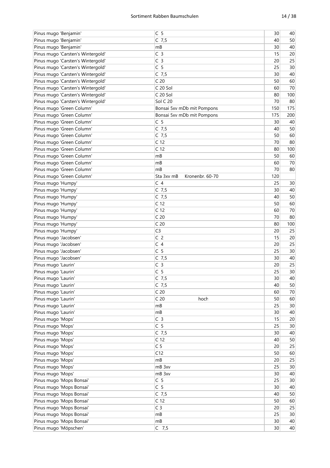| Pinus mugo 'Benjamin'             | C <sub>5</sub>                | 30              | 40     |
|-----------------------------------|-------------------------------|-----------------|--------|
| Pinus mugo 'Benjamin'             | $C$ 7,5                       | 40              | 50     |
| Pinus mugo 'Benjamin'             | mB                            | 30              | 40     |
| Pinus mugo 'Carsten's Wintergold' | C <sub>3</sub>                | 15              | 20     |
| Pinus mugo 'Carsten's Wintergold' | C <sub>3</sub>                | 20              | 25     |
| Pinus mugo 'Carsten's Wintergold' | C <sub>5</sub>                | 25              | 30     |
| Pinus mugo 'Carsten's Wintergold' | $C$ 7,5                       | 30              | 40     |
| Pinus mugo 'Carsten's Wintergold' | C <sub>20</sub>               | 50              | 60     |
| Pinus mugo 'Carsten's Wintergold' | C 20 Sol                      | 60              | 70     |
| Pinus mugo 'Carsten's Wintergold' | C 20 Sol                      | 80              | 100    |
| Pinus mugo 'Carsten's Wintergold' | Sol C 20                      | 70              | 80     |
| Pinus mugo 'Green Column'         |                               | 150             | 175    |
|                                   | Bonsai 5xv mDb mit Pompons    |                 |        |
| Pinus mugo 'Green Column'         | Bonsai 5xv mDb mit Pompons    | 175             | 200    |
| Pinus mugo 'Green Column'         | C <sub>5</sub>                | 30              | 40     |
| Pinus mugo 'Green Column'         | $C$ 7,5                       | 40              | 50     |
| Pinus mugo 'Green Column'         | $C$ 7,5                       | 50              | 60     |
| Pinus mugo 'Green Column'         | C <sub>12</sub>               | 70              | 80     |
| Pinus mugo 'Green Column'         | C <sub>12</sub>               | 80              | 100    |
| Pinus mugo 'Green Column'         | mB                            | 50              | 60     |
| Pinus mugo 'Green Column'         | mB                            | 60              | 70     |
| Pinus mugo 'Green Column'         | mB                            | 70              | 80     |
| Pinus mugo 'Green Column'         | Sta 3xv mB<br>Kronenbr. 60-70 | 120             |        |
| Pinus mugo 'Humpy'                | C <sub>4</sub>                | 25              | 30     |
| Pinus mugo 'Humpy'                | $C$ 7,5                       | 30              | 40     |
| Pinus mugo 'Humpy'                | $C$ 7,5                       | 40              | 50     |
| Pinus mugo 'Humpy'                | C <sub>12</sub>               | 50              | 60     |
| Pinus mugo 'Humpy'                | C <sub>12</sub>               | 60              | 70     |
| Pinus mugo 'Humpy'                | C <sub>20</sub>               | 70              | 80     |
| Pinus mugo 'Humpy'                | C <sub>20</sub>               | 80              | 100    |
| Pinus mugo 'Humpy'                | C <sub>3</sub>                | 20              | 25     |
| Pinus mugo 'Jacobsen'             | C <sub>2</sub>                | 15              | 20     |
| Pinus mugo 'Jacobsen'             | C <sub>4</sub>                | 20              | 25     |
| Pinus mugo 'Jacobsen'             | C <sub>5</sub>                | 25              | 30     |
| Pinus mugo 'Jacobsen'             | $C$ 7,5                       | 30              | 40     |
|                                   | C <sub>3</sub>                | 20              | 25     |
| Pinus mugo 'Laurin'               |                               |                 |        |
| Pinus mugo 'Laurin'               | C <sub>5</sub>                | 25              | 30     |
| Pinus mugo 'Laurin'               | $C$ 7,5                       | 30              | 40     |
| Pinus mugo 'Laurin'               | $C$ 7,5                       | 40              | 50     |
| Pinus mugo 'Laurin'               | C <sub>20</sub>               | 60              | $70$   |
| Pinus mugo 'Laurin'               | C <sub>20</sub><br>hoch       | 50              | 60     |
| Pinus mugo 'Laurin'               | mB                            | 25              | 30     |
| Pinus mugo 'Laurin'               | mB                            | 30              | 40     |
| Pinus mugo 'Mops'                 | C <sub>3</sub>                | 15              | 20     |
| Pinus mugo 'Mops'                 | C <sub>5</sub>                | 25              | $30\,$ |
| Pinus mugo 'Mops'                 | $C$ 7,5                       | 30              | 40     |
| Pinus mugo 'Mops'                 | C <sub>12</sub>               | 40              | 50     |
| Pinus mugo 'Mops'                 | C <sub>5</sub>                | 20              | 25     |
| Pinus mugo 'Mops'                 | C12                           | 50              | 60     |
| Pinus mugo 'Mops'                 | mB                            | 20              | 25     |
| Pinus mugo 'Mops'                 | mB 3xv                        | 25              | 30     |
| Pinus mugo 'Mops'                 | mB 3xv                        | 30              | 40     |
| Pinus mugo 'Mops Bonsai'          | C <sub>5</sub>                | 25              | 30     |
| Pinus mugo 'Mops Bonsai'          | C <sub>5</sub>                | 30 <sup>°</sup> | 40     |
| Pinus mugo 'Mops Bonsai'          | $C$ 7,5                       | 40              | 50     |
| Pinus mugo 'Mops Bonsai'          | C <sub>12</sub>               | 50              | 60     |
| Pinus mugo 'Mops Bonsai'          | C <sub>3</sub>                | 20              | 25     |
| Pinus mugo 'Mops Bonsai'          | mB                            | 25              | 30     |
| Pinus mugo 'Mops Bonsai'          | mB                            | 30              | 40     |
| Pinus mugo 'Möpschen'             | $C$ 7,5                       | 30              | 40     |
|                                   |                               |                 |        |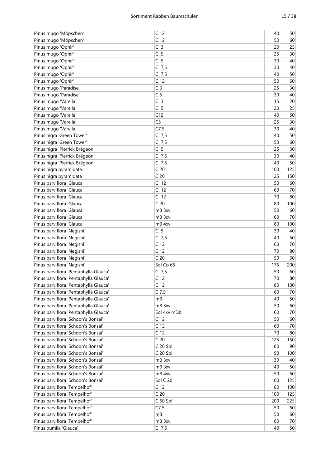| Pinus mugo 'Möpschen'                 | C <sub>12</sub> | 40  | 50  |
|---------------------------------------|-----------------|-----|-----|
| Pinus mugo 'Möpschen'                 | C <sub>12</sub> | 50  | 60  |
| Pinus mugo 'Ophir'                    | C <sub>3</sub>  | 20  | 25  |
| Pinus mugo 'Ophir'                    | C <sub>5</sub>  | 25  | 30  |
| Pinus mugo 'Ophir'                    | C <sub>5</sub>  | 30  | 40  |
| Pinus mugo 'Ophir'                    | $C$ 7,5         | 30  | 40  |
| Pinus mugo 'Ophir'                    | $C$ 7,5         | 40  | 50  |
| Pinus mugo 'Ophir'                    | C <sub>12</sub> | 50  | 60  |
| Pinus mugo 'Paradise'                 | C <sub>3</sub>  | 25  | 30  |
| Pinus mugo 'Paradise'                 | C <sub>5</sub>  | 30  | 40  |
| Pinus mugo 'Varella'                  | C <sub>3</sub>  | 15  | 20  |
|                                       | C <sub>5</sub>  | 20  | 25  |
| Pinus mugo 'Varella'                  |                 |     |     |
| Pinus mugo 'Varella'                  | C12             | 40  | 50  |
| Pinus mugo 'Varella'                  | C <sub>5</sub>  | 25  | 30  |
| Pinus mugo 'Varella'                  | C7,5            | 30  | 40  |
| Pinus nigra 'Green Tower'             | $C$ 7,5         | 40  | 50  |
| Pinus nigra 'Green Tower'             | $C$ 7,5         | 50  | 60  |
| Pinus nigra 'Pierrick Brégeon'        | C <sub>5</sub>  | 25  | 30  |
| Pinus nigra 'Pierrick Brégeon'        | $C$ 7,5         | 30  | 40  |
| Pinus nigra 'Pierrick Brégeon'        | $C$ 7,5         | 40  | 50  |
| Pinus nigra pyramidata                | C <sub>20</sub> | 100 | 125 |
| Pinus nigra pyramidata                | C <sub>20</sub> | 125 | 150 |
| Pinus parviflora 'Glauca'             | C <sub>12</sub> | 50  | 60  |
| Pinus parviflora 'Glauca'             | C <sub>12</sub> | 60  | 70  |
| Pinus parviflora 'Glauca'             | C <sub>12</sub> | 70  | 80  |
| Pinus parviflora 'Glauca'             | C <sub>20</sub> | 80  | 100 |
| Pinus parviflora 'Glauca'             | mB 3xv          | 50  | 60  |
| Pinus parviflora 'Glauca'             | mB 3xv          | 60  | 70  |
| Pinus parviflora 'Glauca'             | mB 4xv          | 80  | 100 |
| Pinus parviflora 'Negishi'            | C <sub>5</sub>  | 30  | 40  |
| Pinus parviflora 'Negishi'            | $C$ 7,5         | 40  | 50  |
| Pinus parviflora 'Negishi'            | C <sub>12</sub> | 60  | 70  |
| Pinus parviflora 'Negishi'            | C <sub>12</sub> | 70  | 80  |
| Pinus parviflora 'Negishi'            | C <sub>20</sub> | 50  | 60  |
|                                       |                 |     |     |
| Pinus parviflora 'Negishi'            | Sol Co 65       | 175 | 200 |
| Pinus parviflora 'Pentaphylla Glauca' | $C$ 7,5         | 50  | 60  |
| Pinus parviflora 'Pentaphylla Glauca' | C <sub>12</sub> | 70  | 80  |
| Pinus parviflora 'Pentaphylla Glauca' | C <sub>12</sub> | 80  | 100 |
| Pinus parviflora 'Pentaphylla Glauca' | $C$ 7,5         | 60  | 70  |
| Pinus parviflora 'Pentaphylla Glauca' | mB              | 40  | 50  |
| Pinus parviflora 'Pentaphylla Glauca' | mB 3xv          | 50  | 60  |
| Pinus parviflora 'Pentaphylla Glauca' | Sol 4xv mDb     | 60  | 70  |
| Pinus parviflora 'Schoon's Bonsai'    | C <sub>12</sub> | 50  | 60  |
| Pinus parviflora 'Schoon's Bonsai'    | C <sub>12</sub> | 60  | 70  |
| Pinus parviflora 'Schoon's Bonsai'    | C <sub>12</sub> | 70  | 80  |
| Pinus parviflora 'Schoon's Bonsai'    | C <sub>20</sub> | 125 | 150 |
| Pinus parviflora 'Schoon's Bonsai'    | C 20 Sol        | 80  | 90  |
| Pinus parviflora 'Schoon's Bonsai'    | C 20 Sol        | 90  | 100 |
| Pinus parviflora 'Schoon's Bonsai'    | mB 3xv          | 30  | 40  |
| Pinus parviflora 'Schoon's Bonsai'    | mB 3xv          | 40  | 50  |
| Pinus parviflora 'Schoon's Bonsai'    | mB 4xv          | 50  | 60  |
| Pinus parviflora 'Schoon's Bonsai'    | Sol C 20        | 100 | 125 |
| Pinus parviflora 'Tempelhof'          | C <sub>12</sub> | 80  | 100 |
| Pinus parviflora 'Tempelhof'          | C <sub>20</sub> | 100 | 125 |
| Pinus parviflora 'Tempelhof'          | C 50 Sol        | 200 | 225 |
| Pinus parviflora 'Tempelhof'          | C7,5            | 50  | 60  |
| Pinus parviflora 'Tempelhof'          | mB              | 50  | 60  |
|                                       | mB 3xv          |     |     |
| Pinus parviflora 'Tempelhof'          |                 | 60  | 70  |
| Pinus pumila 'Glauca'                 | $C$ 7,5         | 40  | 50  |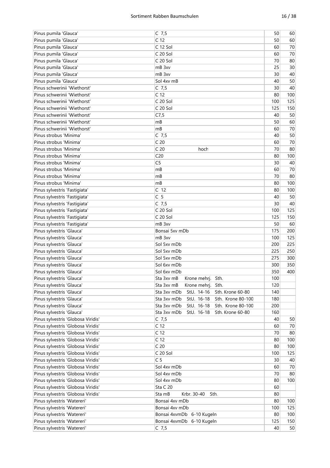| Pinus pumila 'Glauca'              | $C$ 7,5                                        | 50  | 60  |
|------------------------------------|------------------------------------------------|-----|-----|
| Pinus pumila 'Glauca'              | C <sub>12</sub>                                | 50  | 60  |
| Pinus pumila 'Glauca'              | C 12 Sol                                       | 60  | 70  |
| Pinus pumila 'Glauca'              | C 20 Sol                                       | 60  | 70  |
| Pinus pumila 'Glauca'              | C 20 Sol                                       | 70  | 80  |
| Pinus pumila 'Glauca'              | mB 3xv                                         | 25  | 30  |
| Pinus pumila 'Glauca'              | mB 3xv                                         | 30  | 40  |
| Pinus pumila 'Glauca'              | Sol 4xv mB                                     | 40  | 50  |
| Pinus schwerinii 'Wiethorst'       | $C$ 7,5                                        | 30  | 40  |
| Pinus schwerinii 'Wiethorst'       | C <sub>12</sub>                                | 80  | 100 |
| Pinus schwerinii 'Wiethorst'       | C 20 Sol                                       | 100 | 125 |
| Pinus schwerinii 'Wiethorst'       | C 20 Sol                                       | 125 | 150 |
| Pinus schwerinii 'Wiethorst'       | C7,5                                           | 40  | 50  |
| Pinus schwerinii 'Wiethorst'       | mB                                             | 50  | 60  |
| Pinus schwerinii 'Wiethorst'       | mB                                             | 60  | 70  |
| Pinus strobus 'Minima'             | C $7,5$                                        | 40  | 50  |
| Pinus strobus 'Minima'             | C <sub>20</sub>                                | 60  | 70  |
| Pinus strobus 'Minima'             | C <sub>20</sub><br>hoch                        | 70  | 80  |
| Pinus strobus 'Minima'             | C <sub>20</sub>                                | 80  | 100 |
| Pinus strobus 'Minima'             | C <sub>5</sub>                                 | 30  | 40  |
| Pinus strobus 'Minima'             | mB                                             | 60  | 70  |
| Pinus strobus 'Minima'             | mB                                             | 70  | 80  |
| Pinus strobus 'Minima'             | mB                                             | 80  | 100 |
| Pinus sylvestris 'Fastigiata'      | C <sub>12</sub>                                | 80  | 100 |
| Pinus sylvestris 'Fastigiata'      | C <sub>5</sub>                                 | 40  | 50  |
| Pinus sylvestris 'Fastigiata'      | $C$ 7,5                                        | 30  | 40  |
| Pinus sylvestris 'Fastigiata'      | C 20 Sol                                       | 100 | 125 |
| Pinus sylvestris 'Fastigiata'      | C 20 Sol                                       | 125 | 150 |
| Pinus sylvestris 'Fastigiata'      | mB 3xv                                         | 50  | 60  |
| Pinus sylvestris 'Glauca'          | Bonsai 5xv mDb                                 | 175 | 200 |
| Pinus sylvestris 'Glauca'          | mB 3xv                                         | 100 | 125 |
| Pinus sylvestris 'Glauca'          | Sol 5xv mDb                                    | 200 | 225 |
| Pinus sylvestris 'Glauca'          | Sol 5xv mDb                                    | 225 | 250 |
| Pinus sylvestris 'Glauca'          | Sol 5xv mDb                                    | 275 | 300 |
| Pinus sylvestris 'Glauca'          | Sol 6xy mDb                                    | 300 | 350 |
| Pinus sylvestris 'Glauca'          | Sol 6xv mDb                                    | 350 | 400 |
| Pinus sylvestris 'Glauca'          | Sta 3xv mB<br>Krone mehrj. Sth.                | 100 |     |
| Pinus sylvestris 'Glauca'          | Sta 3xv mB<br>Krone mehrj. Sth.                | 120 |     |
| Pinus sylvestris 'Glauca'          | StU. 14-16<br>Sth. Krone 60-80<br>Sta 3xv mDb  | 140 |     |
| Pinus sylvestris 'Glauca'          | StU. 16-18<br>Sth. Krone 80-100<br>Sta 3xv mDb | 180 |     |
| Pinus sylvestris 'Glauca'          | StU. 16-18<br>Sth. Krone 80-100<br>Sta 3xv mDb | 200 |     |
| Pinus sylvestris 'Glauca'          | StU. 16-18<br>Sth. Krone 60-80<br>Sta 3xv mDb  | 160 |     |
| Pinus sylvestris 'Globosa Viridis' | $C$ 7,5                                        | 40  | 50  |
| Pinus sylvestris 'Globosa Viridis' | C <sub>12</sub>                                | 60  | 70  |
| Pinus sylvestris 'Globosa Viridis' | C <sub>12</sub>                                | 70  | 80  |
| Pinus sylvestris 'Globosa Viridis' | C <sub>12</sub>                                | 80  | 100 |
| Pinus sylvestris 'Globosa Viridis' | C <sub>20</sub>                                | 80  | 100 |
| Pinus sylvestris 'Globosa Viridis' | C 20 Sol                                       | 100 | 125 |
| Pinus sylvestris 'Globosa Viridis' | C <sub>5</sub>                                 | 30  | 40  |
| Pinus sylvestris 'Globosa Viridis' | Sol 4xv mDb                                    | 60  | 70  |
| Pinus sylvestris 'Globosa Viridis' | Sol 4xv mDb                                    | 70  | 80  |
| Pinus sylvestris 'Globosa Viridis' | Sol 4xv mDb                                    | 80  | 100 |
| Pinus sylvestris 'Globosa Viridis' | Sta C 20                                       | 60  |     |
| Pinus sylvestris 'Globosa Viridis' | Sta mB<br>Krbr. 30-40<br>Sth.                  | 80  |     |
| Pinus sylvestris 'Watereri'        | Bonsai 4xv mDb                                 | 80  | 100 |
| Pinus sylvestris 'Watereri'        | Bonsai 4xv mDb                                 | 100 | 125 |
| Pinus sylvestris 'Watereri'        | Bonsai 4xvmDb 6-10 Kugeln                      | 80  | 100 |
| Pinus sylvestris 'Watereri'        | Bonsai 4xvmDb 6-10 Kugeln                      | 125 | 150 |
| Pinus sylvestris 'Watereri'        | $C$ 7,5                                        | 40  | 50  |
|                                    |                                                |     |     |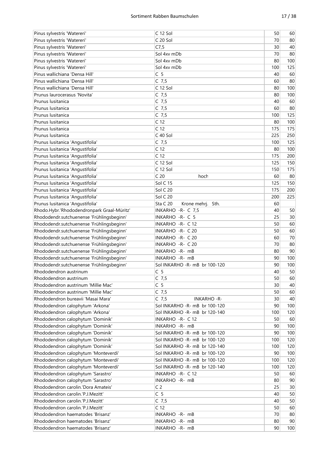| Pinus sylvestris 'Watereri'                                         | C 12 Sol                                         | 50       | 60              |
|---------------------------------------------------------------------|--------------------------------------------------|----------|-----------------|
| Pinus sylvestris 'Watereri'                                         | C 20 Sol                                         | 70       | 80              |
| Pinus sylvestris 'Watereri'                                         | C7,5                                             | 30       | 40              |
| Pinus sylvestris 'Watereri'                                         | Sol 4xv mDb                                      | 70       | 80              |
| Pinus sylvestris 'Watereri'                                         | Sol 4xy mDb                                      | 80       | 100             |
| Pinus sylvestris 'Watereri'                                         | Sol 4xv mDb                                      | 100      | 125             |
| Pinus wallichiana 'Densa Hill'                                      | C <sub>5</sub>                                   | 40       | 60              |
| Pinus wallichiana 'Densa Hill'                                      | $C$ 7,5                                          | 60       | 80              |
| Pinus wallichiana 'Densa Hill'                                      | C 12 Sol                                         | 80       | 100             |
| Prunus laurocerasus 'Novita'                                        | $C$ 7,5                                          | 80       | 100             |
| Prunus Iusitanica                                                   | $C$ 7,5                                          | 40       | 60              |
| Prunus Iusitanica                                                   | $C$ 7,5                                          | 60       | 80              |
| Prunus Iusitanica                                                   | C $7,5$                                          | 100      | 125             |
| Prunus Iusitanica                                                   | C <sub>12</sub>                                  | 80       | 100             |
| Prunus lusitanica                                                   | C <sub>12</sub>                                  | 175      | 175             |
| Prunus Iusitanica                                                   | C 40 Sol                                         | 225      | 250             |
| Prunus lusitanica 'Angustifolia'                                    | $C$ 7,5                                          | 100      | 125             |
| Prunus lusitanica 'Angustifolia'                                    | C <sub>12</sub>                                  | 80       | 100             |
| Prunus lusitanica 'Angustifolia'                                    | C <sub>12</sub>                                  | 175      | 200             |
| Prunus lusitanica 'Angustifolia'                                    | C 12 Sol                                         | 125      | 150             |
| Prunus lusitanica 'Angustifolia'                                    | C 12 Sol                                         | 150      | 175             |
| Prunus lusitanica 'Angustifolia'                                    | C <sub>20</sub><br>hoch                          | 60       | 80              |
| Prunus lusitanica 'Angustifolia'                                    | Sol C 15                                         | 125      | 150             |
| Prunus lusitanica 'Angustifolia'                                    | Sol C 20                                         | 175      | 200             |
| Prunus lusitanica 'Angustifolia'                                    | Sol C 20                                         | 200      | 225             |
| Prunus lusitanica 'Angustifolia'                                    | Sta C 20<br>Krone mehrj. Sth.                    | 60       |                 |
| Rhodo.Hybr.'Rhododendronpark Graal-Müritz'                          | INKARHO -R- C 7,5                                | 40       | 50              |
| Rhododendr.sutchuenense 'Frühlingsbeginn'                           | INKARHO -R- C 5                                  | 25       | 30 <sup>°</sup> |
| Rhododendr.sutchuenense 'Frühlingsbeginn'                           | INKARHO - R- C 12                                | 50       | 60              |
| Rhododendr.sutchuenense 'Frühlingsbeginn'                           | INKARHO - R- C 20                                | 50       | 60              |
| Rhododendr.sutchuenense 'Frühlingsbeginn'                           | INKARHO - R- C 20                                | 60       | $70\,$          |
| Rhododendr.sutchuenense 'Frühlingsbeginn'                           | INKARHO - R- C 20                                | 70       | 80              |
| Rhododendr.sutchuenense 'Frühlingsbeginn'                           | INKARHO - R- mB                                  |          | 90              |
|                                                                     | INKARHO - R- mB                                  | 80<br>90 | 100             |
| Rhododendr.sutchuenense 'Frühlingsbeginn'                           |                                                  | 90       | 100             |
| Rhododendr.sutchuenense 'Frühlingsbeginn'<br>Rhododendron austrinum | Sol INKARHO - R- mB br 100-120<br>C <sub>5</sub> | 40       | 50              |
|                                                                     |                                                  | 50       | 60              |
| Rhododendron austrinum                                              | C 7,5                                            |          |                 |
| Rhododendron austrinum 'Millie Mac'                                 | C <sub>5</sub>                                   | 30       | 40              |
| Rhododendron austrinum 'Millie Mac'                                 | $C$ 7,5                                          | 50       | 60              |
| Rhododendron bureavii 'Masai Mara'                                  | C $7,5$<br><b>INKARHO-R-</b>                     | 30       | 40              |
| Rhododendron calophytum 'Arkona'                                    | Sol INKARHO - R- mB br 100-120                   | 90       | 100             |
| Rhododendron calophytum 'Arkona'                                    | Sol INKARHO - R- mB br 120-140                   | 100      | 120             |
| Rhododendron calophytum 'Dominik'                                   | INKARHO - R- C 12                                | 50       | 60              |
| Rhododendron calophytum 'Dominik'                                   | INKARHO - R- mB                                  | 90       | 100             |
| Rhododendron calophytum 'Dominik'                                   | Sol INKARHO - R- mB br 100-120                   | 90       | 100             |
| Rhododendron calophytum 'Dominik'                                   | Sol INKARHO - R- mB br 100-120                   | 100      | 120             |
| Rhododendron calophytum 'Dominik'                                   | Sol INKARHO - R- mB br 120-140                   | 100      | 120             |
| Rhododendron calophytum 'Monteverdi'                                | Sol INKARHO - R- mB br 100-120                   | 90       | 100             |
| Rhododendron calophytum 'Monteverdi'                                | Sol INKARHO - R- mB br 100-120                   | 100      | 120             |
| Rhododendron calophytum 'Monteverdi'                                | Sol INKARHO - R- mB br 120-140                   | 100      | 120             |
| Rhododendron calophytum 'Sarastro'                                  | INKARHO - R- C 12                                | 50       | 60              |
| Rhododendron calophytum 'Sarastro'                                  | INKARHO - R- mB                                  | 80       | 90              |
| Rhododendron carolin.'Dora Amateis'                                 | C <sub>2</sub>                                   | 25       | 30              |
| Rhododendron carolin.'P.J.Mezitt'                                   | C <sub>5</sub>                                   | 40       | 50              |
| Rhododendron carolin.'P.J.Mezitt'                                   | $C$ 7,5                                          | 40       | 50              |
| Rhododendron carolin.'P.J.Mezitt'                                   | C <sub>12</sub>                                  | 50       | 60              |
| Rhododendron haematodes 'Brisanz'                                   | INKARHO -R- mB                                   | 70       | 80              |
| Rhododendron haematodes 'Brisanz'                                   | INKARHO -R- mB                                   | 80       | 90              |
| Rhododendron haematodes 'Brisanz'                                   | INKARHO -R- mB                                   | 90       | 100             |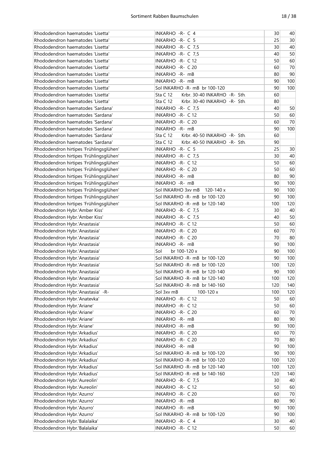| Rhododendron haematodes 'Lisetta'       | INKARHO - R- C 4                                | 30  | 40     |
|-----------------------------------------|-------------------------------------------------|-----|--------|
| Rhododendron haematodes 'Lisetta'       | INKARHO - R- C 5                                | 25  | 30     |
| Rhododendron haematodes 'Lisetta'       | INKARHO - R- C 7,5                              | 30  | 40     |
| Rhododendron haematodes 'Lisetta'       | INKARHO - R- C 7,5                              | 40  | 50     |
| Rhododendron haematodes 'Lisetta'       | INKARHO - R- C 12                               | 50  | 60     |
| Rhododendron haematodes 'Lisetta'       | INKARHO - R- C 20                               | 60  | 70     |
| Rhododendron haematodes 'Lisetta'       | INKARHO - R- mB                                 | 80  | 90     |
| Rhododendron haematodes 'Lisetta'       | INKARHO - R- mB                                 | 90  | 100    |
| Rhododendron haematodes 'Lisetta'       | Sol INKARHO - R- mB br 100-120                  | 90  | 100    |
| Rhododendron haematodes 'Lisetta'       | <b>Sta C 12</b><br>Krbr. 30-40 INKARHO -R- Sth. | 60  |        |
| Rhododendron haematodes 'Lisetta'       | <b>Sta C 12</b><br>Krbr. 30-40 INKARHO -R- Sth. | 80  |        |
| Rhododendron haematodes 'Sardana'       | INKARHO - R- C 7,5                              | 40  | 50     |
| Rhododendron haematodes 'Sardana'       | INKARHO - R- C 12                               | 50  | 60     |
| Rhododendron haematodes 'Sardana'       | INKARHO -R- C 20                                | 60  | 70     |
| Rhododendron haematodes 'Sardana'       | INKARHO - R- mB                                 | 90  | 100    |
|                                         |                                                 |     |        |
| Rhododendron haematodes 'Sardana'       | Sta C 12<br>Krbr. 40-50 INKARHO -R- Sth.        | 60  |        |
| Rhododendron haematodes 'Sardana'       | Sta C 12<br>Krbr. 40-50 INKARHO -R- Sth.        | 90  |        |
| Rhododendron hirtipes 'Frühlingsglühen' | INKARHO - R- C 5                                | 25  | 30     |
| Rhododendron hirtipes 'Frühlingsglühen' | INKARHO - R- C 7,5                              | 30  | 40     |
| Rhododendron hirtipes 'Frühlingsglühen' | INKARHO - R- C 12                               | 50  | 60     |
| Rhododendron hirtipes 'Frühlingsglühen' | INKARHO - R- C 20                               | 50  | 60     |
| Rhododendron hirtipes 'Frühlingsglühen' | INKARHO - R- mB                                 | 80  | 90     |
| Rhododendron hirtipes 'Frühlingsglühen' | INKARHO - R- mB                                 | 90  | 100    |
| Rhododendron hirtipes 'Frühlingsglühen' | Sol INKARHO 3xv mB<br>120-140 x                 | 90  | 100    |
| Rhododendron hirtipes 'Frühlingsglühen' | Sol INKARHO - R- mB br 100-120                  | 90  | 100    |
| Rhododendron hirtipes 'Frühlingsglühen' | Sol INKARHO -R- mB br 120-140                   | 100 | 120    |
| Rhododendron Hybr.'Amber Kiss'          | INKARHO - R- C 7,5                              | 30  | 40     |
| Rhododendron Hybr.'Amber Kiss'          | INKARHO - R- C 7,5                              | 40  | 50     |
| Rhododendron Hybr.'Anastasia'           | INKARHO - R- C 12                               | 50  | 60     |
| Rhododendron Hybr.'Anastasia'           | INKARHO - R- C 20                               | 60  | 70     |
| Rhododendron Hybr.'Anastasia'           | INKARHO - R- C 20                               | 70  | 80     |
| Rhododendron Hybr.'Anastasia'           | INKARHO - R- mB                                 | 90  | 100    |
| Rhododendron Hybr.'Anastasia'           | Sol<br>br 100-120 x                             | 90  | 100    |
| Rhododendron Hybr.'Anastasia'           | Sol INKARHO - R- mB br 100-120                  | 90  | 100    |
| Rhododendron Hybr.'Anastasia'           | Sol INKARHO - R- mB br 100-120                  | 100 | 120    |
| Rhododendron Hybr.'Anastasia'           | Sol INKARHO -R- mB br 120-140                   | 90  | 100    |
| Rhododendron Hybr.'Anastasia'           | Sol INKARHO - R- mB br 120-140                  | 100 | 120    |
| Rhododendron Hybr.'Anastasia'           | Sol INKARHO -R- mB br 140-160                   | 120 | 140    |
| Rhododendron Hybr.'Anastasia' -R-       | Sol 3xv mB<br>100-120 x                         | 100 | 120    |
| Rhododendron Hybr.'Anatevka'            | INKARHO - R- C 12                               | 50  | 60     |
| Rhododendron Hybr.'Ariane'              | INKARHO - R- C 12                               | 50  | 60     |
| Rhododendron Hybr.'Ariane'              | INKARHO - R- C 20                               | 60  | $70\,$ |
| Rhododendron Hybr.'Ariane'              | INKARHO -R- mB                                  | 80  | 90     |
| Rhododendron Hybr.'Ariane'              | INKARHO -R- mB                                  | 90  | 100    |
| Rhododendron Hybr.'Arkadius'            | INKARHO - R- C 20                               | 60  | 70     |
| Rhododendron Hybr.'Arkadius'            | INKARHO - R- C 20                               | 70  | 80     |
| Rhododendron Hybr.'Arkadius'            | INKARHO - R- mB                                 | 90  | 100    |
| Rhododendron Hybr.'Arkadius'            | Sol INKARHO -R- mB br 100-120                   | 90  | 100    |
| Rhododendron Hybr.'Arkadius'            | Sol INKARHO - R- mB br 100-120                  | 100 | 120    |
| Rhododendron Hybr.'Arkadius'            | Sol INKARHO -R- mB br 120-140                   | 100 | 120    |
| Rhododendron Hybr.'Arkadius'            | Sol INKARHO -R- mB br 140-160                   | 120 | 140    |
| Rhododendron Hybr.'Aureolin'            | INKARHO - R- C 7,5                              | 30  | 40     |
| Rhododendron Hybr.'Aureolin'            | INKARHO - R- C 12                               | 50  | 60     |
|                                         |                                                 | 60  |        |
| Rhododendron Hybr.'Azurro'              | INKARHO - R- C 20                               |     | 70     |
| Rhododendron Hybr.'Azurro'              | INKARHO -R- mB                                  | 80  | 90     |
| Rhododendron Hybr.'Azurro'              | INKARHO - R- mB                                 | 90  | 100    |
| Rhododendron Hybr.'Azurro'              | Sol INKARHO -R- mB br 100-120                   | 90  | 100    |
| Rhododendron Hybr.'Balalaika'           | INKARHO - R- C 4                                | 30  | 40     |
| Rhododendron Hybr.'Balalaika'           | INKARHO - R- C 12                               | 50  | 60     |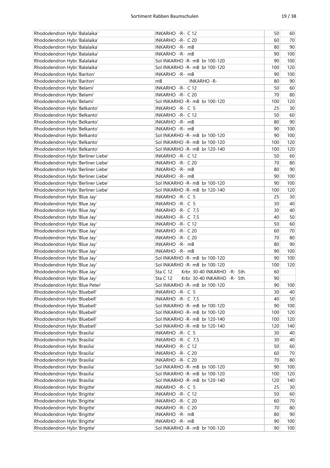| Rhododendron Hybr.'Balalaika'      | INKARHO - R- C 12                               | 50  | 60     |
|------------------------------------|-------------------------------------------------|-----|--------|
| Rhododendron Hybr.'Balalaika'      | INKARHO -R- C 20                                | 60  | 70     |
| Rhododendron Hybr.'Balalaika'      | INKARHO -R- mB                                  | 80  | 90     |
| Rhododendron Hybr.'Balalaika'      | INKARHO - R- mB                                 | 90  | 100    |
| Rhododendron Hybr.'Balalaika'      | Sol INKARHO - R- mB br 100-120                  | 90  | 100    |
| Rhododendron Hybr.'Balalaika'      | Sol INKARHO - R- mB br 100-120                  | 100 | 120    |
| Rhododendron Hybr.'Bariton'        | INKARHO -R- mB                                  | 90  | 100    |
| Rhododendron Hybr.'Bariton'        | mB<br><b>INKARHO-R-</b>                         | 80  | 90     |
| Rhododendron Hybr.'Belami'         | INKARHO - R- C 12                               | 50  | 60     |
| Rhododendron Hybr.'Belami'         | INKARHO - R- C 20                               | 70  | 80     |
| Rhododendron Hybr.'Belami'         | Sol INKARHO - R- mB br 100-120                  | 100 | 120    |
| Rhododendron Hybr.'Belkanto'       | INKARHO -R- C 5                                 | 25  | 30     |
| Rhododendron Hybr.'Belkanto'       | INKARHO -R- C 12                                | 50  | 60     |
| Rhododendron Hybr.'Belkanto'       | INKARHO -R- mB                                  | 80  | 90     |
| Rhododendron Hybr.'Belkanto'       | INKARHO -R- mB                                  | 90  | 100    |
| Rhododendron Hybr.'Belkanto'       | Sol INKARHO -R- mB br 100-120                   | 90  | 100    |
| Rhododendron Hybr.'Belkanto'       | Sol INKARHO - R- mB br 100-120                  | 100 | 120    |
| Rhododendron Hybr.'Belkanto'       | Sol INKARHO - R- mB br 120-140                  | 100 | 120    |
| Rhododendron Hybr.'Berliner Liebe' | INKARHO - R- C 12                               | 50  | 60     |
| Rhododendron Hybr.'Berliner Liebe' | INKARHO - R- C 20                               | 70  | 80     |
| Rhododendron Hybr.'Berliner Liebe' | INKARHO - R- mB                                 | 80  | 90     |
| Rhododendron Hybr.'Berliner Liebe' | INKARHO - R- mB                                 | 90  | 100    |
|                                    | Sol INKARHO - R- mB br 100-120                  | 90  | 100    |
| Rhododendron Hybr.'Berliner Liebe' |                                                 |     |        |
| Rhododendron Hybr.'Berliner Liebe' | Sol INKARHO -R- mB br 120-140                   | 100 | 120    |
| Rhododendron Hybr.'Blue Jay'       | INKARHO -R- C 5                                 | 25  | 30     |
| Rhododendron Hybr.'Blue Jay'       | INKARHO -R- C 5                                 | 30  | 40     |
| Rhododendron Hybr.'Blue Jay'       | INKARHO - R- C 7,5                              | 30  | 40     |
| Rhododendron Hybr.'Blue Jay'       | INKARHO - R- C 7,5                              | 40  | 50     |
| Rhododendron Hybr.'Blue Jay'       | INKARHO - R- C 12                               | 50  | 60     |
| Rhododendron Hybr.'Blue Jay'       | INKARHO - R- C 20                               | 60  | 70     |
| Rhododendron Hybr.'Blue Jay'       | INKARHO - R- C 20                               | 70  | 80     |
| Rhododendron Hybr.'Blue Jay'       | INKARHO -R- mB                                  | 80  | 90     |
| Rhododendron Hybr.'Blue Jay'       | INKARHO -R- mB                                  | 90  | 100    |
| Rhododendron Hybr.'Blue Jay'       | Sol INKARHO -R- mB br 100-120                   | 90  | 100    |
| Rhododendron Hybr.'Blue Jay'       | Sol INKARHO - R- mB br 100-120                  | 100 | 120    |
| Rhododendron Hybr.'Blue Jay'       | <b>Sta C 12</b><br>Krbr. 30-40 INKARHO -R- Sth. | 60  |        |
| Rhododendron Hybr.'Blue Jay'       | <b>Sta C 12</b><br>Krbr. 30-40 INKARHO -R- Sth. | 90  |        |
| Rhododendron Hybr.'Blue Peter'     | Sol INKARHO -R- mB br 100-120                   | 90  | 100    |
| Rhododendron Hybr.'Bluebell'       | INKARHO -R- C 5                                 | 30  | 40     |
| Rhododendron Hybr.'Bluebell'       | INKARHO - R- C 7,5                              | 40  | 50     |
| Rhododendron Hybr.'Bluebell'       | Sol INKARHO -R- mB br 100-120                   | 90  | 100    |
| Rhododendron Hybr.'Bluebell'       | Sol INKARHO -R- mB br 100-120                   | 100 | 120    |
| Rhododendron Hybr.'Bluebell'       | Sol INKARHO -R- mB br 120-140                   | 100 | 120    |
| Rhododendron Hybr.'Bluebell'       | Sol INKARHO -R- mB br 120-140                   | 120 | 140    |
| Rhododendron Hybr.'Brasilia'       | INKARHO - R- C 5                                | 30  | 40     |
| Rhododendron Hybr.'Brasilia'       | INKARHO - R- C 7,5                              | 30  | 40     |
| Rhododendron Hybr.'Brasilia'       | INKARHO - R- C 12                               | 50  | 60     |
| Rhododendron Hybr.'Brasilia'       | INKARHO - R- C 20                               | 60  | $70\,$ |
| Rhododendron Hybr.'Brasilia'       | INKARHO - R- C 20                               | 70  | 80     |
| Rhododendron Hybr.'Brasilia'       | Sol INKARHO -R- mB br 100-120                   | 90  | 100    |
| Rhododendron Hybr.'Brasilia'       | Sol INKARHO -R- mB br 100-120                   | 100 | 120    |
| Rhododendron Hybr.'Brasilia'       | Sol INKARHO -R- mB br 120-140                   | 120 | 140    |
| Rhododendron Hybr.'Brigitte'       | INKARHO -R- C 5                                 | 25  | 30     |
| Rhododendron Hybr.'Brigitte'       | INKARHO - R- C 12                               | 50  | 60     |
| Rhododendron Hybr.'Brigitte'       | INKARHO - R- C 20                               | 60  | 70     |
| Rhododendron Hybr.'Brigitte'       | INKARHO - R- C 20                               | 70  | 80     |
| Rhododendron Hybr.'Brigitte'       | INKARHO -R- mB                                  | 80  | 90     |
| Rhododendron Hybr.'Brigitte'       | INKARHO - R- mB                                 | 90  | 100    |
| Rhododendron Hybr.'Brigitte'       | Sol INKARHO -R- mB br 100-120                   | 90  | 100    |
|                                    |                                                 |     |        |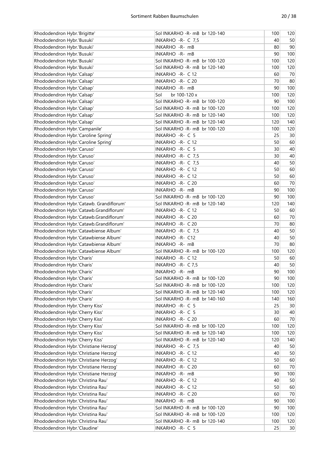| Rhododendron Hybr.'Brigitte'             | Sol INKARHO - R- mB br 120-140 | 100 | 120    |
|------------------------------------------|--------------------------------|-----|--------|
| Rhododendron Hybr.'Busuki'               | INKARHO - R- C 7,5             | 40  | 50     |
| Rhododendron Hybr.'Busuki'               | INKARHO - R- mB                | 80  | 90     |
| Rhododendron Hybr.'Busuki'               | INKARHO - R- mB                | 90  | 100    |
| Rhododendron Hybr.'Busuki'               | Sol INKARHO - R- mB br 100-120 | 100 | 120    |
| Rhododendron Hybr.'Busuki'               | Sol INKARHO - R- mB br 120-140 | 100 | 120    |
| Rhododendron Hybr.'Calsap'               | INKARHO - R- C 12              | 60  | 70     |
| Rhododendron Hybr.'Calsap'               | INKARHO - R- C 20              | 70  | 80     |
| Rhododendron Hybr.'Calsap'               | INKARHO - R- mB                | 90  | 100    |
| Rhododendron Hybr.'Calsap'               | Sol<br>br 100-120 x            | 100 | 120    |
| Rhododendron Hybr.'Calsap'               | Sol INKARHO -R- mB br 100-120  | 90  | 100    |
| Rhododendron Hybr.'Calsap'               | Sol INKARHO - R- mB br 100-120 | 100 | 120    |
| Rhododendron Hybr.'Calsap'               | Sol INKARHO - R- mB br 120-140 | 100 | 120    |
| Rhododendron Hybr.'Calsap'               | Sol INKARHO - R- mB br 120-140 | 120 | 140    |
| Rhododendron Hybr.'Campanile'            | Sol INKARHO -R- mB br 100-120  | 100 | 120    |
| Rhododendron Hybr.'Caroline Spring'      | INKARHO - R- C 5               | 25  | 30     |
| Rhododendron Hybr.'Caroline Spring'      | INKARHO - R- C 12              | 50  | 60     |
| Rhododendron Hybr.'Caruso'               | INKARHO - R- C 5               | 30  | 40     |
| Rhododendron Hybr.'Caruso'               | INKARHO - R- C 7,5             | 30  | 40     |
| Rhododendron Hybr.'Caruso'               | INKARHO - R- C 7,5             | 40  | 50     |
| Rhododendron Hybr.'Caruso'               | INKARHO - R- C 12              | 50  | 60     |
| Rhododendron Hybr.'Caruso'               | INKARHO - R- C 12              | 50  | 60     |
| Rhododendron Hybr.'Caruso'               | INKARHO - R- C 20              | 60  | 70     |
| Rhododendron Hybr.'Caruso'               | INKARHO - R- mB                | 90  | 100    |
| Rhododendron Hybr.'Caruso'               | Sol INKARHO - R- mB br 100-120 | 90  | 100    |
| Rhododendron Hybr.'Catawb. Grandiflorum' | Sol INKARHO - R- mB br 120-140 | 120 | 140    |
| Rhododendron Hybr.'Catawb.Grandiflorum'  | INKARHO - R- C 12              | 50  | 60     |
| Rhododendron Hybr.'Catawb.Grandiflorum'  | INKARHO - R- C 20              | 60  | 70     |
| Rhododendron Hybr.'Catawb.Grandiflorum'  | INKARHO - R- C 20              | 70  | 80     |
| Rhododendron Hybr.'Catawbiense Album'    | INKARHO - R- C 7,5             | 40  | 50     |
| Rhododendron Hybr.'Catawbiense Album'    | <b>INKARHO - R- C12</b>        | 40  | 50     |
| Rhododendron Hybr.'Catawbiense Album'    | INKARHO - R- mB                | 70  | 80     |
| Rhododendron Hybr.'Catawbiense Album'    | Sol INKARHO -R- mB br 100-120  | 100 | 120    |
| Rhododendron Hybr.'Charis'               | INKARHO - R- C 12              | 50  | 60     |
| Rhododendron Hybr.'Charis'               | INKARHO - R- C 7,5             | 40  | 50     |
| Rhododendron Hybr.'Charis'               | INKARHO - R- mB                | 90  | 100    |
| Rhododendron Hybr.'Charis'               | Sol INKARHO -R- mB br 100-120  | 90  | 100    |
| Rhododendron Hybr.'Charis'               | Sol INKARHO -R- mB br 100-120  | 100 | 120    |
| Rhododendron Hybr.'Charis'               | Sol INKARHO - R- mB br 120-140 | 100 | 120    |
| Rhododendron Hybr.'Charis'               | Sol INKARHO - R- mB br 140-160 | 140 | 160    |
| Rhododendron Hybr.'Cherry Kiss'          | INKARHO - R- C 5               | 25  | 30     |
| Rhododendron Hybr.'Cherry Kiss'          | INKARHO -R- C 5                | 30  | 40     |
| Rhododendron Hybr.'Cherry Kiss'          | INKARHO - R- C 20              | 60  | 70     |
| Rhododendron Hybr.'Cherry Kiss'          | Sol INKARHO - R- mB br 100-120 | 100 | 120    |
| Rhododendron Hybr.'Cherry Kiss'          | Sol INKARHO - R- mB br 120-140 | 100 | 120    |
| Rhododendron Hybr.'Cherry Kiss'          | Sol INKARHO - R- mB br 120-140 | 120 | 140    |
| Rhododendron Hybr.'Christiane Herzog'    | INKARHO -R- C 7,5              | 40  | 50     |
| Rhododendron Hybr.'Christiane Herzog'    | INKARHO - R- C 12              | 40  | 50     |
| Rhododendron Hybr.'Christiane Herzog'    | INKARHO - R- C 12              | 50  | 60     |
| Rhododendron Hybr.'Christiane Herzog'    | INKARHO - R- C 20              | 60  | 70     |
| Rhododendron Hybr.'Christiane Herzog'    | INKARHO -R- mB                 | 90  | 100    |
| Rhododendron Hybr.'Christina Rau'        | INKARHO - R- C 12              | 40  | 50     |
| Rhododendron Hybr.'Christina Rau'        | INKARHO - R- C 12              | 50  | 60     |
| Rhododendron Hybr.'Christina Rau'        | INKARHO - R- C 20              | 60  | $70\,$ |
| Rhododendron Hybr.'Christina Rau'        | INKARHO - R- mB                | 90  | 100    |
| Rhododendron Hybr.'Christina Rau'        | Sol INKARHO - R- mB br 100-120 | 90  | 100    |
| Rhododendron Hybr.'Christina Rau'        | Sol INKARHO - R- mB br 100-120 | 100 | 120    |
| Rhododendron Hybr.'Christina Rau'        | Sol INKARHO - R- mB br 120-140 | 100 | 120    |
| Rhododendron Hybr.'Claudine'             | INKARHO -R- C 5                | 25  | 30     |
|                                          |                                |     |        |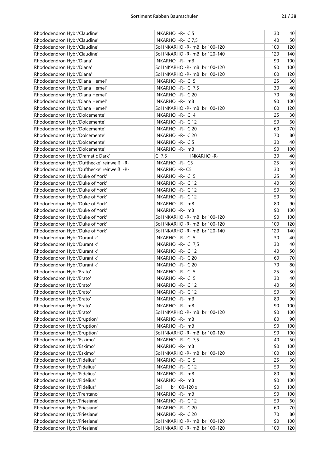| Rhododendron Hybr.'Claudine'                                 | INKARHO - R- C 5                       | 30        | 40       |
|--------------------------------------------------------------|----------------------------------------|-----------|----------|
| Rhododendron Hybr.'Claudine'                                 | INKARHO -R- C 7,5                      | 40        | 50       |
| Rhododendron Hybr.'Claudine'                                 | Sol INKARHO -R- mB br 100-120          | 100       | 120      |
| Rhododendron Hybr.'Claudine'                                 | Sol INKARHO -R- mB br 120-140          | 120       | 140      |
| Rhododendron Hybr.'Diana'                                    | INKARHO -R- mB                         | 90        | 100      |
| Rhododendron Hybr.'Diana'                                    | Sol INKARHO -R- mB br 100-120          | 90        | 100      |
| Rhododendron Hybr.'Diana'                                    | Sol INKARHO -R- mB br 100-120          | 100       | 120      |
| Rhododendron Hybr.'Diana Hemel'                              | INKARHO - R- C 5                       | 25        | 30       |
| Rhododendron Hybr.'Diana Hemel'                              | INKARHO -R- C 7,5                      | 30        | 40       |
| Rhododendron Hybr.'Diana Hemel'                              | INKARHO - R- C 20                      | 70        | 80       |
| Rhododendron Hybr.'Diana Hemel'                              | INKARHO - R- mB                        | 90        | 100      |
| Rhododendron Hybr.'Diana Hemel'                              | Sol INKARHO -R- mB br 100-120          | 100       | 120      |
| Rhododendron Hybr.'Dolcemente'                               | INKARHO -R- C 4                        | 25        | 30       |
| Rhododendron Hybr.'Dolcemente'                               | INKARHO - R- C 12                      | 50        | 60       |
| Rhododendron Hybr.'Dolcemente'                               | INKARHO - R- C 20                      | 60        | 70       |
| Rhododendron Hybr.'Dolcemente'                               | INKARHO - R- C 20                      | 70        | 80       |
| Rhododendron Hybr.'Dolcemente'                               | INKARHO - R- C 5                       | 30        | 40       |
| Rhododendron Hybr.'Dolcemente'                               | INKARHO -R- mB                         | 90        | 100      |
| Rhododendron Hybr.'Dramatic Dark'                            | $C$ 7,5<br><b>INKARHO-R-</b>           | 30        | 40       |
| Rhododendron Hybr.'Dufthecke' reinweiß -R-                   | INKARHO - R- C5                        | 25        | 30       |
| Rhododendron Hybr.'Dufthecke' reinweiß -R-                   | <b>INKARHO - R- C5</b>                 | 30        | 40       |
| Rhododendron Hybr.'Duke of York'                             | INKARHO - R- C 5                       | 25        | 30       |
| Rhododendron Hybr.'Duke of York'                             | INKARHO - R- C 12                      | 40        | 50       |
|                                                              |                                        | 50        | 60       |
| Rhododendron Hybr.'Duke of York'                             | INKARHO - R- C 12                      | 50        |          |
| Rhododendron Hybr.'Duke of York'                             | INKARHO - R- C 12                      | 80        | 60<br>90 |
| Rhododendron Hybr.'Duke of York'                             | INKARHO -R- mB                         | 90        | 100      |
| Rhododendron Hybr.'Duke of York'                             | INKARHO -R- mB                         |           |          |
| Rhododendron Hybr.'Duke of York'                             | Sol INKARHO -R- mB br 100-120          | 90        | 100      |
| Rhododendron Hybr.'Duke of York'                             | Sol INKARHO -R- mB br 100-120          | 100       | 120      |
| Rhododendron Hybr.'Duke of York'                             | Sol INKARHO -R- mB br 120-140          | 120<br>30 | 140      |
| Rhododendron Hybr.'Durantik'<br>Rhododendron Hybr.'Durantik' | INKARHO - R- C 5<br>INKARHO - R- C 7,5 | 30        | 40<br>40 |
|                                                              |                                        |           | 50       |
| Rhododendron Hybr.'Durantik'                                 | INKARHO - R- C 12                      | 40        | 70       |
| Rhododendron Hybr.'Durantik'                                 | INKARHO - R- C 20<br>INKARHO - R- C 20 | 60<br>70  | 80       |
| Rhododendron Hybr.'Durantik'                                 |                                        | 25        | 30       |
| Rhododendron Hybr.'Erato'                                    | INKARHO - R- C 5                       | 30        | 40       |
| Rhododendron Hybr.'Erato'                                    | INKARHO -R- C 5                        |           |          |
| Rhododendron Hybr.'Erato'                                    | INKARHO - R- C 12                      | 40        | 50       |
| Rhododendron Hybr.'Erato'                                    | INKARHO - R- C 12                      | 50        | 60       |
| Rhododendron Hybr.'Erato'                                    | INKARHO - R- mB                        | 80        | 90       |
| Rhododendron Hybr.'Erato'                                    | INKARHO -R- mB                         | 90        | 100      |
| Rhododendron Hybr.'Erato'                                    | Sol INKARHO - R- mB br 100-120         | 90        | 100      |
| Rhododendron Hybr.'Eruption'                                 | INKARHO - R- mB                        | 80        | 90       |
| Rhododendron Hybr.'Eruption'                                 | INKARHO -R- mB                         | 90        | 100      |
| Rhododendron Hybr.'Eruption'                                 | Sol INKARHO -R- mB br 100-120          | 90        | 100      |
| Rhododendron Hybr.'Eskimo'                                   | INKARHO - R- C 7,5                     | 40        | 50       |
| Rhododendron Hybr.'Eskimo'                                   | INKARHO - R- mB                        | 90        | 100      |
| Rhododendron Hybr.'Eskimo'                                   | Sol INKARHO - R- mB br 100-120         | 100       | 120      |
| Rhododendron Hybr.'Fidelius'                                 | INKARHO - R- C 5                       | 25        | 30       |
| Rhododendron Hybr.'Fidelius'                                 | INKARHO - R- C 12                      | 50        | 60       |
| Rhododendron Hybr.'Fidelius'                                 | INKARHO -R- mB                         | 80        | 90       |
| Rhododendron Hybr.'Fidelius'                                 | INKARHO - R- mB                        | 90        | 100      |
| Rhododendron Hybr.'Fidelius'                                 | Sol<br>br 100-120 x                    | 90        | 100      |
| Rhododendron Hybr.'Frentano'                                 | INKARHO -R- mB                         | 90        | 100      |
| Rhododendron Hybr.'Friesiane'                                | INKARHO - R- C 12                      | 50        | 60       |
| Rhododendron Hybr.'Friesiane'                                | INKARHO - R- C 20                      | 60        | 70       |
| Rhododendron Hybr.'Friesiane'                                | INKARHO - R- C 20                      | 70        | 80       |
| Rhododendron Hybr.'Friesiane'                                | Sol INKARHO -R- mB br 100-120          | 90        | 100      |
| Rhododendron Hybr.'Friesiane'                                | Sol INKARHO - R- mB br 100-120         | 100       | 120      |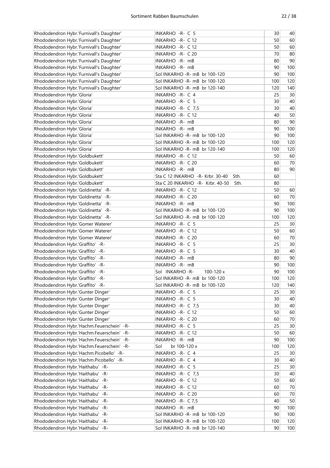| Rhododendron Hybr.'Furnivall's Daughter'  | INKARHO -R- C 5                          | 30  | 40              |
|-------------------------------------------|------------------------------------------|-----|-----------------|
| Rhododendron Hybr.'Furnivall's Daughter'  | INKARHO - R- C 12                        | 50  | 60              |
| Rhododendron Hybr.'Furnivall's Daughter'  | INKARHO - R- C 12                        | 50  | 60              |
| Rhododendron Hybr.'Furnivall's Daughter'  | INKARHO - R- C 20                        | 70  | 80              |
| Rhododendron Hybr.'Furnivall's Daughter'  | INKARHO - R- mB                          | 80  | 90              |
| Rhododendron Hybr.'Furnivall's Daughter'  | INKARHO - R- mB                          | 90  | 100             |
| Rhododendron Hybr.'Furnivall's Daughter'  | Sol INKARHO -R- mB br 100-120            | 90  | 100             |
| Rhododendron Hybr.'Furnivall's Daughter'  | Sol INKARHO - R- mB br 100-120           | 100 | 120             |
| Rhododendron Hybr.'Furnivall's Daughter'  | Sol INKARHO -R- mB br 120-140            | 120 | 140             |
| Rhododendron Hybr.'Gloria'                | INKARHO -R- C 4                          | 25  | 30              |
|                                           |                                          | 30  | 40              |
| Rhododendron Hybr.'Gloria'                | INKARHO - R- C 5                         |     |                 |
| Rhododendron Hybr.'Gloria'                | INKARHO - R- C 7,5                       | 30  | 40              |
| Rhododendron Hybr.'Gloria'                | INKARHO - R- C 12                        | 40  | 50              |
| Rhododendron Hybr.'Gloria'                | INKARHO - R- mB                          | 80  | 90              |
| Rhododendron Hybr.'Gloria'                | INKARHO -R- mB                           | 90  | 100             |
| Rhododendron Hybr.'Gloria'                | Sol INKARHO -R- mB br 100-120            | 90  | 100             |
| Rhododendron Hybr.'Gloria'                | Sol INKARHO -R- mB br 100-120            | 100 | 120             |
| Rhododendron Hybr.'Gloria'                | Sol INKARHO -R- mB br 120-140            | 100 | 120             |
| Rhododendron Hybr.'Goldbukett'            | INKARHO - R- C 12                        | 50  | 60              |
| Rhododendron Hybr.'Goldbukett'            | INKARHO - R- C 20                        | 60  | 70              |
| Rhododendron Hybr.'Goldbukett'            | INKARHO -R- mB                           | 80  | 90              |
| Rhododendron Hybr.'Goldbukett'            | Sta C 12 INKARHO -R- Krbr, 30-40<br>Sth. | 60  |                 |
| Rhododendron Hybr.'Goldbukett'            | Sta C 20 INKARHO -R- Krbr. 40-50<br>Sth. | 80  |                 |
| Rhododendron Hybr.'Goldinetta' -R-        | INKARHO - R- C 12                        | 50  | 60              |
| Rhododendron Hybr.'Goldinetta' -R-        | INKARHO - R- C 20                        | 60  | 70              |
| Rhododendron Hybr.'Goldinetta' -R-        | INKARHO -R- mB                           | 90  | 100             |
| Rhododendron Hybr.'Goldinetta' -R-        | Sol INKARHO - R- mB br 100-120           | 90  | 100             |
| Rhododendron Hybr.'Goldinetta' -R-        | Sol INKARHO -R- mB br 100-120            | 100 | 120             |
| Rhododendron Hybr.'Gomer Waterer'         | INKARHO - R- C 5                         | 25  | 30 <sup>2</sup> |
| Rhododendron Hybr.'Gomer Waterer'         | INKARHO - R- C 12                        | 50  | 60              |
| Rhododendron Hybr.'Gomer Waterer'         | INKARHO - R- C 20                        | 60  | 70              |
|                                           | INKARHO - R- C 5                         | 25  | 30              |
| Rhododendron Hybr.'Graffito' -R-          |                                          |     |                 |
| Rhododendron Hybr.'Graffito' -R-          | INKARHO - R- C 5                         | 30  | 40              |
| Rhododendron Hybr.'Graffito' -R-          | INKARHO - R- mB                          | 80  | 90              |
| Rhododendron Hybr.'Graffito' -R-          | INKARHO -R- mB                           | 90  | 100             |
| Rhododendron Hybr.'Graffito' -R-          | Sol INKARHO-R-<br>100-120 x              | 90  | 100             |
| Rhododendron Hybr.'Graffito' -R-          | Sol INKARHO - R- mB br 100-120           | 100 | 120             |
| Rhododendron Hybr.'Graffito' -R-          | Sol INKARHO -R- mB br 100-120            | 120 | 140             |
| Rhododendron Hybr.'Gunter Dinger'         | INKARHO -R- C 5                          | 25  | 30              |
| Rhododendron Hybr.'Gunter Dinger'         | INKARHO -R- C 5                          | 30  | 40              |
| Rhododendron Hybr.'Gunter Dinger'         | INKARHO - R- C 7,5                       | 30  | 40              |
| Rhododendron Hybr.'Gunter Dinger'         | INKARHO - R- C 12                        | 50  | 60              |
| Rhododendron Hybr.'Gunter Dinger'         | INKARHO - R- C 20                        | 60  | 70              |
| Rhododendron Hybr.'Hachm.Feuerschein' -R- | INKARHO - R- C 5                         | 25  | 30 <sup>°</sup> |
| Rhododendron Hybr.'Hachm.Feuerschein' -R- | INKARHO - R- C 12                        | 50  | 60              |
| Rhododendron Hybr.'Hachm.Feuerschein' -R- | INKARHO - R- mB                          | 90  | 100             |
| Rhododendron Hybr.'Hachm.Feuerschein' -R- | Sol<br>br 100-120 x                      | 100 | 120             |
| Rhododendron Hybr.'Hachm.Picobello' -R-   | INKARHO -R- C 4                          | 25  | 30              |
| Rhododendron Hybr.'Hachm.Picobello' -R-   | INKARHO - R- C 4                         | 30  | 40              |
| Rhododendron Hybr.'Haithabu' -R-          | INKARHO -R- C 5                          | 25  | 30              |
| Rhododendron Hybr.'Haithabu' -R-          | INKARHO - R- C 7,5                       | 30  | 40              |
| Rhododendron Hybr.'Haithabu' -R-          | INKARHO - R- C 12                        | 50  | 60              |
| Rhododendron Hybr.'Haithabu' -R-          | INKARHO - R- C 12                        | 60  | 70              |
| Rhododendron Hybr.'Haithabu' -R-          | INKARHO - R- C 20                        | 60  | 70              |
| Rhododendron Hybr.'Haithabu' -R-          | INKARHO - R- C 7,5                       | 40  | 50              |
| Rhododendron Hybr.'Haithabu' -R-          | INKARHO -R- mB                           | 90  | 100             |
| Rhododendron Hybr.'Haithabu' -R-          | Sol INKARHO - R- mB br 100-120           | 90  | 100             |
| Rhododendron Hybr.'Haithabu' -R-          | Sol INKARHO -R- mB br 100-120            | 100 | 120             |
| Rhododendron Hybr.'Haithabu' -R-          | Sol INKARHO - R- mB br 120-140           | 90  | 100             |
|                                           |                                          |     |                 |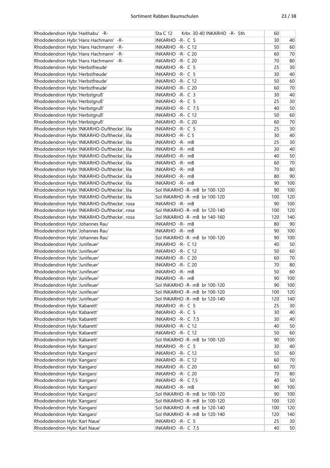| Rhododendron Hybr.'Haithabu' -R-            | Krbr. 30-40 INKARHO -R- Sth.<br><b>Sta C 12</b> | 60  |                 |
|---------------------------------------------|-------------------------------------------------|-----|-----------------|
| Rhododendron Hybr.'Hans Hachmann' -R-       | INKARHO - R- C 5                                | 30  | 40              |
| Rhododendron Hybr.'Hans Hachmann' -R-       | <b>INKARHO - R- C12</b>                         | 50  | 60              |
| Rhododendron Hybr.'Hans Hachmann' -R-       | INKARHO - R- C 20                               | 60  | 70              |
| Rhododendron Hybr.'Hans Hachmann' -R-       | INKARHO - R- C 20                               | 70  | 80              |
| Rhododendron Hybr.'Herbstfreude'            | INKARHO -R- C 5                                 | 25  | 30              |
| Rhododendron Hybr.'Herbstfreude'            | INKARHO - R- C 5                                | 30  | 40              |
| Rhododendron Hybr.'Herbstfreude'            | INKARHO - R- C 12                               | 50  | 60              |
| Rhododendron Hybr.'Herbstfreude'            | INKARHO - R- C 20                               | 60  | 70              |
| Rhododendron Hybr.'Herbstgruß'              | INKARHO -R- C 3                                 | 30  | 40              |
| Rhododendron Hybr.'Herbstgruß'              |                                                 | 25  | 30              |
|                                             | INKARHO - R- C 5                                |     |                 |
| Rhododendron Hybr.'Herbstgruß'              | INKARHO - R- C 7,5                              | 40  | 50              |
| Rhododendron Hybr.'Herbstgruß'              | INKARHO - R- C 12                               | 50  | 60              |
| Rhododendron Hybr.'Herbstgruß'              | INKARHO - R- C 20                               | 60  | 70              |
| Rhododendron Hybr.'INKARHO-Dufthecke', lila | INKARHO - R- C 5                                | 25  | 30              |
| Rhododendron Hybr.'INKARHO-Dufthecke', lila | INKARHO - R- C 5                                | 30  | 40              |
| Rhododendron Hybr.'INKARHO-Dufthecke', lila | INKARHO -R- mB                                  | 25  | 30              |
| Rhododendron Hybr.'INKARHO-Dufthecke', lila | INKARHO - R- mB                                 | 30  | 40              |
| Rhododendron Hybr.'INKARHO-Dufthecke', lila | INKARHO - R- mB                                 | 40  | 50              |
| Rhododendron Hybr.'INKARHO-Dufthecke', lila | INKARHO -R- mB                                  | 60  | 70              |
| Rhododendron Hybr.'INKARHO-Dufthecke', lila | INKARHO -R- mB                                  | 70  | 80              |
| Rhododendron Hybr.'INKARHO-Dufthecke', lila | INKARHO - R- mB                                 | 80  | 90              |
| Rhododendron Hybr.'INKARHO-Dufthecke', lila | INKARHO - R- mB                                 | 90  | 100             |
| Rhododendron Hybr.'INKARHO-Dufthecke', lila | Sol INKARHO -R- mB br 100-120                   | 90  | 100             |
| Rhododendron Hybr.'INKARHO-Dufthecke', lila | Sol INKARHO - R- mB br 100-120                  | 100 | 120             |
| Rhododendron Hybr.'INKARHO-Dufthecke', rosa | INKARHO -R- mB                                  | 90  | 100             |
| Rhododendron Hybr.'INKARHO-Dufthecke', rosa | Sol INKARHO - R- mB br 120-140                  | 100 | 120             |
| Rhododendron Hybr.'INKARHO-Dufthecke', rosa | Sol INKARHO - R- mB br 140-160                  | 120 | 140             |
| Rhododendron Hybr.'Johannes Rau'            | INKARHO -R- mB                                  | 80  | 90              |
| Rhododendron Hybr.'Johannes Rau'            | INKARHO -R- mB                                  | 90  | 100             |
| Rhododendron Hybr.'Johannes Rau'            | Sol INKARHO - R- mB br 100-120                  | 90  | 100             |
| Rhododendron Hybr.'Junifeuer'               | INKARHO - R- C 12                               | 40  | 50              |
| Rhododendron Hybr.'Junifeuer'               | INKARHO - R- C 12                               | 50  | 60              |
| Rhododendron Hybr.'Junifeuer'               | INKARHO - R- C 20                               | 60  | 70              |
|                                             |                                                 |     |                 |
| Rhododendron Hybr.'Junifeuer'               | INKARHO - R- C 20                               | 70  | 80              |
| Rhododendron Hybr.'Junifeuer'               | INKARHO - R- mB                                 | 50  | 60              |
| Rhododendron Hybr.'Junifeuer'               | INKARHO -R- mB                                  | 90  | 100             |
| Rhododendron Hybr.'Junifeuer'               | Sol INKARHO -R- mB br 100-120                   | 90  | 100             |
| Rhododendron Hybr.'Junifeuer'               | Sol INKARHO -R- mB br 100-120                   | 100 | 120             |
| Rhododendron Hybr.'Junifeuer'               | Sol INKARHO -R- mB br 120-140                   | 120 | 140             |
| Rhododendron Hybr.'Kabarett'                | INKARHO - R- C 5                                | 25  | 30              |
| Rhododendron Hybr.'Kabarett'                | INKARHO - R- C 5                                | 30  | 40              |
| Rhododendron Hybr.'Kabarett'                | INKARHO - R- C 7,5                              | 30  | 40              |
| Rhododendron Hybr.'Kabarett'                | INKARHO - R- C 12                               | 40  | 50              |
| Rhododendron Hybr.'Kabarett'                | INKARHO - R- C 12                               | 50  | 60              |
| Rhododendron Hybr.'Kabarett'                | Sol INKARHO -R- mB br 100-120                   | 90  | 100             |
| Rhododendron Hybr.'Kangaro'                 | INKARHO - R- C 5                                | 30  | 40              |
| Rhododendron Hybr.'Kangaro'                 | INKARHO - R- C 12                               | 50  | 60              |
| Rhododendron Hybr.'Kangaro'                 | INKARHO - R- C 12                               | 60  | 70              |
| Rhododendron Hybr.'Kangaro'                 | INKARHO - R- C 20                               | 60  | 70              |
| Rhododendron Hybr.'Kangaro'                 | INKARHO - R- C 20                               | 70  | 80              |
| Rhododendron Hybr.'Kangaro'                 | INKARHO -R- C 7,5                               | 40  | 50              |
| Rhododendron Hybr.'Kangaro'                 | INKARHO -R- mB                                  | 90  | 100             |
| Rhododendron Hybr.'Kangaro'                 | Sol INKARHO -R- mB br 100-120                   | 90  | 100             |
| Rhododendron Hybr.'Kangaro'                 | Sol INKARHO -R- mB br 100-120                   | 100 | 120             |
| Rhododendron Hybr.'Kangaro'                 | Sol INKARHO -R- mB br 120-140                   | 100 | 120             |
| Rhododendron Hybr.'Kangaro'                 | Sol INKARHO -R- mB br 120-140                   | 120 | 140             |
| Rhododendron Hybr.'Karl Naue'               | INKARHO - R- C 5                                | 25  | 30 <sup>°</sup> |
| Rhododendron Hybr.'Karl Naue'               | INKARHO - R- C 7,5                              | 40  | 50              |
|                                             |                                                 |     |                 |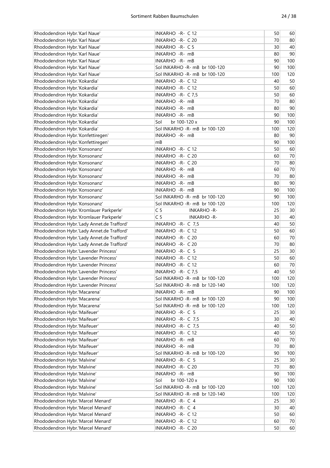| Rhododendron Hybr.'Karl Naue'                                                         | INKARHO - R- C 12                     | 50       | 60       |
|---------------------------------------------------------------------------------------|---------------------------------------|----------|----------|
| Rhododendron Hybr.'Karl Naue'                                                         | INKARHO - R- C 20                     | 70       | 80       |
| Rhododendron Hybr.'Karl Naue'                                                         | INKARHO - R- C 5                      | 30       | 40       |
| Rhododendron Hybr.'Karl Naue'                                                         | INKARHO - R- mB                       | 80       | 90       |
| Rhododendron Hybr.'Karl Naue'                                                         | INKARHO - R- mB                       | 90       | 100      |
| Rhododendron Hybr.'Karl Naue'                                                         | Sol INKARHO -R- mB br 100-120         | 90       | 100      |
| Rhododendron Hybr.'Karl Naue'                                                         | Sol INKARHO -R- mB br 100-120         | 100      | 120      |
| Rhododendron Hybr.'Kokardia'                                                          | INKARHO - R- C 12                     | 40       | 50       |
| Rhododendron Hybr.'Kokardia'                                                          | INKARHO - R- C 12                     | 50       | 60       |
| Rhododendron Hybr.'Kokardia'                                                          | INKARHO -R- C 7,5                     | 50       | 60       |
| Rhododendron Hybr.'Kokardia'                                                          | INKARHO - R- mB                       | 70       | 80       |
| Rhododendron Hybr.'Kokardia'                                                          | INKARHO -R- mB                        | 80       | 90       |
| Rhododendron Hybr.'Kokardia'                                                          | INKARHO - R- mB                       | 90       | 100      |
| Rhododendron Hybr.'Kokardia'                                                          | Sol<br>br 100-120 x                   | 90       | 100      |
| Rhododendron Hybr.'Kokardia'                                                          | Sol INKARHO -R- mB br 100-120         | 100      | 120      |
| Rhododendron Hybr.'Konfettiregen'                                                     | INKARHO - R- mB                       | 80       | 90       |
| Rhododendron Hybr.'Konfettiregen'                                                     | mB                                    | 90       | 100      |
| Rhododendron Hybr.'Konsonanz'                                                         | INKARHO - R- C 12                     | 50       | 60       |
| Rhododendron Hybr.'Konsonanz'                                                         | INKARHO - R- C 20                     | 60       | 70       |
| Rhododendron Hybr.'Konsonanz'                                                         | INKARHO - R- C 20                     | 70       | 80       |
| Rhododendron Hybr.'Konsonanz'                                                         | INKARHO - R- mB                       | 60       | 70       |
| Rhododendron Hybr.'Konsonanz'                                                         | INKARHO - R- mB                       | 70       | 80       |
| Rhododendron Hybr.'Konsonanz'                                                         | INKARHO - R- mB                       | 80       | 90       |
| Rhododendron Hybr.'Konsonanz'                                                         | INKARHO - R- mB                       | 90       | 100      |
| Rhododendron Hybr.'Konsonanz'                                                         | Sol INKARHO -R- mB br 100-120         | 90       | 100      |
| Rhododendron Hybr.'Konsonanz'                                                         | Sol INKARHO - R- mB br 100-120        | 100      | 120      |
| Rhododendron Hybr.'Kromlauer Parkperle'                                               | C <sub>5</sub><br><b>INKARHO - R-</b> | 25       | 30       |
|                                                                                       | C <sub>5</sub><br><b>INKARHO-R-</b>   | 30       | 40       |
| Rhododendron Hybr.'Kromlauer Parkperle'<br>Rhododendron Hybr.'Lady Annet.de Trafford' |                                       | 40       | 50       |
|                                                                                       | INKARHO - R- C 7,5                    |          |          |
| Rhododendron Hybr.'Lady Annet.de Trafford'                                            | INKARHO - R- C 12                     | 50<br>60 | 60       |
| Rhododendron Hybr.'Lady Annet.de Trafford'                                            | INKARHO - R- C 20                     | 70       | 70<br>80 |
| Rhododendron Hybr.'Lady Annet.de Trafford'                                            | INKARHO - R- C 20                     |          |          |
| Rhododendron Hybr.'Lavender Princess'                                                 | INKARHO - R- C 5                      | 25       | 30       |
| Rhododendron Hybr.'Lavender Princess'                                                 | INKARHO - R- C 12                     | 50       | 60       |
| Rhododendron Hybr.'Lavender Princess'                                                 | INKARHO - R- C 12                     | 60       | 70       |
| Rhododendron Hybr.'Lavender Princess'                                                 | INKARHO - R- C 7,5                    | 40       | 50       |
| Rhododendron Hybr.'Lavender Princess'                                                 | Sol INKARHO - R- mB br 100-120        | 100      | 120      |
| Rhododendron Hybr.'Lavender Princess'                                                 | Sol INKARHO -R- mB br 120-140         | 100      | 120      |
| Rhododendron Hybr.'Macarena'                                                          | INKARHO - R- mB                       | 90       | 100      |
| Rhododendron Hybr.'Macarena'                                                          | Sol INKARHO - R- mB br 100-120        | 90       | 100      |
| Rhododendron Hybr.'Macarena'                                                          | Sol INKARHO -R- mB br 100-120         | 100      | 120      |
| Rhododendron Hybr.'Maifeuer'                                                          | INKARHO - R- C 5                      | 25       | 30       |
| Rhododendron Hybr.'Maifeuer'                                                          | INKARHO - R- C 7,5                    | 30       | 40       |
| Rhododendron Hybr.'Maifeuer'                                                          | INKARHO - R- C 7,5                    | 40       | 50       |
| Rhododendron Hybr.'Maifeuer'                                                          | INKARHO - R- C 12                     | 40       | 50       |
| Rhododendron Hybr.'Maifeuer'                                                          | INKARHO - R- mB                       | 60       | $70$     |
| Rhododendron Hybr.'Maifeuer'                                                          | INKARHO - R- mB                       | 70       | 80       |
| Rhododendron Hybr.'Maifeuer'                                                          | Sol INKARHO - R- mB br 100-120        | 90       | 100      |
| Rhododendron Hybr.'Malvine'                                                           | INKARHO - R- C 5                      | 25       | $30\,$   |
| Rhododendron Hybr.'Malvine'                                                           | INKARHO - R- C 20                     | 70       | 80       |
| Rhododendron Hybr.'Malvine'                                                           | INKARHO - R- mB                       | 90       | 100      |
| Rhododendron Hybr.'Malvine'                                                           | Sol<br>br 100-120 x                   | 90       | 100      |
| Rhododendron Hybr.'Malvine'                                                           | Sol INKARHO - R- mB br 100-120        | 100      | 120      |
| Rhododendron Hybr.'Malvine'                                                           | Sol INKARHO -R- mB br 120-140         | 100      | 120      |
| Rhododendron Hybr.'Marcel Menard'                                                     | INKARHO - R- C 4                      | 25       | 30       |
| Rhododendron Hybr.'Marcel Menard'                                                     | INKARHO -R- C 4                       | 30       | 40       |
| Rhododendron Hybr.'Marcel Menard'                                                     | INKARHO - R- C 12                     | 50       | 60       |
| Rhododendron Hybr.'Marcel Menard'                                                     | INKARHO - R- C 12                     | 60       | 70       |
| Rhododendron Hybr.'Marcel Menard'                                                     | INKARHO - R- C 20                     | 50       | 60       |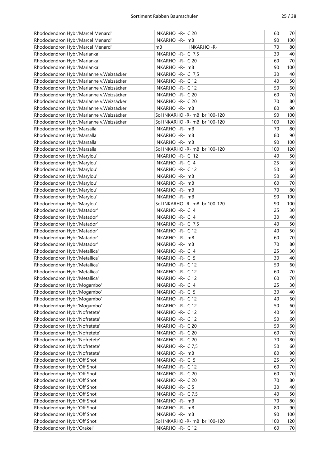| Rhododendron Hybr.'Marcel Menard'         | INKARHO - R- C 20              | 60  | 70  |
|-------------------------------------------|--------------------------------|-----|-----|
| Rhododendron Hybr.'Marcel Menard'         | INKARHO -R- mB                 | 90  | 100 |
| Rhododendron Hybr.'Marcel Menard'         | mB<br><b>INKARHO - R-</b>      | 70  | 80  |
| Rhododendron Hybr.'Marianka'              | INKARHO - R- C 7,5             | 30  | 40  |
| Rhododendron Hybr.'Marianka'              | INKARHO - R- C 20              | 60  | 70  |
| Rhododendron Hybr.'Marianka'              | INKARHO -R- mB                 | 90  | 100 |
| Rhododendron Hybr.'Marianne v.Weizsäcker' | INKARHO - R- C 7,5             | 30  | 40  |
| Rhododendron Hybr.'Marianne v.Weizsäcker' | INKARHO - R- C 12              | 40  | 50  |
| Rhododendron Hybr.'Marianne v.Weizsäcker' | INKARHO - R- C 12              | 50  | 60  |
| Rhododendron Hybr.'Marianne v.Weizsäcker' | INKARHO - R- C 20              | 60  | 70  |
| Rhododendron Hybr.'Marianne v.Weizsäcker' | INKARHO - R- C 20              | 70  | 80  |
| Rhododendron Hybr.'Marianne v.Weizsäcker' | INKARHO -R- mB                 | 80  | 90  |
| Rhododendron Hybr.'Marianne v.Weizsäcker' | Sol INKARHO - R- mB br 100-120 | 90  | 100 |
| Rhododendron Hybr.'Marianne v.Weizsäcker' | Sol INKARHO -R- mB br 100-120  | 100 | 120 |
|                                           | INKARHO - R- mB                | 70  |     |
| Rhododendron Hybr.'Marsalla'              |                                |     | 80  |
| Rhododendron Hybr.'Marsalla'              | INKARHO - R- mB                | 80  | 90  |
| Rhododendron Hybr.'Marsalla'              | INKARHO - R- mB                | 90  | 100 |
| Rhododendron Hybr.'Marsalla'              | Sol INKARHO -R- mB br 100-120  | 100 | 120 |
| Rhododendron Hybr.'Marylou'               | INKARHO - R- C 12              | 40  | 50  |
| Rhododendron Hybr.'Marylou'               | INKARHO -R- C 4                | 25  | 30  |
| Rhododendron Hybr.'Marylou'               | INKARHO - R- C 12              | 50  | 60  |
| Rhododendron Hybr.'Marylou'               | INKARHO - R- mB                | 50  | 60  |
| Rhododendron Hybr.'Marylou'               | INKARHO - R- mB                | 60  | 70  |
| Rhododendron Hybr.'Marylou'               | INKARHO -R- mB                 | 70  | 80  |
| Rhododendron Hybr.'Marylou'               | INKARHO -R- mB                 | 90  | 100 |
| Rhododendron Hybr.'Marylou'               | Sol INKARHO -R- mB br 100-120  | 90  | 100 |
| Rhododendron Hybr.'Matador'               | INKARHO -R- C 4                | 25  | 30  |
| Rhododendron Hybr.'Matador'               | INKARHO -R- C 4                | 30  | 40  |
| Rhododendron Hybr.'Matador'               | INKARHO - R- C 7,5             | 40  | 50  |
| Rhododendron Hybr.'Matador'               | INKARHO - R- C 12              | 40  | 50  |
| Rhododendron Hybr.'Matador'               | INKARHO -R- mB                 | 60  | 70  |
| Rhododendron Hybr.'Matador'               | INKARHO -R- mB                 | 70  | 80  |
| Rhododendron Hybr.'Metallica'             | INKARHO -R- C 4                | 25  | 30  |
| Rhododendron Hybr.'Metallica'             | INKARHO - R- C 5               | 30  | 40  |
| Rhododendron Hybr.'Metallica'             | INKARHO - R- C 12              | 50  | 60  |
| Rhododendron Hybr.'Metallica'             | INKARHO - R- C 12              | 60  | 70  |
| Rhododendron Hybr.'Metallica'             | INKARHO - R- C 12              | 60  | 70  |
| Rhododendron Hybr.'Mogambo'               | INKARHO -R- C 4                | 25  | 30  |
| Rhododendron Hybr.'Mogambo'               | INKARHO - R- C 5               | 30  | 40  |
| Rhododendron Hybr.'Mogambo'               | INKARHO - R- C 12              | 40  | 50  |
| Rhododendron Hybr.'Mogambo'               | INKARHO - R- C 12              | 50  | 60  |
| Rhododendron Hybr.'Nofretete'             | INKARHO - R- C 12              | 40  | 50  |
| Rhododendron Hybr.'Nofretete'             | INKARHO - R- C 12              | 50  | 60  |
| Rhododendron Hybr.'Nofretete'             | INKARHO - R- C 20              | 50  | 60  |
| Rhododendron Hybr.'Nofretete'             | INKARHO - R- C 20              | 60  | 70  |
| Rhododendron Hybr.'Nofretete'             | INKARHO - R- C 20              | 70  | 80  |
| Rhododendron Hybr.'Nofretete'             | INKARHO - R- C 7,5             | 50  | 60  |
| Rhododendron Hybr.'Nofretete'             | INKARHO -R- mB                 | 80  | 90  |
| Rhododendron Hybr.'Off Shot'              | INKARHO - R- C 5               | 25  | 30  |
| Rhododendron Hybr.'Off Shot'              | INKARHO - R- C 12              | 60  | 70  |
| Rhododendron Hybr.'Off Shot'              | INKARHO - R- C 20              | 60  | 70  |
| Rhododendron Hybr.'Off Shot'              | INKARHO - R- C 20              | 70  | 80  |
| Rhododendron Hybr.'Off Shot'              | INKARHO - R- C 5               | 30  | 40  |
| Rhododendron Hybr.'Off Shot'              | INKARHO - R- C 7,5             | 40  | 50  |
|                                           |                                | 70  |     |
| Rhododendron Hybr.'Off Shot'              | INKARHO -R- mB                 |     | 80  |
| Rhododendron Hybr.'Off Shot'              | INKARHO -R- mB                 | 80  | 90  |
| Rhododendron Hybr.'Off Shot'              | INKARHO -R- mB                 | 90  | 100 |
| Rhododendron Hybr.'Off Shot'              | Sol INKARHO -R- mB br 100-120  | 100 | 120 |
| Rhododendron Hybr.'Orakel'                | INKARHO - R- C 12              | 60  | 70  |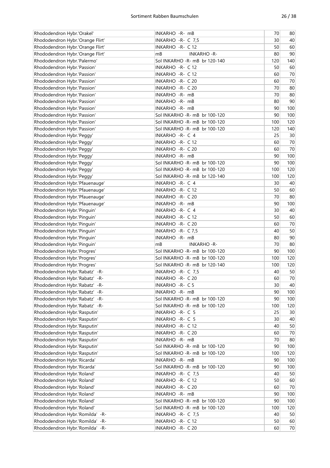| Rhododendron Hybr.'Orakel'       | INKARHO -R- mB                 | 70  | 80     |
|----------------------------------|--------------------------------|-----|--------|
| Rhododendron Hybr.'Orange Flirt' | INKARHO -R- C 7,5              | 30  | 40     |
| Rhododendron Hybr.'Orange Flirt' | INKARHO - R- C 12              | 50  | 60     |
| Rhododendron Hybr.'Orange Flirt' | mB<br><b>INKARHO - R-</b>      | 80  | 90     |
| Rhododendron Hybr.'Palermo'      | Sol INKARHO - R- mB br 120-140 | 120 | 140    |
| Rhododendron Hybr.'Passion'      | INKARHO - R- C 12              | 50  | 60     |
| Rhododendron Hybr.'Passion'      | INKARHO - R- C 12              | 60  | 70     |
| Rhododendron Hybr.'Passion'      | INKARHO - R- C 20              | 60  | 70     |
| Rhododendron Hybr.'Passion'      | INKARHO - R- C 20              | 70  | 80     |
| Rhododendron Hybr.'Passion'      | INKARHO - R- mB                | 70  | 80     |
| Rhododendron Hybr.'Passion'      | INKARHO - R- mB                | 80  | 90     |
| Rhododendron Hybr.'Passion'      | INKARHO - R- mB                | 90  | 100    |
| Rhododendron Hybr.'Passion'      | Sol INKARHO -R- mB br 100-120  | 90  | 100    |
| Rhododendron Hybr.'Passion'      | Sol INKARHO -R- mB br 100-120  | 100 | 120    |
| Rhododendron Hybr.'Passion'      | Sol INKARHO - R- mB br 100-120 | 120 | 140    |
| Rhododendron Hybr.'Peggy'        | INKARHO -R- C 4                | 25  | 30     |
| Rhododendron Hybr.'Peggy'        | INKARHO - R- C 12              | 60  | 70     |
| Rhododendron Hybr.'Peggy'        | INKARHO - R- C 20              | 60  | 70     |
| Rhododendron Hybr.'Peggy'        | INKARHO - R- mB                | 90  | 100    |
| Rhododendron Hybr.'Peggy'        | Sol INKARHO - R- mB br 100-120 | 90  | 100    |
| Rhododendron Hybr.'Peggy'        | Sol INKARHO -R- mB br 100-120  | 100 | 120    |
| Rhododendron Hybr.'Peggy'        | Sol INKARHO - R- mB br 120-140 | 100 | 120    |
| Rhododendron Hybr.'Pfauenauge'   | INKARHO -R- C 4                | 30  | 40     |
| Rhododendron Hybr.'Pfauenauge'   | INKARHO - R- C 12              | 50  | 60     |
| Rhododendron Hybr.'Pfauenauge'   | INKARHO - R- C 20              | 70  | 80     |
|                                  |                                | 90  | 100    |
| Rhododendron Hybr.'Pfauenauge'   | INKARHO - R- mB                |     |        |
| Rhododendron Hybr.'Pinguin'      | INKARHO -R- C 4                | 30  | 40     |
| Rhododendron Hybr.'Pinguin'      | INKARHO - R- C 12              | 50  | 60     |
| Rhododendron Hybr.'Pinguin'      | INKARHO - R- C 20              | 60  | 70     |
| Rhododendron Hybr.'Pinguin'      | INKARHO -R- C 7,5              | 40  | 50     |
| Rhododendron Hybr.'Pinguin'      | INKARHO - R- mB                | 80  | 90     |
| Rhododendron Hybr.'Pinguin'      | mB<br><b>INKARHO-R-</b>        | 70  | 80     |
| Rhododendron Hybr.'Progres'      | Sol INKARHO - R- mB br 100-120 | 90  | 100    |
| Rhododendron Hybr.'Progres'      | Sol INKARHO - R- mB br 100-120 | 100 | 120    |
| Rhododendron Hybr.'Progres'      | Sol INKARHO -R- mB br 120-140  | 100 | 120    |
| Rhododendron Hybr.'Rabatz' -R-   | INKARHO - R- C 7,5             | 40  | 50     |
| Rhododendron Hybr.'Rabatz' -R-   | INKARHO - R- C 20              | 60  | $70\,$ |
| Rhododendron Hybr.'Rabatz' -R-   | INKARHO - R- C 5               | 30  | 40     |
| Rhododendron Hybr.'Rabatz' -R-   | INKARHO - R- mB                | 90  | 100    |
| Rhododendron Hybr.'Rabatz' -R-   | Sol INKARHO -R- mB br 100-120  | 90  | 100    |
| Rhododendron Hybr.'Rabatz' -R-   | Sol INKARHO -R- mB br 100-120  | 100 | 120    |
| Rhododendron Hybr.'Rasputin'     | INKARHO - R- C 5               | 25  | $30\,$ |
| Rhododendron Hybr.'Rasputin'     | INKARHO - R- C 5               | 30  | 40     |
| Rhododendron Hybr.'Rasputin'     | INKARHO - R- C 12              | 40  | 50     |
| Rhododendron Hybr.'Rasputin'     | INKARHO - R- C 20              | 60  | 70     |
| Rhododendron Hybr.'Rasputin'     | INKARHO -R- mB                 | 70  | 80     |
| Rhododendron Hybr.'Rasputin'     | Sol INKARHO -R- mB br 100-120  | 90  | 100    |
| Rhododendron Hybr.'Rasputin'     | Sol INKARHO -R- mB br 100-120  | 100 | 120    |
| Rhododendron Hybr.'Ricarda'      | INKARHO - R- mB                | 90  | 100    |
| Rhododendron Hybr.'Ricarda'      | Sol INKARHO - R- mB br 100-120 | 90  | 100    |
| Rhododendron Hybr.'Roland'       | INKARHO - R- C 7,5             | 40  | 50     |
| Rhododendron Hybr.'Roland'       | INKARHO - R- C 12              | 50  | 60     |
| Rhododendron Hybr.'Roland'       | INKARHO - R- C 20              | 60  | 70     |
| Rhododendron Hybr.'Roland'       | INKARHO -R- mB                 | 90  | 100    |
| Rhododendron Hybr.'Roland'       | Sol INKARHO - R- mB br 100-120 | 90  | 100    |
| Rhododendron Hybr.'Roland'       | Sol INKARHO -R- mB br 100-120  | 100 | 120    |
| Rhododendron Hybr.'Romilda' -R-  | INKARHO - R- C 7,5             | 40  | 50     |
| Rhododendron Hybr.'Romilda' -R-  | INKARHO - R- C 12              | 50  | 60     |
| Rhododendron Hybr.'Romilda' -R-  | INKARHO - R- C 20              | 60  | $70$   |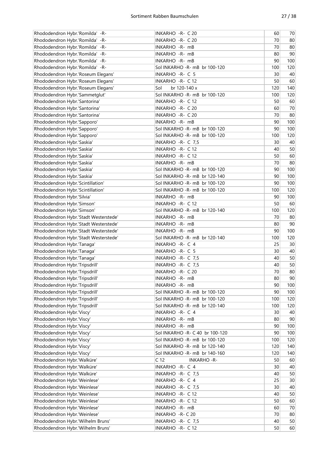| Rhododendron Hybr.'Romilda' -R-       | INKARHO - R- C 20                    | 60        | 70              |
|---------------------------------------|--------------------------------------|-----------|-----------------|
| Rhododendron Hybr.'Romilda' -R-       | INKARHO - R- C 20                    | 70        | 80              |
| Rhododendron Hybr.'Romilda' -R-       | INKARHO - R- mB                      | 70        | 80              |
| Rhododendron Hybr.'Romilda' -R-       | INKARHO - R- mB                      | 80        | 90              |
| Rhododendron Hybr.'Romilda' -R-       | INKARHO - R- mB                      | 90        | 100             |
| Rhododendron Hybr.'Romilda' -R-       | Sol INKARHO - R- mB br 100-120       | 100       | 120             |
| Rhododendron Hybr.'Roseum Elegans'    | INKARHO -R- C 5                      | 30        | 40              |
| Rhododendron Hybr.'Roseum Elegans'    | INKARHO - R- C 12                    | 50        | 60              |
| Rhododendron Hybr.'Roseum Elegans'    | Sol<br>br 120-140 x                  | 120       | 140             |
| Rhododendron Hybr.'Sammetglut'        | Sol INKARHO -R- mB br 100-120        | 100       | 120             |
| Rhododendron Hybr.'Santorina'         | INKARHO - R- C 12                    | 50        | 60              |
| Rhododendron Hybr.'Santorina'         | INKARHO - R- C 20                    | 60        | 70              |
| Rhododendron Hybr.'Santorina'         | INKARHO - R- C 20                    | 70        | 80              |
| Rhododendron Hybr.'Sapporo'           | INKARHO - R- mB                      | 90        | 100             |
| Rhododendron Hybr.'Sapporo'           | Sol INKARHO - R- mB br 100-120       | 90        | 100             |
|                                       | Sol INKARHO - R- mB br 100-120       |           | 120             |
| Rhododendron Hybr.'Sapporo'           |                                      | 100<br>30 |                 |
| Rhododendron Hybr.'Saskia'            | INKARHO - R- C 7,5                   |           | 40              |
| Rhododendron Hybr.'Saskia'            | <b>INKARHO - R- C12</b>              | 40        | 50              |
| Rhododendron Hybr.'Saskia'            | <b>INKARHO - R- C12</b>              | 50        | 60              |
| Rhododendron Hybr.'Saskia'            | INKARHO - R- mB                      | 70        | 80              |
| Rhododendron Hybr.'Saskia'            | Sol INKARHO - R- mB br 100-120       | 90        | 100             |
| Rhododendron Hybr.'Saskia'            | Sol INKARHO - R- mB br 120-140       | 90        | 100             |
| Rhododendron Hybr.'Scintillation'     | Sol INKARHO - R- mB br 100-120       | 90        | 100             |
| Rhododendron Hybr.'Scintillation'     | Sol INKARHO - R- mB br 100-120       | 100       | 120             |
| Rhododendron Hybr.'Silvia'            | INKARHO - R- mB                      | 90        | 100             |
| Rhododendron Hybr.'Simson'            | INKARHO - R- C 12                    | 50        | 60              |
| Rhododendron Hybr.'Simson'            | Sol INKARHO - R- mB br 120-140       | 100       | 120             |
| Rhododendron Hybr.'Stadt Westerstede' | INKARHO - R- mB                      | 70        | 80              |
| Rhododendron Hybr.'Stadt Westerstede' | INKARHO -R- mB                       | 80        | 90              |
| Rhododendron Hybr.'Stadt Westerstede' | INKARHO - R- mB                      | 90        | 100             |
| Rhododendron Hybr.'Stadt Westerstede' | Sol INKARHO - R- mB br 120-140       | 100       | 120             |
| Rhododendron Hybr.'Tanaga'            | INKARHO -R- C 4                      | 25        | 30              |
| Rhododendron Hybr.'Tanaga'            | INKARHO - R- C 5                     | 30        | 40              |
| Rhododendron Hybr.'Tanaga'            | INKARHO - R- C 7,5                   | 40        | 50              |
| Rhododendron Hybr.'Tripsdrill'        | INKARHO - R- C 7,5                   | 40        | 50              |
| Rhododendron Hybr.'Tripsdrill'        | INKARHO - R- C 20                    | 70        | 80              |
| Rhododendron Hybr.'Tripsdrill'        | INKARHO -R- mB                       | 80        | 90              |
| Rhododendron Hybr.'Tripsdrill'        | INKARHO -R- mB                       | 90        | 100             |
| Rhododendron Hybr.'Tripsdrill'        | Sol INKARHO - R- mB br 100-120       | 90        | 100             |
| Rhododendron Hybr.'Tripsdrill'        | Sol INKARHO - R- mB br 100-120       | 100       | 120             |
| Rhododendron Hybr.'Tripsdrill'        | Sol INKARHO - R- mB br 120-140       | 100       | 120             |
| Rhododendron Hybr.'Viscy'             | INKARHO -R- C 4                      | 30        | 40              |
| Rhododendron Hybr.'Viscy'             | INKARHO -R- mB                       | 80        | 90              |
| Rhododendron Hybr.'Viscy'             | INKARHO - R- mB                      | 90        | 100             |
| Rhododendron Hybr.'Viscy'             | Sol INKARHO - R- C 40 br 100-120     | 90        | 100             |
| Rhododendron Hybr.'Viscy'             | Sol INKARHO - R- mB br 100-120       | 100       | 120             |
| Rhododendron Hybr.'Viscy'             | Sol INKARHO - R- mB br 120-140       | 120       | 140             |
| Rhododendron Hybr.'Viscy'             | Sol INKARHO - R- mB br 140-160       | 120       | 140             |
| Rhododendron Hybr.'Walküre'           | C <sub>12</sub><br><b>INKARHO-R-</b> | 50        | 60              |
| Rhododendron Hybr.'Walküre'           | INKARHO -R- C 4                      | 30        | 40              |
| Rhododendron Hybr.'Walküre'           | INKARHO - R- C 7,5                   | 40        | 50              |
| Rhododendron Hybr.'Weinlese'          | INKARHO - R- C 4                     | 25        | 30 <sup>°</sup> |
| Rhododendron Hybr.'Weinlese'          | INKARHO - R- C 7,5                   | 30        | 40              |
| Rhododendron Hybr.'Weinlese'          | INKARHO - R- C 12                    | 40        | 50              |
| Rhododendron Hybr.'Weinlese'          | INKARHO - R- C 12                    | 50        | 60              |
| Rhododendron Hybr.'Weinlese'          | INKARHO - R- mB                      | 60        | 70              |
| Rhododendron Hybr.'Weinlese'          | INKARHO - R- C 20                    | 70        | 80              |
| Rhododendron Hybr.'Wilhelm Bruns'     | INKARHO -R- C 7,5                    | 40        | 50              |
| Rhododendron Hybr.'Wilhelm Bruns'     | INKARHO - R- C 12                    | 50        | 60              |
|                                       |                                      |           |                 |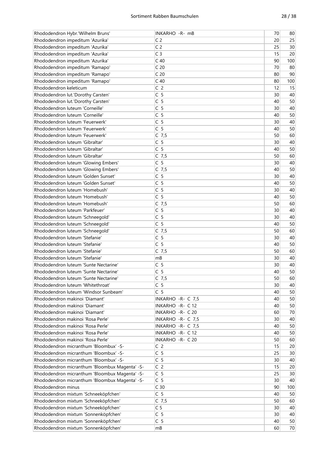| Rhododendron Hybr.'Wilhelm Bruns'                                          | INKARHO -R- mB     | 70 | 80  |
|----------------------------------------------------------------------------|--------------------|----|-----|
| Rhododendron impeditum 'Azurika'                                           | C <sub>2</sub>     | 20 | 25  |
| Rhododendron impeditum 'Azurika'                                           | C <sub>2</sub>     | 25 | 30  |
| Rhododendron impeditum 'Azurika'                                           | C <sub>3</sub>     | 15 | 20  |
| Rhododendron impeditum 'Azurika'                                           | C <sub>40</sub>    | 90 | 100 |
| Rhododendron impeditum 'Ramapo'                                            | C <sub>20</sub>    | 70 | 80  |
| Rhododendron impeditum 'Ramapo'                                            | C <sub>20</sub>    | 80 | 90  |
| Rhododendron impeditum 'Ramapo'                                            | C <sub>40</sub>    | 80 | 100 |
| Rhododendron keleticum                                                     | C <sub>2</sub>     | 12 | 15  |
| Rhododendron lut.'Dorothy Carsten'                                         | C <sub>5</sub>     | 30 | 40  |
| Rhododendron lut.'Dorothy Carsten'                                         | C <sub>5</sub>     | 40 | 50  |
| Rhododendron luteum 'Corneille'                                            | C <sub>5</sub>     | 30 | 40  |
| Rhododendron luteum 'Corneille'                                            | C <sub>5</sub>     | 40 | 50  |
| Rhododendron luteum 'Feuerwerk'                                            | C <sub>5</sub>     | 30 | 40  |
| Rhododendron luteum 'Feuerwerk'                                            | C <sub>5</sub>     | 40 | 50  |
|                                                                            |                    |    |     |
| Rhododendron luteum 'Feuerwerk'                                            | $C$ 7,5            | 50 | 60  |
| Rhododendron luteum 'Gibraltar'                                            | C <sub>5</sub>     | 30 | 40  |
| Rhododendron luteum 'Gibraltar'                                            | C <sub>5</sub>     | 40 | 50  |
| Rhododendron luteum 'Gibraltar'                                            | $C$ 7,5            | 50 | 60  |
| Rhododendron luteum 'Glowing Embers'                                       | C <sub>5</sub>     | 30 | 40  |
| Rhododendron luteum 'Glowing Embers'                                       | $C$ 7,5            | 40 | 50  |
| Rhododendron luteum 'Golden Sunset'                                        | C <sub>5</sub>     | 30 | 40  |
| Rhododendron luteum 'Golden Sunset'                                        | C <sub>5</sub>     | 40 | 50  |
| Rhododendron luteum 'Homebush'                                             | C <sub>5</sub>     | 30 | 40  |
| Rhododendron luteum 'Homebush'                                             | C <sub>5</sub>     | 40 | 50  |
| Rhododendron luteum 'Homebush'                                             | $C$ 7,5            | 50 | 60  |
| Rhododendron luteum 'Parkfeuer'                                            | C <sub>5</sub>     | 30 | 40  |
| Rhododendron luteum 'Schneegold'                                           | C <sub>5</sub>     | 30 | 40  |
| Rhododendron luteum 'Schneegold'                                           | C <sub>5</sub>     | 40 | 50  |
| Rhododendron luteum 'Schneegold'                                           | $C$ 7,5            | 50 | 60  |
| Rhododendron luteum 'Stefanie'                                             | C <sub>5</sub>     | 30 | 40  |
| Rhododendron luteum 'Stefanie'                                             | C <sub>5</sub>     | 40 | 50  |
| Rhododendron luteum 'Stefanie'                                             | $C$ 7,5            | 50 | 60  |
| Rhododendron luteum 'Stefanie'                                             | mB                 | 30 | 40  |
| Rhododendron luteum 'Sunte Nectarine'                                      | C <sub>5</sub>     | 30 | 40  |
| Rhododendron luteum 'Sunte Nectarine'                                      | C <sub>5</sub>     | 40 | 50  |
| Rhododendron luteum 'Sunte Nectarine'                                      | $C$ 7,5            | 50 | 60  |
|                                                                            | C <sub>5</sub>     | 30 |     |
| Rhododendron luteum 'Whitethroat'<br>Rhododendron luteum 'Windsor Sunbeam' | C <sub>5</sub>     |    | 40  |
|                                                                            |                    | 40 | 50  |
| Rhododendron makinoi 'Diamant'                                             | INKARHO - R- C 7,5 | 40 | 50  |
| Rhododendron makinoi 'Diamant'                                             | INKARHO - R- C 12  | 40 | 50  |
| Rhododendron makinoi 'Diamant'                                             | INKARHO - R- C 20  | 60 | 70  |
| Rhododendron makinoi 'Rosa Perle'                                          | INKARHO - R- C 7,5 | 30 | 40  |
| Rhododendron makinoi 'Rosa Perle'                                          | INKARHO - R- C 7,5 | 40 | 50  |
| Rhododendron makinoi 'Rosa Perle'                                          | INKARHO - R- C 12  | 40 | 50  |
| Rhododendron makinoi 'Rosa Perle'                                          | INKARHO - R- C 20  | 50 | 60  |
| Rhododendron micranthum 'Bloombux' -S-                                     | C <sub>2</sub>     | 15 | 20  |
| Rhododendron micranthum 'Bloombux' -S-                                     | C <sub>5</sub>     | 25 | 30  |
| Rhododendron micranthum 'Bloombux' -S-                                     | C <sub>5</sub>     | 30 | 40  |
| Rhododendron micranthum 'Bloombux Magenta' -S-                             | C <sub>2</sub>     | 15 | 20  |
| Rhododendron micranthum 'Bloombux Magenta' -S-                             | C <sub>5</sub>     | 25 | 30  |
| Rhododendron micranthum 'Bloombux Magenta' -S-                             | C <sub>5</sub>     | 30 | 40  |
| Rhododendron minus                                                         | C <sub>30</sub>    | 90 | 100 |
| Rhododendron mixtum 'Schneeköpfchen'                                       | C <sub>5</sub>     | 40 | 50  |
| Rhododendron mixtum 'Schneeköpfchen'                                       | $C$ 7,5            | 50 | 60  |
| Rhododendron mixtum 'Schneeköpfchen'                                       | C <sub>5</sub>     | 30 | 40  |
| Rhododendron mixtum 'Sonnenköpfchen'                                       | C <sub>5</sub>     | 30 | 40  |
| Rhododendron mixtum 'Sonnenköpfchen'                                       | C <sub>5</sub>     | 40 | 50  |
| Rhododendron mixtum 'Sonnenköpfchen'                                       | mB                 | 60 | 70  |
|                                                                            |                    |    |     |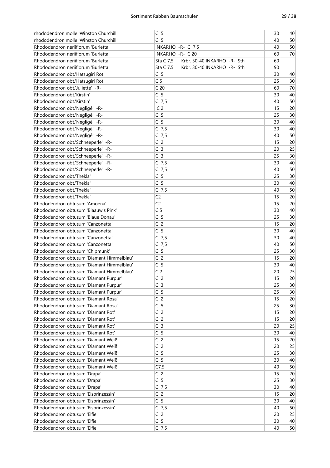| C <sub>5</sub><br>50<br>rhododendron molle 'Winston Churchill'<br>40<br>Rhododendron neriiflorum 'Burletta'<br>50<br>INKARHO - R- C 7,5<br>40<br>Rhododendron neriiflorum 'Burletta'<br>INKARHO - R- C 20<br>70<br>60<br>Rhododendron neriiflorum 'Burletta'<br>Sta C 7,5<br>Krbr. 30-40 INKARHO -R- Sth.<br>60<br>Rhododendron neriiflorum 'Burletta'<br>Sta C 7,5<br>Krbr. 30-40 INKARHO -R- Sth.<br>90<br>C <sub>5</sub><br>Rhododendron obt.'Hatsugiri Rot'<br>30<br>40<br>C <sub>5</sub><br>30<br>Rhododendron obt.'Hatsugiri Rot'<br>25<br>C <sub>20</sub><br>Rhododendron obt.'Juliette' -R-<br>60<br>70<br>C <sub>5</sub><br>Rhododendron obt.'Kirstin'<br>30<br>40<br>$C$ 7,5<br>50<br>Rhododendron obt.'Kirstin'<br>40<br>C <sub>2</sub><br>20<br>Rhododendron obt.'Negligé' -R-<br>15<br>C <sub>5</sub><br>30<br>Rhododendron obt.'Negligé' -R-<br>25<br>C <sub>5</sub><br>40<br>Rhododendron obt.'Negligé' -R-<br>30<br>Rhododendron obt.'Negligé' -R-<br>$C$ 7,5<br>40<br>30<br>Rhododendron obt.'Negligé' -R-<br>$C$ 7,5<br>50<br>40<br>C <sub>2</sub><br>Rhododendron obt.'Schneeperle' -R-<br>15<br>20<br>C <sub>3</sub><br>25<br>Rhododendron obt.'Schneeperle' -R-<br>20<br>C <sub>3</sub><br>25<br>30<br>Rhododendron obt.'Schneeperle' -R-<br>$C$ 7,5<br>Rhododendron obt.'Schneeperle' -R-<br>30<br>40<br>$C$ 7,5<br>50<br>Rhododendron obt.'Schneeperle' -R-<br>40<br>C <sub>5</sub><br>Rhododendron obt.'Thekla'<br>25<br>30<br>C <sub>5</sub><br>Rhododendron obt.'Thekla'<br>30<br>40<br>50<br>Rhododendron obt.'Thekla'<br>$C$ 7,5<br>40<br>C <sub>2</sub><br>Rhododendron obt.'Thekla'<br>20<br>15<br>C <sub>2</sub><br>15<br>20<br>Rhododendron obtusum 'Amoena'<br>C <sub>5</sub><br>40<br>Rhododendron obtusum 'Blaauw's Pink'<br>30<br>C <sub>5</sub><br>Rhododendron obtusum 'Blaue Donau'<br>25<br>30<br>C <sub>2</sub><br>15<br>20<br>Rhododendron obtusum 'Canzonetta'<br>C <sub>5</sub><br>Rhododendron obtusum 'Canzonetta'<br>30<br>40<br>$\overline{C}$ 7,5<br>Rhododendron obtusum 'Canzonetta'<br>30<br>40<br>Rhododendron obtusum 'Canzonetta'<br>$C$ 7,5<br>50<br>40<br>C <sub>5</sub><br>Rhododendron obtusum 'Chipmunk'<br>25<br>30<br>C <sub>2</sub><br>Rhododendron obtusum 'Diamant Himmelblau'<br>15<br>20<br>C <sub>5</sub><br>Rhododendron obtusum 'Diamant Himmelblau'<br>30<br>40<br>C <sub>2</sub><br>25<br>Rhododendron obtusum 'Diamant Himmelblau'<br>20<br>C <sub>2</sub><br>15<br>20<br>Rhododendron obtusum 'Diamant Purpur'<br>C <sub>3</sub><br>25<br>Rhododendron obtusum 'Diamant Purpur'<br>30 <sup>°</sup><br>C <sub>5</sub><br>Rhododendron obtusum 'Diamant Purpur'<br>25<br>30<br>C <sub>2</sub><br>Rhododendron obtusum 'Diamant Rosa'<br>20<br>15<br>C <sub>5</sub><br>Rhododendron obtusum 'Diamant Rosa'<br>25<br>30<br>C <sub>2</sub><br>Rhododendron obtusum 'Diamant Rot'<br>15<br>20<br>C <sub>2</sub><br>Rhododendron obtusum 'Diamant Rot'<br>15<br>20<br>C <sub>3</sub><br>25<br>Rhododendron obtusum 'Diamant Rot'<br>20<br>C <sub>5</sub><br>Rhododendron obtusum 'Diamant Rot'<br>30<br>40<br>C <sub>2</sub><br>Rhododendron obtusum 'Diamant Weiß'<br>15<br>20<br>C <sub>2</sub><br>Rhododendron obtusum 'Diamant Weiß'<br>25<br>20 | rhododendron molle 'Winston Churchill' | C <sub>5</sub> | 30 | 40 |
|-------------------------------------------------------------------------------------------------------------------------------------------------------------------------------------------------------------------------------------------------------------------------------------------------------------------------------------------------------------------------------------------------------------------------------------------------------------------------------------------------------------------------------------------------------------------------------------------------------------------------------------------------------------------------------------------------------------------------------------------------------------------------------------------------------------------------------------------------------------------------------------------------------------------------------------------------------------------------------------------------------------------------------------------------------------------------------------------------------------------------------------------------------------------------------------------------------------------------------------------------------------------------------------------------------------------------------------------------------------------------------------------------------------------------------------------------------------------------------------------------------------------------------------------------------------------------------------------------------------------------------------------------------------------------------------------------------------------------------------------------------------------------------------------------------------------------------------------------------------------------------------------------------------------------------------------------------------------------------------------------------------------------------------------------------------------------------------------------------------------------------------------------------------------------------------------------------------------------------------------------------------------------------------------------------------------------------------------------------------------------------------------------------------------------------------------------------------------------------------------------------------------------------------------------------------------------------------------------------------------------------------------------------------------------------------------------------------------------------------------------------------------------------------------------------------------------------------------------------------------------------------------------------------------------------------------------------------------------------------------------------------------------------------------------------------------------------------------------------------------------------------------------------------------------------------------------------------------------|----------------------------------------|----------------|----|----|
|                                                                                                                                                                                                                                                                                                                                                                                                                                                                                                                                                                                                                                                                                                                                                                                                                                                                                                                                                                                                                                                                                                                                                                                                                                                                                                                                                                                                                                                                                                                                                                                                                                                                                                                                                                                                                                                                                                                                                                                                                                                                                                                                                                                                                                                                                                                                                                                                                                                                                                                                                                                                                                                                                                                                                                                                                                                                                                                                                                                                                                                                                                                                                                                                                         |                                        |                |    |    |
|                                                                                                                                                                                                                                                                                                                                                                                                                                                                                                                                                                                                                                                                                                                                                                                                                                                                                                                                                                                                                                                                                                                                                                                                                                                                                                                                                                                                                                                                                                                                                                                                                                                                                                                                                                                                                                                                                                                                                                                                                                                                                                                                                                                                                                                                                                                                                                                                                                                                                                                                                                                                                                                                                                                                                                                                                                                                                                                                                                                                                                                                                                                                                                                                                         |                                        |                |    |    |
|                                                                                                                                                                                                                                                                                                                                                                                                                                                                                                                                                                                                                                                                                                                                                                                                                                                                                                                                                                                                                                                                                                                                                                                                                                                                                                                                                                                                                                                                                                                                                                                                                                                                                                                                                                                                                                                                                                                                                                                                                                                                                                                                                                                                                                                                                                                                                                                                                                                                                                                                                                                                                                                                                                                                                                                                                                                                                                                                                                                                                                                                                                                                                                                                                         |                                        |                |    |    |
|                                                                                                                                                                                                                                                                                                                                                                                                                                                                                                                                                                                                                                                                                                                                                                                                                                                                                                                                                                                                                                                                                                                                                                                                                                                                                                                                                                                                                                                                                                                                                                                                                                                                                                                                                                                                                                                                                                                                                                                                                                                                                                                                                                                                                                                                                                                                                                                                                                                                                                                                                                                                                                                                                                                                                                                                                                                                                                                                                                                                                                                                                                                                                                                                                         |                                        |                |    |    |
|                                                                                                                                                                                                                                                                                                                                                                                                                                                                                                                                                                                                                                                                                                                                                                                                                                                                                                                                                                                                                                                                                                                                                                                                                                                                                                                                                                                                                                                                                                                                                                                                                                                                                                                                                                                                                                                                                                                                                                                                                                                                                                                                                                                                                                                                                                                                                                                                                                                                                                                                                                                                                                                                                                                                                                                                                                                                                                                                                                                                                                                                                                                                                                                                                         |                                        |                |    |    |
|                                                                                                                                                                                                                                                                                                                                                                                                                                                                                                                                                                                                                                                                                                                                                                                                                                                                                                                                                                                                                                                                                                                                                                                                                                                                                                                                                                                                                                                                                                                                                                                                                                                                                                                                                                                                                                                                                                                                                                                                                                                                                                                                                                                                                                                                                                                                                                                                                                                                                                                                                                                                                                                                                                                                                                                                                                                                                                                                                                                                                                                                                                                                                                                                                         |                                        |                |    |    |
|                                                                                                                                                                                                                                                                                                                                                                                                                                                                                                                                                                                                                                                                                                                                                                                                                                                                                                                                                                                                                                                                                                                                                                                                                                                                                                                                                                                                                                                                                                                                                                                                                                                                                                                                                                                                                                                                                                                                                                                                                                                                                                                                                                                                                                                                                                                                                                                                                                                                                                                                                                                                                                                                                                                                                                                                                                                                                                                                                                                                                                                                                                                                                                                                                         |                                        |                |    |    |
|                                                                                                                                                                                                                                                                                                                                                                                                                                                                                                                                                                                                                                                                                                                                                                                                                                                                                                                                                                                                                                                                                                                                                                                                                                                                                                                                                                                                                                                                                                                                                                                                                                                                                                                                                                                                                                                                                                                                                                                                                                                                                                                                                                                                                                                                                                                                                                                                                                                                                                                                                                                                                                                                                                                                                                                                                                                                                                                                                                                                                                                                                                                                                                                                                         |                                        |                |    |    |
|                                                                                                                                                                                                                                                                                                                                                                                                                                                                                                                                                                                                                                                                                                                                                                                                                                                                                                                                                                                                                                                                                                                                                                                                                                                                                                                                                                                                                                                                                                                                                                                                                                                                                                                                                                                                                                                                                                                                                                                                                                                                                                                                                                                                                                                                                                                                                                                                                                                                                                                                                                                                                                                                                                                                                                                                                                                                                                                                                                                                                                                                                                                                                                                                                         |                                        |                |    |    |
|                                                                                                                                                                                                                                                                                                                                                                                                                                                                                                                                                                                                                                                                                                                                                                                                                                                                                                                                                                                                                                                                                                                                                                                                                                                                                                                                                                                                                                                                                                                                                                                                                                                                                                                                                                                                                                                                                                                                                                                                                                                                                                                                                                                                                                                                                                                                                                                                                                                                                                                                                                                                                                                                                                                                                                                                                                                                                                                                                                                                                                                                                                                                                                                                                         |                                        |                |    |    |
|                                                                                                                                                                                                                                                                                                                                                                                                                                                                                                                                                                                                                                                                                                                                                                                                                                                                                                                                                                                                                                                                                                                                                                                                                                                                                                                                                                                                                                                                                                                                                                                                                                                                                                                                                                                                                                                                                                                                                                                                                                                                                                                                                                                                                                                                                                                                                                                                                                                                                                                                                                                                                                                                                                                                                                                                                                                                                                                                                                                                                                                                                                                                                                                                                         |                                        |                |    |    |
|                                                                                                                                                                                                                                                                                                                                                                                                                                                                                                                                                                                                                                                                                                                                                                                                                                                                                                                                                                                                                                                                                                                                                                                                                                                                                                                                                                                                                                                                                                                                                                                                                                                                                                                                                                                                                                                                                                                                                                                                                                                                                                                                                                                                                                                                                                                                                                                                                                                                                                                                                                                                                                                                                                                                                                                                                                                                                                                                                                                                                                                                                                                                                                                                                         |                                        |                |    |    |
|                                                                                                                                                                                                                                                                                                                                                                                                                                                                                                                                                                                                                                                                                                                                                                                                                                                                                                                                                                                                                                                                                                                                                                                                                                                                                                                                                                                                                                                                                                                                                                                                                                                                                                                                                                                                                                                                                                                                                                                                                                                                                                                                                                                                                                                                                                                                                                                                                                                                                                                                                                                                                                                                                                                                                                                                                                                                                                                                                                                                                                                                                                                                                                                                                         |                                        |                |    |    |
|                                                                                                                                                                                                                                                                                                                                                                                                                                                                                                                                                                                                                                                                                                                                                                                                                                                                                                                                                                                                                                                                                                                                                                                                                                                                                                                                                                                                                                                                                                                                                                                                                                                                                                                                                                                                                                                                                                                                                                                                                                                                                                                                                                                                                                                                                                                                                                                                                                                                                                                                                                                                                                                                                                                                                                                                                                                                                                                                                                                                                                                                                                                                                                                                                         |                                        |                |    |    |
|                                                                                                                                                                                                                                                                                                                                                                                                                                                                                                                                                                                                                                                                                                                                                                                                                                                                                                                                                                                                                                                                                                                                                                                                                                                                                                                                                                                                                                                                                                                                                                                                                                                                                                                                                                                                                                                                                                                                                                                                                                                                                                                                                                                                                                                                                                                                                                                                                                                                                                                                                                                                                                                                                                                                                                                                                                                                                                                                                                                                                                                                                                                                                                                                                         |                                        |                |    |    |
|                                                                                                                                                                                                                                                                                                                                                                                                                                                                                                                                                                                                                                                                                                                                                                                                                                                                                                                                                                                                                                                                                                                                                                                                                                                                                                                                                                                                                                                                                                                                                                                                                                                                                                                                                                                                                                                                                                                                                                                                                                                                                                                                                                                                                                                                                                                                                                                                                                                                                                                                                                                                                                                                                                                                                                                                                                                                                                                                                                                                                                                                                                                                                                                                                         |                                        |                |    |    |
|                                                                                                                                                                                                                                                                                                                                                                                                                                                                                                                                                                                                                                                                                                                                                                                                                                                                                                                                                                                                                                                                                                                                                                                                                                                                                                                                                                                                                                                                                                                                                                                                                                                                                                                                                                                                                                                                                                                                                                                                                                                                                                                                                                                                                                                                                                                                                                                                                                                                                                                                                                                                                                                                                                                                                                                                                                                                                                                                                                                                                                                                                                                                                                                                                         |                                        |                |    |    |
|                                                                                                                                                                                                                                                                                                                                                                                                                                                                                                                                                                                                                                                                                                                                                                                                                                                                                                                                                                                                                                                                                                                                                                                                                                                                                                                                                                                                                                                                                                                                                                                                                                                                                                                                                                                                                                                                                                                                                                                                                                                                                                                                                                                                                                                                                                                                                                                                                                                                                                                                                                                                                                                                                                                                                                                                                                                                                                                                                                                                                                                                                                                                                                                                                         |                                        |                |    |    |
|                                                                                                                                                                                                                                                                                                                                                                                                                                                                                                                                                                                                                                                                                                                                                                                                                                                                                                                                                                                                                                                                                                                                                                                                                                                                                                                                                                                                                                                                                                                                                                                                                                                                                                                                                                                                                                                                                                                                                                                                                                                                                                                                                                                                                                                                                                                                                                                                                                                                                                                                                                                                                                                                                                                                                                                                                                                                                                                                                                                                                                                                                                                                                                                                                         |                                        |                |    |    |
|                                                                                                                                                                                                                                                                                                                                                                                                                                                                                                                                                                                                                                                                                                                                                                                                                                                                                                                                                                                                                                                                                                                                                                                                                                                                                                                                                                                                                                                                                                                                                                                                                                                                                                                                                                                                                                                                                                                                                                                                                                                                                                                                                                                                                                                                                                                                                                                                                                                                                                                                                                                                                                                                                                                                                                                                                                                                                                                                                                                                                                                                                                                                                                                                                         |                                        |                |    |    |
|                                                                                                                                                                                                                                                                                                                                                                                                                                                                                                                                                                                                                                                                                                                                                                                                                                                                                                                                                                                                                                                                                                                                                                                                                                                                                                                                                                                                                                                                                                                                                                                                                                                                                                                                                                                                                                                                                                                                                                                                                                                                                                                                                                                                                                                                                                                                                                                                                                                                                                                                                                                                                                                                                                                                                                                                                                                                                                                                                                                                                                                                                                                                                                                                                         |                                        |                |    |    |
|                                                                                                                                                                                                                                                                                                                                                                                                                                                                                                                                                                                                                                                                                                                                                                                                                                                                                                                                                                                                                                                                                                                                                                                                                                                                                                                                                                                                                                                                                                                                                                                                                                                                                                                                                                                                                                                                                                                                                                                                                                                                                                                                                                                                                                                                                                                                                                                                                                                                                                                                                                                                                                                                                                                                                                                                                                                                                                                                                                                                                                                                                                                                                                                                                         |                                        |                |    |    |
|                                                                                                                                                                                                                                                                                                                                                                                                                                                                                                                                                                                                                                                                                                                                                                                                                                                                                                                                                                                                                                                                                                                                                                                                                                                                                                                                                                                                                                                                                                                                                                                                                                                                                                                                                                                                                                                                                                                                                                                                                                                                                                                                                                                                                                                                                                                                                                                                                                                                                                                                                                                                                                                                                                                                                                                                                                                                                                                                                                                                                                                                                                                                                                                                                         |                                        |                |    |    |
|                                                                                                                                                                                                                                                                                                                                                                                                                                                                                                                                                                                                                                                                                                                                                                                                                                                                                                                                                                                                                                                                                                                                                                                                                                                                                                                                                                                                                                                                                                                                                                                                                                                                                                                                                                                                                                                                                                                                                                                                                                                                                                                                                                                                                                                                                                                                                                                                                                                                                                                                                                                                                                                                                                                                                                                                                                                                                                                                                                                                                                                                                                                                                                                                                         |                                        |                |    |    |
|                                                                                                                                                                                                                                                                                                                                                                                                                                                                                                                                                                                                                                                                                                                                                                                                                                                                                                                                                                                                                                                                                                                                                                                                                                                                                                                                                                                                                                                                                                                                                                                                                                                                                                                                                                                                                                                                                                                                                                                                                                                                                                                                                                                                                                                                                                                                                                                                                                                                                                                                                                                                                                                                                                                                                                                                                                                                                                                                                                                                                                                                                                                                                                                                                         |                                        |                |    |    |
|                                                                                                                                                                                                                                                                                                                                                                                                                                                                                                                                                                                                                                                                                                                                                                                                                                                                                                                                                                                                                                                                                                                                                                                                                                                                                                                                                                                                                                                                                                                                                                                                                                                                                                                                                                                                                                                                                                                                                                                                                                                                                                                                                                                                                                                                                                                                                                                                                                                                                                                                                                                                                                                                                                                                                                                                                                                                                                                                                                                                                                                                                                                                                                                                                         |                                        |                |    |    |
|                                                                                                                                                                                                                                                                                                                                                                                                                                                                                                                                                                                                                                                                                                                                                                                                                                                                                                                                                                                                                                                                                                                                                                                                                                                                                                                                                                                                                                                                                                                                                                                                                                                                                                                                                                                                                                                                                                                                                                                                                                                                                                                                                                                                                                                                                                                                                                                                                                                                                                                                                                                                                                                                                                                                                                                                                                                                                                                                                                                                                                                                                                                                                                                                                         |                                        |                |    |    |
|                                                                                                                                                                                                                                                                                                                                                                                                                                                                                                                                                                                                                                                                                                                                                                                                                                                                                                                                                                                                                                                                                                                                                                                                                                                                                                                                                                                                                                                                                                                                                                                                                                                                                                                                                                                                                                                                                                                                                                                                                                                                                                                                                                                                                                                                                                                                                                                                                                                                                                                                                                                                                                                                                                                                                                                                                                                                                                                                                                                                                                                                                                                                                                                                                         |                                        |                |    |    |
|                                                                                                                                                                                                                                                                                                                                                                                                                                                                                                                                                                                                                                                                                                                                                                                                                                                                                                                                                                                                                                                                                                                                                                                                                                                                                                                                                                                                                                                                                                                                                                                                                                                                                                                                                                                                                                                                                                                                                                                                                                                                                                                                                                                                                                                                                                                                                                                                                                                                                                                                                                                                                                                                                                                                                                                                                                                                                                                                                                                                                                                                                                                                                                                                                         |                                        |                |    |    |
|                                                                                                                                                                                                                                                                                                                                                                                                                                                                                                                                                                                                                                                                                                                                                                                                                                                                                                                                                                                                                                                                                                                                                                                                                                                                                                                                                                                                                                                                                                                                                                                                                                                                                                                                                                                                                                                                                                                                                                                                                                                                                                                                                                                                                                                                                                                                                                                                                                                                                                                                                                                                                                                                                                                                                                                                                                                                                                                                                                                                                                                                                                                                                                                                                         |                                        |                |    |    |
|                                                                                                                                                                                                                                                                                                                                                                                                                                                                                                                                                                                                                                                                                                                                                                                                                                                                                                                                                                                                                                                                                                                                                                                                                                                                                                                                                                                                                                                                                                                                                                                                                                                                                                                                                                                                                                                                                                                                                                                                                                                                                                                                                                                                                                                                                                                                                                                                                                                                                                                                                                                                                                                                                                                                                                                                                                                                                                                                                                                                                                                                                                                                                                                                                         |                                        |                |    |    |
|                                                                                                                                                                                                                                                                                                                                                                                                                                                                                                                                                                                                                                                                                                                                                                                                                                                                                                                                                                                                                                                                                                                                                                                                                                                                                                                                                                                                                                                                                                                                                                                                                                                                                                                                                                                                                                                                                                                                                                                                                                                                                                                                                                                                                                                                                                                                                                                                                                                                                                                                                                                                                                                                                                                                                                                                                                                                                                                                                                                                                                                                                                                                                                                                                         |                                        |                |    |    |
|                                                                                                                                                                                                                                                                                                                                                                                                                                                                                                                                                                                                                                                                                                                                                                                                                                                                                                                                                                                                                                                                                                                                                                                                                                                                                                                                                                                                                                                                                                                                                                                                                                                                                                                                                                                                                                                                                                                                                                                                                                                                                                                                                                                                                                                                                                                                                                                                                                                                                                                                                                                                                                                                                                                                                                                                                                                                                                                                                                                                                                                                                                                                                                                                                         |                                        |                |    |    |
|                                                                                                                                                                                                                                                                                                                                                                                                                                                                                                                                                                                                                                                                                                                                                                                                                                                                                                                                                                                                                                                                                                                                                                                                                                                                                                                                                                                                                                                                                                                                                                                                                                                                                                                                                                                                                                                                                                                                                                                                                                                                                                                                                                                                                                                                                                                                                                                                                                                                                                                                                                                                                                                                                                                                                                                                                                                                                                                                                                                                                                                                                                                                                                                                                         |                                        |                |    |    |
|                                                                                                                                                                                                                                                                                                                                                                                                                                                                                                                                                                                                                                                                                                                                                                                                                                                                                                                                                                                                                                                                                                                                                                                                                                                                                                                                                                                                                                                                                                                                                                                                                                                                                                                                                                                                                                                                                                                                                                                                                                                                                                                                                                                                                                                                                                                                                                                                                                                                                                                                                                                                                                                                                                                                                                                                                                                                                                                                                                                                                                                                                                                                                                                                                         |                                        |                |    |    |
|                                                                                                                                                                                                                                                                                                                                                                                                                                                                                                                                                                                                                                                                                                                                                                                                                                                                                                                                                                                                                                                                                                                                                                                                                                                                                                                                                                                                                                                                                                                                                                                                                                                                                                                                                                                                                                                                                                                                                                                                                                                                                                                                                                                                                                                                                                                                                                                                                                                                                                                                                                                                                                                                                                                                                                                                                                                                                                                                                                                                                                                                                                                                                                                                                         |                                        |                |    |    |
|                                                                                                                                                                                                                                                                                                                                                                                                                                                                                                                                                                                                                                                                                                                                                                                                                                                                                                                                                                                                                                                                                                                                                                                                                                                                                                                                                                                                                                                                                                                                                                                                                                                                                                                                                                                                                                                                                                                                                                                                                                                                                                                                                                                                                                                                                                                                                                                                                                                                                                                                                                                                                                                                                                                                                                                                                                                                                                                                                                                                                                                                                                                                                                                                                         |                                        |                |    |    |
|                                                                                                                                                                                                                                                                                                                                                                                                                                                                                                                                                                                                                                                                                                                                                                                                                                                                                                                                                                                                                                                                                                                                                                                                                                                                                                                                                                                                                                                                                                                                                                                                                                                                                                                                                                                                                                                                                                                                                                                                                                                                                                                                                                                                                                                                                                                                                                                                                                                                                                                                                                                                                                                                                                                                                                                                                                                                                                                                                                                                                                                                                                                                                                                                                         |                                        |                |    |    |
|                                                                                                                                                                                                                                                                                                                                                                                                                                                                                                                                                                                                                                                                                                                                                                                                                                                                                                                                                                                                                                                                                                                                                                                                                                                                                                                                                                                                                                                                                                                                                                                                                                                                                                                                                                                                                                                                                                                                                                                                                                                                                                                                                                                                                                                                                                                                                                                                                                                                                                                                                                                                                                                                                                                                                                                                                                                                                                                                                                                                                                                                                                                                                                                                                         |                                        |                |    |    |
|                                                                                                                                                                                                                                                                                                                                                                                                                                                                                                                                                                                                                                                                                                                                                                                                                                                                                                                                                                                                                                                                                                                                                                                                                                                                                                                                                                                                                                                                                                                                                                                                                                                                                                                                                                                                                                                                                                                                                                                                                                                                                                                                                                                                                                                                                                                                                                                                                                                                                                                                                                                                                                                                                                                                                                                                                                                                                                                                                                                                                                                                                                                                                                                                                         |                                        |                |    |    |
|                                                                                                                                                                                                                                                                                                                                                                                                                                                                                                                                                                                                                                                                                                                                                                                                                                                                                                                                                                                                                                                                                                                                                                                                                                                                                                                                                                                                                                                                                                                                                                                                                                                                                                                                                                                                                                                                                                                                                                                                                                                                                                                                                                                                                                                                                                                                                                                                                                                                                                                                                                                                                                                                                                                                                                                                                                                                                                                                                                                                                                                                                                                                                                                                                         |                                        |                |    |    |
|                                                                                                                                                                                                                                                                                                                                                                                                                                                                                                                                                                                                                                                                                                                                                                                                                                                                                                                                                                                                                                                                                                                                                                                                                                                                                                                                                                                                                                                                                                                                                                                                                                                                                                                                                                                                                                                                                                                                                                                                                                                                                                                                                                                                                                                                                                                                                                                                                                                                                                                                                                                                                                                                                                                                                                                                                                                                                                                                                                                                                                                                                                                                                                                                                         |                                        |                |    |    |
|                                                                                                                                                                                                                                                                                                                                                                                                                                                                                                                                                                                                                                                                                                                                                                                                                                                                                                                                                                                                                                                                                                                                                                                                                                                                                                                                                                                                                                                                                                                                                                                                                                                                                                                                                                                                                                                                                                                                                                                                                                                                                                                                                                                                                                                                                                                                                                                                                                                                                                                                                                                                                                                                                                                                                                                                                                                                                                                                                                                                                                                                                                                                                                                                                         |                                        |                |    |    |
|                                                                                                                                                                                                                                                                                                                                                                                                                                                                                                                                                                                                                                                                                                                                                                                                                                                                                                                                                                                                                                                                                                                                                                                                                                                                                                                                                                                                                                                                                                                                                                                                                                                                                                                                                                                                                                                                                                                                                                                                                                                                                                                                                                                                                                                                                                                                                                                                                                                                                                                                                                                                                                                                                                                                                                                                                                                                                                                                                                                                                                                                                                                                                                                                                         |                                        |                |    |    |
|                                                                                                                                                                                                                                                                                                                                                                                                                                                                                                                                                                                                                                                                                                                                                                                                                                                                                                                                                                                                                                                                                                                                                                                                                                                                                                                                                                                                                                                                                                                                                                                                                                                                                                                                                                                                                                                                                                                                                                                                                                                                                                                                                                                                                                                                                                                                                                                                                                                                                                                                                                                                                                                                                                                                                                                                                                                                                                                                                                                                                                                                                                                                                                                                                         |                                        |                |    |    |
|                                                                                                                                                                                                                                                                                                                                                                                                                                                                                                                                                                                                                                                                                                                                                                                                                                                                                                                                                                                                                                                                                                                                                                                                                                                                                                                                                                                                                                                                                                                                                                                                                                                                                                                                                                                                                                                                                                                                                                                                                                                                                                                                                                                                                                                                                                                                                                                                                                                                                                                                                                                                                                                                                                                                                                                                                                                                                                                                                                                                                                                                                                                                                                                                                         |                                        |                |    |    |
|                                                                                                                                                                                                                                                                                                                                                                                                                                                                                                                                                                                                                                                                                                                                                                                                                                                                                                                                                                                                                                                                                                                                                                                                                                                                                                                                                                                                                                                                                                                                                                                                                                                                                                                                                                                                                                                                                                                                                                                                                                                                                                                                                                                                                                                                                                                                                                                                                                                                                                                                                                                                                                                                                                                                                                                                                                                                                                                                                                                                                                                                                                                                                                                                                         |                                        |                |    |    |
|                                                                                                                                                                                                                                                                                                                                                                                                                                                                                                                                                                                                                                                                                                                                                                                                                                                                                                                                                                                                                                                                                                                                                                                                                                                                                                                                                                                                                                                                                                                                                                                                                                                                                                                                                                                                                                                                                                                                                                                                                                                                                                                                                                                                                                                                                                                                                                                                                                                                                                                                                                                                                                                                                                                                                                                                                                                                                                                                                                                                                                                                                                                                                                                                                         |                                        |                |    |    |
|                                                                                                                                                                                                                                                                                                                                                                                                                                                                                                                                                                                                                                                                                                                                                                                                                                                                                                                                                                                                                                                                                                                                                                                                                                                                                                                                                                                                                                                                                                                                                                                                                                                                                                                                                                                                                                                                                                                                                                                                                                                                                                                                                                                                                                                                                                                                                                                                                                                                                                                                                                                                                                                                                                                                                                                                                                                                                                                                                                                                                                                                                                                                                                                                                         | Rhododendron obtusum 'Diamant Weiß'    | C <sub>5</sub> | 25 | 30 |
| C <sub>5</sub><br>Rhododendron obtusum 'Diamant Weiß'<br>30<br>40                                                                                                                                                                                                                                                                                                                                                                                                                                                                                                                                                                                                                                                                                                                                                                                                                                                                                                                                                                                                                                                                                                                                                                                                                                                                                                                                                                                                                                                                                                                                                                                                                                                                                                                                                                                                                                                                                                                                                                                                                                                                                                                                                                                                                                                                                                                                                                                                                                                                                                                                                                                                                                                                                                                                                                                                                                                                                                                                                                                                                                                                                                                                                       |                                        |                |    |    |
| C7,5<br>50<br>Rhododendron obtusum 'Diamant Weiß'<br>40                                                                                                                                                                                                                                                                                                                                                                                                                                                                                                                                                                                                                                                                                                                                                                                                                                                                                                                                                                                                                                                                                                                                                                                                                                                                                                                                                                                                                                                                                                                                                                                                                                                                                                                                                                                                                                                                                                                                                                                                                                                                                                                                                                                                                                                                                                                                                                                                                                                                                                                                                                                                                                                                                                                                                                                                                                                                                                                                                                                                                                                                                                                                                                 |                                        |                |    |    |
| C <sub>2</sub><br>Rhododendron obtusum 'Drapa'<br>15<br>20                                                                                                                                                                                                                                                                                                                                                                                                                                                                                                                                                                                                                                                                                                                                                                                                                                                                                                                                                                                                                                                                                                                                                                                                                                                                                                                                                                                                                                                                                                                                                                                                                                                                                                                                                                                                                                                                                                                                                                                                                                                                                                                                                                                                                                                                                                                                                                                                                                                                                                                                                                                                                                                                                                                                                                                                                                                                                                                                                                                                                                                                                                                                                              |                                        |                |    |    |
| C <sub>5</sub><br>Rhododendron obtusum 'Drapa'<br>25<br>30                                                                                                                                                                                                                                                                                                                                                                                                                                                                                                                                                                                                                                                                                                                                                                                                                                                                                                                                                                                                                                                                                                                                                                                                                                                                                                                                                                                                                                                                                                                                                                                                                                                                                                                                                                                                                                                                                                                                                                                                                                                                                                                                                                                                                                                                                                                                                                                                                                                                                                                                                                                                                                                                                                                                                                                                                                                                                                                                                                                                                                                                                                                                                              |                                        |                |    |    |
| Rhododendron obtusum 'Drapa'<br>$C$ 7,5<br>30<br>40                                                                                                                                                                                                                                                                                                                                                                                                                                                                                                                                                                                                                                                                                                                                                                                                                                                                                                                                                                                                                                                                                                                                                                                                                                                                                                                                                                                                                                                                                                                                                                                                                                                                                                                                                                                                                                                                                                                                                                                                                                                                                                                                                                                                                                                                                                                                                                                                                                                                                                                                                                                                                                                                                                                                                                                                                                                                                                                                                                                                                                                                                                                                                                     |                                        |                |    |    |
| C <sub>2</sub><br>Rhododendron obtusum 'Eisprinzessin'<br>15<br>20                                                                                                                                                                                                                                                                                                                                                                                                                                                                                                                                                                                                                                                                                                                                                                                                                                                                                                                                                                                                                                                                                                                                                                                                                                                                                                                                                                                                                                                                                                                                                                                                                                                                                                                                                                                                                                                                                                                                                                                                                                                                                                                                                                                                                                                                                                                                                                                                                                                                                                                                                                                                                                                                                                                                                                                                                                                                                                                                                                                                                                                                                                                                                      |                                        |                |    |    |
| C <sub>5</sub><br>Rhododendron obtusum 'Eisprinzessin'<br>30<br>40                                                                                                                                                                                                                                                                                                                                                                                                                                                                                                                                                                                                                                                                                                                                                                                                                                                                                                                                                                                                                                                                                                                                                                                                                                                                                                                                                                                                                                                                                                                                                                                                                                                                                                                                                                                                                                                                                                                                                                                                                                                                                                                                                                                                                                                                                                                                                                                                                                                                                                                                                                                                                                                                                                                                                                                                                                                                                                                                                                                                                                                                                                                                                      |                                        |                |    |    |
| $C$ 7,5<br>Rhododendron obtusum 'Eisprinzessin'<br>50<br>40                                                                                                                                                                                                                                                                                                                                                                                                                                                                                                                                                                                                                                                                                                                                                                                                                                                                                                                                                                                                                                                                                                                                                                                                                                                                                                                                                                                                                                                                                                                                                                                                                                                                                                                                                                                                                                                                                                                                                                                                                                                                                                                                                                                                                                                                                                                                                                                                                                                                                                                                                                                                                                                                                                                                                                                                                                                                                                                                                                                                                                                                                                                                                             |                                        |                |    |    |
| C <sub>2</sub><br>25<br>Rhododendron obtusum 'Elfie'<br>20                                                                                                                                                                                                                                                                                                                                                                                                                                                                                                                                                                                                                                                                                                                                                                                                                                                                                                                                                                                                                                                                                                                                                                                                                                                                                                                                                                                                                                                                                                                                                                                                                                                                                                                                                                                                                                                                                                                                                                                                                                                                                                                                                                                                                                                                                                                                                                                                                                                                                                                                                                                                                                                                                                                                                                                                                                                                                                                                                                                                                                                                                                                                                              |                                        |                |    |    |
| Rhododendron obtusum 'Elfie'<br>C <sub>5</sub><br>30<br>40                                                                                                                                                                                                                                                                                                                                                                                                                                                                                                                                                                                                                                                                                                                                                                                                                                                                                                                                                                                                                                                                                                                                                                                                                                                                                                                                                                                                                                                                                                                                                                                                                                                                                                                                                                                                                                                                                                                                                                                                                                                                                                                                                                                                                                                                                                                                                                                                                                                                                                                                                                                                                                                                                                                                                                                                                                                                                                                                                                                                                                                                                                                                                              |                                        |                |    |    |
| Rhododendron obtusum 'Elfie'<br>$C$ 7,5<br>50<br>40                                                                                                                                                                                                                                                                                                                                                                                                                                                                                                                                                                                                                                                                                                                                                                                                                                                                                                                                                                                                                                                                                                                                                                                                                                                                                                                                                                                                                                                                                                                                                                                                                                                                                                                                                                                                                                                                                                                                                                                                                                                                                                                                                                                                                                                                                                                                                                                                                                                                                                                                                                                                                                                                                                                                                                                                                                                                                                                                                                                                                                                                                                                                                                     |                                        |                |    |    |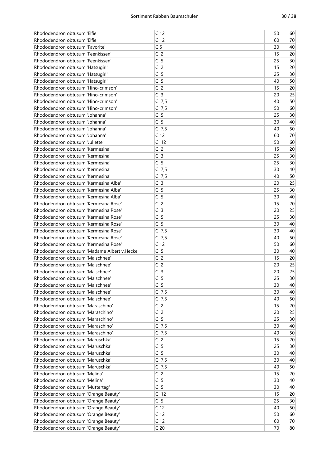| Rhododendron obtusum 'Elfie'                 | C <sub>12</sub> | 50 | 60 |
|----------------------------------------------|-----------------|----|----|
| Rhododendron obtusum 'Elfie'                 | C <sub>12</sub> | 60 | 70 |
| Rhododendron obtusum 'Favorite'              | C <sub>5</sub>  | 30 | 40 |
| Rhododendron obtusum 'Feenkissen'            | C <sub>2</sub>  | 15 | 20 |
| Rhododendron obtusum 'Feenkissen'            | C <sub>5</sub>  | 25 | 30 |
| Rhododendron obtusum 'Hatsugiri'             | C <sub>2</sub>  | 15 | 20 |
| Rhododendron obtusum 'Hatsugiri'             | C <sub>5</sub>  | 25 | 30 |
| Rhododendron obtusum 'Hatsugiri'             | C <sub>5</sub>  | 40 | 50 |
| Rhododendron obtusum 'Hino-crimson'          | C <sub>2</sub>  | 15 | 20 |
| Rhododendron obtusum 'Hino-crimson'          | C <sub>3</sub>  | 20 | 25 |
| Rhododendron obtusum 'Hino-crimson'          | $C$ 7,5         | 40 | 50 |
| Rhododendron obtusum 'Hino-crimson'          |                 | 50 | 60 |
|                                              | $C$ 7,5         |    |    |
| Rhododendron obtusum 'Johanna'               | C <sub>5</sub>  | 25 | 30 |
| Rhododendron obtusum 'Johanna'               | C <sub>5</sub>  | 30 | 40 |
| Rhododendron obtusum 'Johanna'               | $C$ 7,5         | 40 | 50 |
| Rhododendron obtusum 'Johanna'               | C <sub>12</sub> | 60 | 70 |
| Rhododendron obtusum 'Juliette'              | C <sub>12</sub> | 50 | 60 |
| Rhododendron obtusum 'Kermesina'             | C <sub>2</sub>  | 15 | 20 |
| Rhododendron obtusum 'Kermesina'             | C <sub>3</sub>  | 25 | 30 |
| Rhododendron obtusum 'Kermesina'             | C <sub>5</sub>  | 25 | 30 |
| Rhododendron obtusum 'Kermesina'             | $C$ 7,5         | 30 | 40 |
| Rhododendron obtusum 'Kermesina'             | $C$ 7,5         | 40 | 50 |
| Rhododendron obtusum 'Kermesina Alba'        | C <sub>3</sub>  | 20 | 25 |
| Rhododendron obtusum 'Kermesina Alba'        | C <sub>5</sub>  | 25 | 30 |
| Rhododendron obtusum 'Kermesina Alba'        | C <sub>5</sub>  | 30 | 40 |
| Rhododendron obtusum 'Kermesina Rose'        | C <sub>2</sub>  | 15 | 20 |
| Rhododendron obtusum 'Kermesina Rose'        | C <sub>3</sub>  | 20 | 25 |
| Rhododendron obtusum 'Kermesina Rose'        | C <sub>5</sub>  | 25 | 30 |
| Rhododendron obtusum 'Kermesina Rose'        | C <sub>5</sub>  | 30 | 40 |
| Rhododendron obtusum 'Kermesina Rose'        | $C$ 7,5         | 30 | 40 |
| Rhododendron obtusum 'Kermesina Rose'        | $C$ 7,5         | 40 | 50 |
| Rhododendron obtusum 'Kermesina Rose'        | C <sub>12</sub> | 50 | 60 |
| Rhododendron obtusum 'Madame Albert v.Hecke' | C <sub>5</sub>  | 30 | 40 |
| Rhododendron obtusum 'Maischnee'             | C <sub>2</sub>  |    |    |
|                                              |                 | 15 | 20 |
| Rhododendron obtusum 'Maischnee'             | C <sub>2</sub>  | 20 | 25 |
| Rhododendron obtusum 'Maischnee'             | C <sub>3</sub>  | 20 | 25 |
| Rhododendron obtusum 'Maischnee'             | C <sub>5</sub>  | 25 | 30 |
| Rhododendron obtusum 'Maischnee'             | C <sub>5</sub>  | 30 | 40 |
| Rhododendron obtusum 'Maischnee'             | $C$ 7,5         | 30 | 40 |
| Rhododendron obtusum 'Maischnee'             | $C$ 7,5         | 40 | 50 |
| Rhododendron obtusum 'Maraschino'            | C <sub>2</sub>  | 15 | 20 |
| Rhododendron obtusum 'Maraschino'            | C <sub>2</sub>  | 20 | 25 |
| Rhododendron obtusum 'Maraschino'            | C <sub>5</sub>  | 25 | 30 |
| Rhododendron obtusum 'Maraschino'            | $C$ 7,5         | 30 | 40 |
| Rhododendron obtusum 'Maraschino'            | $C$ 7,5         | 40 | 50 |
| Rhododendron obtusum 'Maruschka'             | C <sub>2</sub>  | 15 | 20 |
| Rhododendron obtusum 'Maruschka'             | C <sub>5</sub>  | 25 | 30 |
| Rhododendron obtusum 'Maruschka'             | C <sub>5</sub>  | 30 | 40 |
| Rhododendron obtusum 'Maruschka'             | $C$ 7,5         | 30 | 40 |
| Rhododendron obtusum 'Maruschka'             | $C$ 7,5         | 40 | 50 |
| Rhododendron obtusum 'Melina'                | C <sub>2</sub>  | 15 | 20 |
| Rhododendron obtusum 'Melina'                | C <sub>5</sub>  | 30 | 40 |
| Rhododendron obtusum 'Muttertag'             | C <sub>5</sub>  | 30 | 40 |
| Rhododendron obtusum 'Orange Beauty'         | C <sub>12</sub> | 15 | 20 |
| Rhododendron obtusum 'Orange Beauty'         | C <sub>5</sub>  | 25 | 30 |
| Rhododendron obtusum 'Orange Beauty'         | C <sub>12</sub> | 40 | 50 |
|                                              | C <sub>12</sub> | 50 | 60 |
| Rhododendron obtusum 'Orange Beauty'         |                 |    |    |
| Rhododendron obtusum 'Orange Beauty'         | C <sub>12</sub> | 60 | 70 |
| Rhododendron obtusum 'Orange Beauty'         | C <sub>20</sub> | 70 | 80 |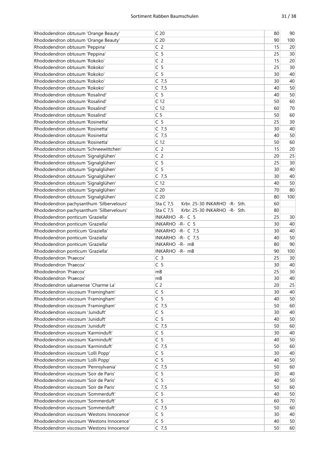| Rhododendron obtusum 'Orange Beauty'      | C <sub>20</sub>                           | 80 | 90  |
|-------------------------------------------|-------------------------------------------|----|-----|
| Rhododendron obtusum 'Orange Beauty'      | C <sub>20</sub>                           | 90 | 100 |
| Rhododendron obtusum 'Peppina'            | C <sub>2</sub>                            | 15 | 20  |
| Rhododendron obtusum 'Peppina'            | C <sub>5</sub>                            | 25 | 30  |
| Rhododendron obtusum 'Rokoko'             | C <sub>2</sub>                            | 15 | 20  |
| Rhododendron obtusum 'Rokoko'             | C <sub>5</sub>                            | 25 | 30  |
| Rhododendron obtusum 'Rokoko'             | C <sub>5</sub>                            | 30 | 40  |
| Rhododendron obtusum 'Rokoko'             | $C$ 7,5                                   | 30 | 40  |
| Rhododendron obtusum 'Rokoko'             | $C$ 7,5                                   | 40 | 50  |
| Rhododendron obtusum 'Rosalind'           | C <sub>5</sub>                            | 40 | 50  |
| Rhododendron obtusum 'Rosalind'           | C <sub>12</sub>                           | 50 | 60  |
| Rhododendron obtusum 'Rosalind'           | C <sub>12</sub>                           | 60 | 70  |
|                                           |                                           |    |     |
| Rhododendron obtusum 'Rosalind'           | C <sub>5</sub>                            | 50 | 60  |
| Rhododendron obtusum 'Rosinetta'          | C <sub>5</sub>                            | 25 | 30  |
| Rhododendron obtusum 'Rosinetta'          | $C$ 7,5                                   | 30 | 40  |
| Rhododendron obtusum 'Rosinetta'          | $C$ 7,5                                   | 40 | 50  |
| Rhododendron obtusum 'Rosinetta'          | C <sub>12</sub>                           | 50 | 60  |
| Rhododendron obtusum 'Schneewittchen'     | C <sub>2</sub>                            | 15 | 20  |
| Rhododendron obtusum 'Signalglühen'       | C <sub>2</sub>                            | 20 | 25  |
| Rhododendron obtusum 'Signalglühen'       | C <sub>5</sub>                            | 25 | 30  |
| Rhododendron obtusum 'Signalglühen'       | C <sub>5</sub>                            | 30 | 40  |
| Rhododendron obtusum 'Signalglühen'       | $C$ 7,5                                   | 30 | 40  |
| Rhododendron obtusum 'Signalglühen'       | C <sub>12</sub>                           | 40 | 50  |
| Rhododendron obtusum 'Signalglühen'       | C <sub>20</sub>                           | 70 | 80  |
| Rhododendron obtusum 'Signalglühen'       | C <sub>20</sub>                           | 80 | 100 |
| Rhododendron pachysanthum 'Silbervelours' | Sta C 7,5<br>Krbr. 25-30 INKARHO -R- Sth. | 60 |     |
| Rhododendron pachysanthum 'Silbervelours' | Krbr. 25-30 INKARHO -R- Sth.<br>Sta C 7,5 | 80 |     |
| Rhododendron ponticum 'Graziella'         | INKARHO - R- C 5                          | 25 | 30  |
| Rhododendron ponticum 'Graziella'         | INKARHO - R- C 5                          | 30 | 40  |
| Rhododendron ponticum 'Graziella'         | INKARHO - R- C 7,5                        | 30 | 40  |
| Rhododendron ponticum 'Graziella'         | INKARHO - R- C 7,5                        | 40 | 50  |
| Rhododendron ponticum 'Graziella'         | INKARHO - R- mB                           | 80 | 90  |
| Rhododendron ponticum 'Graziella'         | INKARHO - R- mB                           | 90 | 100 |
| Rhododendron 'Praecox'                    | C <sub>3</sub>                            | 25 | 30  |
| Rhododendron 'Praecox'                    | C <sub>5</sub>                            |    |     |
|                                           |                                           | 30 | 40  |
| Rhododendron 'Praecox'                    | mB                                        | 25 | 30  |
| Rhododendron 'Praecox'                    | mB                                        | 30 | 40  |
| Rhododendron saluenense 'Charme La'       | C <sub>2</sub>                            | 20 | 25  |
| Rhododendron viscosum 'Framingham'        | C <sub>5</sub>                            | 30 | 40  |
| Rhododendron viscosum 'Framingham'        | C <sub>5</sub>                            | 40 | 50  |
| Rhododendron viscosum 'Framingham'        | $C$ 7,5                                   | 50 | 60  |
| Rhododendron viscosum 'Juniduft'          | C <sub>5</sub>                            | 30 | 40  |
| Rhododendron viscosum 'Juniduft'          | C <sub>5</sub>                            | 40 | 50  |
| Rhododendron viscosum 'Juniduft'          | $C$ 7,5                                   | 50 | 60  |
| Rhododendron viscosum 'Karminduft'        | C <sub>5</sub>                            | 30 | 40  |
| Rhododendron viscosum 'Karminduft'        | C <sub>5</sub>                            | 40 | 50  |
| Rhododendron viscosum 'Karminduft'        | $C$ 7,5                                   | 50 | 60  |
| Rhododendron viscosum 'Lolli Popp'        | C <sub>5</sub>                            | 30 | 40  |
| Rhododendron viscosum 'Lolli Popp'        | C <sub>5</sub>                            | 40 | 50  |
| Rhododendron viscosum 'Pennsylvania'      | $C$ 7,5                                   | 50 | 60  |
| Rhododendron viscosum 'Soir de Paris'     | C <sub>5</sub>                            | 30 | 40  |
| Rhododendron viscosum 'Soir de Paris'     | C <sub>5</sub>                            | 40 | 50  |
| Rhododendron viscosum 'Soir de Paris'     | $C$ 7,5                                   | 50 | 60  |
| Rhododendron viscosum 'Sommerduft'        | C <sub>5</sub>                            | 40 | 50  |
| Rhododendron viscosum 'Sommerduft'        | C <sub>5</sub>                            | 60 | 70  |
| Rhododendron viscosum 'Sommerduft'        | $C$ 7,5                                   | 50 | 60  |
| Rhododendron viscosum 'Westons Innocence' | C <sub>5</sub>                            | 30 | 40  |
| Rhododendron viscosum 'Westons Innocence' | C <sub>5</sub>                            | 40 | 50  |
|                                           |                                           |    |     |
| Rhododendron viscosum 'Westons Innocence' | $C$ 7,5                                   | 50 | 60  |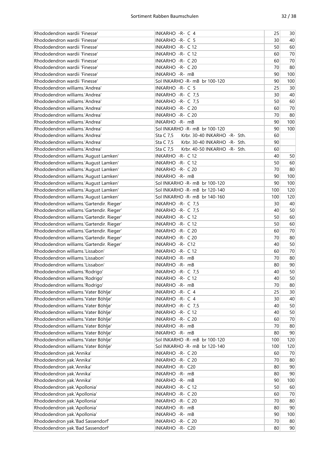| Rhododendron wardii 'Finesse'             | INKARHO - R- C 4                          | 25  | 30   |
|-------------------------------------------|-------------------------------------------|-----|------|
| Rhododendron wardii 'Finesse'             | INKARHO - R- C 5                          | 30  | 40   |
| Rhododendron wardii 'Finesse'             | INKARHO - R- C 12                         | 50  | 60   |
| Rhododendron wardii 'Finesse'             | INKARHO - R- C 12                         | 60  | 70   |
| Rhododendron wardii 'Finesse'             | INKARHO - R- C 20                         | 60  | 70   |
| Rhododendron wardii 'Finesse'             | INKARHO - R- C 20                         | 70  | 80   |
| Rhododendron wardii 'Finesse'             | INKARHO - R- mB                           | 90  | 100  |
| Rhododendron wardii 'Finesse'             | Sol INKARHO -R- mB br 100-120             | 90  | 100  |
| Rhododendron williams.'Andrea'            | INKARHO - R- C 5                          | 25  | 30   |
| Rhododendron williams.'Andrea'            | INKARHO - R- C 7,5                        | 30  | 40   |
| Rhododendron williams.'Andrea'            | INKARHO - R- C 7,5                        | 50  | 60   |
| Rhododendron williams.'Andrea'            | INKARHO - R- C 20                         | 60  | 70   |
| Rhododendron williams.'Andrea'            | INKARHO - R- C 20                         | 70  | 80   |
| Rhododendron williams.'Andrea'            | INKARHO - R- mB                           | 90  | 100  |
| Rhododendron williams.'Andrea'            | Sol INKARHO - R- mB br 100-120            | 90  | 100  |
| Rhododendron williams.'Andrea'            | Sta C 7,5<br>Krbr. 30-40 INKARHO -R- Sth. | 60  |      |
| Rhododendron williams.'Andrea'            | Sta C 7,5<br>Krbr. 30-40 INKARHO -R- Sth. | 90  |      |
| Rhododendron williams.'Andrea'            | Krbr. 40-50 INKARHO -R- Sth.<br>Sta C 7,5 | 60  |      |
| Rhododendron williams.'August Lamken'     | INKARHO - R- C 12                         | 40  | 50   |
| Rhododendron williams.'August Lamken'     | INKARHO - R- C 12                         | 50  | 60   |
|                                           | INKARHO - R- C 20                         | 70  | 80   |
| Rhododendron williams.'August Lamken'     |                                           | 90  |      |
| Rhododendron williams.'August Lamken'     | INKARHO - R- mB                           |     | 100  |
| Rhododendron williams.'August Lamken'     | Sol INKARHO -R- mB br 100-120             | 90  | 100  |
| Rhododendron williams.'August Lamken'     | Sol INKARHO -R- mB br 120-140             | 100 | 120  |
| Rhododendron williams.'August Lamken'     | Sol INKARHO -R- mB br 140-160             | 100 | 120  |
| Rhododendron williams.'Gartendir. Rieger' | INKARHO - R- C 7,5                        | 30  | 40   |
| Rhododendron williams.'Gartendir. Rieger' | INKARHO - R- C 7,5                        | 40  | 50   |
| Rhododendron williams.'Gartendir. Rieger' | INKARHO - R- C 12                         | 50  | 60   |
| Rhododendron williams.'Gartendir. Rieger' | INKARHO - R- C 12                         | 50  | 60   |
| Rhododendron williams.'Gartendir. Rieger' | INKARHO - R- C 20                         | 60  | $70$ |
| Rhododendron williams.'Gartendir. Rieger' | INKARHO - R- C 20                         | 70  | 80   |
| Rhododendron williams.'Gartendir. Rieger' | INKARHO - R- C12                          | 40  | 50   |
| Rhododendron williams.'Lissabon'          | INKARHO - R- C 12                         | 60  | $70$ |
| Rhododendron williams.'Lissabon'          | INKARHO -R- mB                            | 70  | 80   |
| Rhododendron williams.'Lissabon'          | INKARHO - R- mB                           | 80  | 90   |
| Rhododendron williams.'Rodrigo'           | INKARHO - R- C 7,5                        | 40  | 50   |
| Rhododendron williams.'Rodrigo'           | INKARHO - R- C 12                         | 40  | 50   |
| Rhododendron williams.'Rodrigo'           | INKARHO -R- mB                            | 70  | 80   |
| Rhododendron williams.'Vater Böhlje'      | INKARHO -R- C 4                           | 25  | 30   |
| Rhododendron williams.'Vater Böhlje'      | INKARHO -R- C 4                           | 30  | 40   |
| Rhododendron williams.'Vater Böhlje'      | INKARHO - R- C 7,5                        | 40  | 50   |
| Rhododendron williams.'Vater Böhlje'      | INKARHO - R- C 12                         | 40  | 50   |
| Rhododendron williams.'Vater Böhlje'      | INKARHO - R- C 20                         | 60  | 70   |
| Rhododendron williams.'Vater Böhlje'      | INKARHO -R- mB                            | 70  | 80   |
| Rhododendron williams.'Vater Böhlje'      | INKARHO -R- mB                            | 80  | 90   |
| Rhododendron williams.'Vater Böhlje'      | Sol INKARHO -R- mB br 100-120             | 100 | 120  |
| Rhododendron williams.'Vater Böhlje'      | Sol INKARHO - R- mB br 120-140            | 100 | 120  |
| Rhododendron yak.'Annika'                 | INKARHO - R- C 20                         | 60  | 70   |
| Rhododendron yak.'Annika'                 | INKARHO - R- C 20                         | 70  | 80   |
| Rhododendron yak.'Annika'                 | INKARHO -R- C20                           | 80  | 90   |
| Rhododendron yak.'Annika'                 | INKARHO -R- mB                            | 80  | 90   |
| Rhododendron yak.'Annika'                 | INKARHO -R- mB                            | 90  | 100  |
| Rhododendron yak.'Apollonia'              | INKARHO - R- C 12                         | 50  | 60   |
| Rhododendron yak.'Apollonia'              | INKARHO - R- C 20                         | 60  | 70   |
| Rhododendron yak.'Apollonia'              | INKARHO - R- C 20                         | 70  | 80   |
| Rhododendron yak.'Apollonia'              | INKARHO -R- mB                            | 80  | 90   |
| Rhododendron yak.'Apollonia'              | INKARHO -R- mB                            | 90  | 100  |
| Rhododendron yak.'Bad Sassendorf'         | INKARHO - R- C 20                         | 70  | 80   |
| Rhododendron yak.'Bad Sassendorf'         | INKARHO - R- C20                          | 80  | 90   |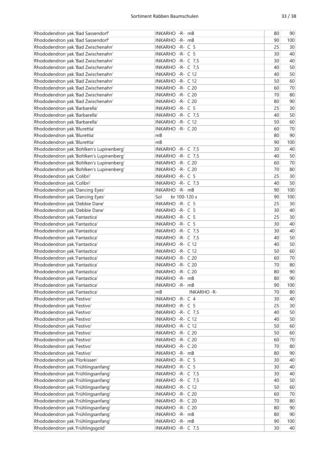| Rhododendron yak.'Bad Sassendorf'        | INKARHO -R- mB          | 80       | 90     |
|------------------------------------------|-------------------------|----------|--------|
| Rhododendron yak.'Bad Sassendorf'        | INKARHO - R- mB         | 90       | 100    |
| Rhododendron yak.'Bad Zwischenahn'       | INKARHO - R- C 5        | 25       | 30     |
| Rhododendron yak.'Bad Zwischenahn'       | INKARHO -R- C 5         | 30       | 40     |
| Rhododendron yak.'Bad Zwischenahn'       | INKARHO - R- C 7,5      | 30       | 40     |
| Rhododendron yak.'Bad Zwischenahn'       | INKARHO - R- C 7,5      | 40       | 50     |
| Rhododendron yak.'Bad Zwischenahn'       | INKARHO - R- C 12       | 40       | 50     |
| Rhododendron yak.'Bad Zwischenahn'       | INKARHO - R- C 12       | 50       | 60     |
| Rhododendron yak.'Bad Zwischenahn'       | INKARHO - R- C 20       | 60       | 70     |
| Rhododendron yak.'Bad Zwischenahn'       | INKARHO - R- C 20       | 70       | 80     |
| Rhododendron yak.'Bad Zwischenahn'       | INKARHO - R- C 20       | 80       | 90     |
| Rhododendron yak.'Barbarella'            | INKARHO -R- C 5         | 25       | 30     |
| Rhododendron yak.'Barbarella'            | INKARHO - R- C 7,5      | 40       | 50     |
| Rhododendron yak.'Barbarella'            | INKARHO - R- C 12       | 50       | 60     |
| Rhododendron yak.'Blurettia'             | INKARHO - R- C 20       | 60       | 70     |
| Rhododendron yak.'Blurettia'             | mB                      | 80       | 90     |
| Rhododendron yak.'Blurettia'             | mB                      | 90       | 100    |
| Rhododendron yak.'Bohlken's Lupinenberg' | INKARHO - R- C 7,5      | 30       | 40     |
| Rhododendron yak.'Bohlken's Lupinenberg' | INKARHO - R- C 7,5      | 40       | 50     |
| Rhododendron yak.'Bohlken's Lupinenberg' | INKARHO - R- C 20       | 60       | $70\,$ |
| Rhododendron yak.'Bohlken's Lupinenberg' | INKARHO - R- C 20       | 70       | 80     |
| Rhododendron yak.'Colibri'               | INKARHO - R- C 5        | 25       | 30     |
| Rhododendron yak.'Colibri'               | INKARHO - R- C 7,5      | 40       | 50     |
| Rhododendron yak.'Dancing Eyes'          | INKARHO - R- mB         | 90       | 100    |
|                                          |                         |          |        |
| Rhododendron yak.'Dancing Eyes'          | br 100-120 x<br>Sol     | 90<br>25 | 100    |
| Rhododendron yak.'Debbie Dane'           | INKARHO - R- C 5        |          | 30     |
| Rhododendron yak.'Debbie Dane'           | INKARHO - R- C 5        | 30       | 40     |
| Rhododendron yak.'Fantastica'            | INKARHO - R- C 5        | 25       | 30     |
| Rhododendron yak.'Fantastica'            | INKARHO - R- C 5        | 30       | 40     |
| Rhododendron yak.'Fantastica'            | INKARHO -R- C 7,5       | 30       | 40     |
| Rhododendron yak.'Fantastica'            | INKARHO -R- C 7,5       | 40       | 50     |
| Rhododendron yak.'Fantastica'            | INKARHO - R- C 12       | 40       | 50     |
| Rhododendron yak.'Fantastica'            | INKARHO - R- C 12       | 50       | 60     |
| Rhododendron yak.'Fantastica'            | INKARHO - R- C 20       | 60       | $70\,$ |
| Rhododendron yak.'Fantastica'            | INKARHO - R- C 20       | 70       | 80     |
| Rhododendron yak.'Fantastica'            | INKARHO - R- C 20       | 80       | 90     |
| Rhododendron yak.'Fantastica'            | INKARHO -R- mB          | 80       | 90     |
| Rhododendron yak.'Fantastica'            | INKARHO -R- mB          | 90       | 100    |
| Rhododendron yak.'Fantastica'            | mB<br><b>INKARHO-R-</b> | 70       | 80     |
| Rhododendron yak.'Festivo'               | INKARHO -R- C 4         | 30       | 40     |
| Rhododendron yak.'Festivo'               | INKARHO - R- C 5        | 25       | 30     |
| Rhododendron yak.'Festivo'               | INKARHO - R- C 7,5      | 40       | 50     |
| Rhododendron yak.'Festivo'               | INKARHO - R- C 12       | 40       | 50     |
| Rhododendron yak.'Festivo'               | INKARHO - R- C 12       | 50       | 60     |
| Rhododendron yak.'Festivo'               | INKARHO - R- C 20       | 50       | 60     |
| Rhododendron yak.'Festivo'               | INKARHO - R- C 20       | 60       | 70     |
| Rhododendron yak.'Festivo'               | INKARHO - R- C 20       | 70       | 80     |
| Rhododendron yak.'Festivo'               | INKARHO - R- mB         | 80       | 90     |
| Rhododendron yak.'Florkissen'            | INKARHO - R- C 5        | 30       | 40     |
| Rhododendron yak.'Frühlingsanfang'       | INKARHO -R- C 5         | 30       | 40     |
| Rhododendron yak.'Frühlingsanfang'       | INKARHO - R- C 7,5      | 30       | 40     |
| Rhododendron yak.'Frühlingsanfang'       | INKARHO - R- C 7,5      | 40       | 50     |
| Rhododendron yak.'Frühlingsanfang'       | INKARHO - R- C 12       | 50       | 60     |
| Rhododendron yak.'Frühlingsanfang'       | INKARHO - R- C 20       | 60       | 70     |
| Rhododendron yak.'Frühlingsanfang'       | INKARHO - R- C 20       | 70       | 80     |
| Rhododendron yak.'Frühlingsanfang'       | INKARHO - R- C 20       | 80       | 90     |
| Rhododendron yak.'Frühlingsanfang'       | INKARHO -R- mB          | 80       | 90     |
| Rhododendron yak.'Frühlingsanfang'       | INKARHO - R- mB         | 90       | 100    |
| Rhododendron yak.'Frühlingsgold'         | INKARHO - R- C 7,5      | 30       | 40     |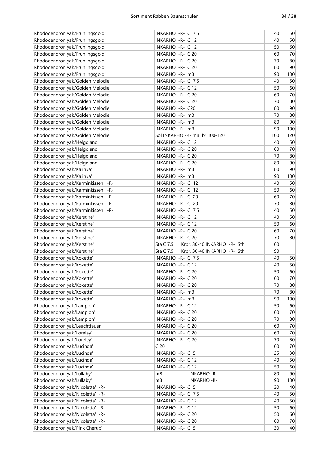| Rhododendron yak.'Frühlingsgold'    | INKARHO - R- C 7,5                        | 40  | 50   |
|-------------------------------------|-------------------------------------------|-----|------|
| Rhododendron yak.'Frühlingsgold'    | INKARHO - R- C 12                         | 40  | 50   |
| Rhododendron yak.'Frühlingsgold'    | INKARHO - R- C 12                         | 50  | 60   |
| Rhododendron yak.'Frühlingsgold'    | INKARHO - R- C 20                         | 60  | 70   |
| Rhododendron yak.'Frühlingsgold'    | INKARHO - R- C 20                         | 70  | 80   |
| Rhododendron yak.'Frühlingsgold'    | INKARHO - R- C 20                         | 80  | 90   |
| Rhododendron yak.'Frühlingsgold'    | INKARHO - R- mB                           | 90  | 100  |
| Rhododendron yak.'Golden Melodie'   | INKARHO - R- C 7,5                        | 40  | 50   |
| Rhododendron yak.'Golden Melodie'   | INKARHO - R- C 12                         | 50  | 60   |
| Rhododendron yak.'Golden Melodie'   | INKARHO - R- C 20                         | 60  | 70   |
| Rhododendron yak.'Golden Melodie'   | INKARHO - R- C 20                         | 70  | 80   |
| Rhododendron yak.'Golden Melodie'   | INKARHO - R- C20                          | 80  | 90   |
| Rhododendron yak.'Golden Melodie'   | INKARHO -R- mB                            | 70  | 80   |
| Rhododendron yak.'Golden Melodie'   | INKARHO -R- mB                            | 80  | 90   |
| Rhododendron yak.'Golden Melodie'   | INKARHO - R- mB                           | 90  | 100  |
| Rhododendron yak.'Golden Melodie'   | Sol INKARHO -R- mB br 100-120             | 100 | 120  |
| Rhododendron yak.'Helgoland'        | INKARHO - R- C 12                         | 40  | 50   |
| Rhododendron yak.'Helgoland'        | INKARHO - R- C 20                         | 60  | 70   |
| Rhododendron yak.'Helgoland'        | INKARHO - R- C 20                         | 70  | 80   |
| Rhododendron yak.'Helgoland'        | INKARHO - R- C 20                         | 80  | 90   |
| Rhododendron yak.'Kalinka'          | INKARHO - R- mB                           | 80  | 90   |
| Rhododendron yak.'Kalinka'          | INKARHO -R- mB                            | 90  | 100  |
| Rhododendron yak.'Karminkissen' -R- | INKARHO -R- C 12                          | 40  | 50   |
| Rhododendron yak.'Karminkissen' -R- | INKARHO - R- C 12                         | 50  | 60   |
| Rhododendron yak.'Karminkissen' -R- | INKARHO -R- C 20                          | 60  | 70   |
| Rhododendron yak.'Karminkissen' -R- | INKARHO -R- C 20                          | 70  | 80   |
| Rhododendron yak.'Karminkissen' -R- | INKARHO - R- C 7,5                        | 40  | 50   |
| Rhododendron yak.'Kerstine'         | INKARHO - R- C 12                         | 40  | 50   |
| Rhododendron yak.'Kerstine'         | INKARHO - R- C 12                         | 50  | 60   |
| Rhododendron yak.'Kerstine'         | INKARHO - R- C 20                         | 60  | 70   |
| Rhododendron yak.'Kerstine'         | INKARHO - R- C 20                         | 70  | 80   |
| Rhododendron yak.'Kerstine'         | Krbr. 30-40 INKARHO -R- Sth.<br>Sta C 7,5 | 60  |      |
| Rhododendron yak.'Kerstine'         | Krbr. 30-40 INKARHO -R- Sth.<br>Sta C 7,5 | 90  |      |
| Rhododendron yak.'Kokette'          | INKARHO - R- C 7,5                        | 40  | 50   |
| Rhododendron yak.'Kokette'          | INKARHO - R- C 12                         | 40  | 50   |
| Rhododendron yak.'Kokette'          | INKARHO -R- C 20                          | 50  | 60   |
| Rhododendron yak.'Kokette'          | INKARHO - R- C 20                         | 60  | 70   |
| Rhododendron yak.'Kokette'          | INKARHO - R- C 20                         | 70  | 80   |
| Rhododendron yak.'Kokette'          | INKARHO -R- mB                            | 70  | 80   |
| Rhododendron yak.'Kokette'          | INKARHO -R- mB                            | 90  | 100  |
| Rhododendron yak.'Lampion'          | INKARHO - R- C 12                         | 50  | 60   |
| Rhododendron yak.'Lampion'          | INKARHO - R- C 20                         | 60  | 70   |
| Rhododendron yak.'Lampion'          | INKARHO - R- C 20                         | 70  | 80   |
| Rhododendron yak.'Leuchtfeuer'      | INKARHO - R- C 20                         | 60  | $70$ |
| Rhododendron yak.'Loreley'          | INKARHO - R- C 20                         | 60  | $70$ |
| Rhododendron yak.'Loreley'          | INKARHO - R- C 20                         | 70  | 80   |
| Rhododendron yak.'Lucinda'          | C <sub>20</sub>                           | 60  | $70$ |
| Rhododendron yak.'Lucinda'          | INKARHO - R- C 5                          | 25  | 30   |
| Rhododendron yak.'Lucinda'          | INKARHO - R- C 12                         | 40  | 50   |
| Rhododendron yak.'Lucinda'          | INKARHO - R- C 12                         | 50  | 60   |
| Rhododendron yak.'Lullaby'          | mB<br><b>INKARHO-R-</b>                   | 80  | 90   |
| Rhododendron yak.'Lullaby'          | mB<br><b>INKARHO-R-</b>                   | 90  | 100  |
| Rhododendron yak.'Nicoletta' -R-    | INKARHO - R- C 5                          | 30  | 40   |
| Rhododendron yak.'Nicoletta' -R-    | INKARHO -R- C 7,5                         | 40  | 50   |
| Rhododendron yak.'Nicoletta' -R-    | INKARHO - R- C 12                         | 40  | 50   |
| Rhododendron yak.'Nicoletta' -R-    | INKARHO - R- C 12                         | 50  | 60   |
| Rhododendron yak.'Nicoletta' -R-    | INKARHO - R- C 20                         | 50  | 60   |
| Rhododendron yak.'Nicoletta' -R-    | INKARHO - R- C 20                         | 60  | 70   |
|                                     |                                           |     |      |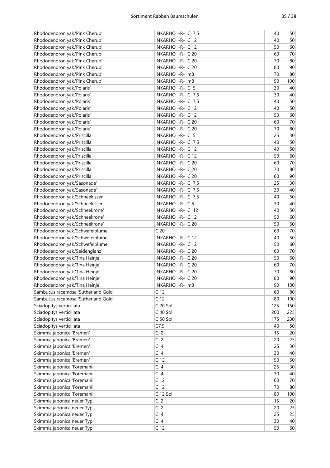| Rhododendron yak.'Pink Cherub'      | INKARHO - R- C 7,5 | 40  | 50   |
|-------------------------------------|--------------------|-----|------|
| Rhododendron yak.'Pink Cherub'      | INKARHO - R- C 12  | 40  | 50   |
| Rhododendron yak.'Pink Cherub'      | INKARHO - R- C 12  | 50  | 60   |
| Rhododendron yak.'Pink Cherub'      | INKARHO - R- C 20  | 60  | 70   |
| Rhododendron yak.'Pink Cherub'      | INKARHO - R- C 20  | 70  | 80   |
| Rhododendron yak.'Pink Cherub'      | INKARHO - R- C 20  | 80  | 90   |
| Rhododendron yak.'Pink Cherub'      | INKARHO - R- mB    | 70  | 80   |
| Rhododendron yak.'Pink Cherub'      | INKARHO - R- mB    | 90  | 100  |
| Rhododendron yak.'Polaris'          | INKARHO - R- C 5   | 30  | 40   |
| Rhododendron yak.'Polaris'          | INKARHO - R- C 7,5 | 30  | 40   |
| Rhododendron yak.'Polaris'          | INKARHO - R- C 7,5 | 40  | 50   |
| Rhododendron yak.'Polaris'          | INKARHO - R- C 12  | 40  | 50   |
| Rhododendron yak.'Polaris'          | INKARHO - R- C 12  | 50  | 60   |
| Rhododendron yak.'Polaris'          | INKARHO - R- C 20  | 60  | 70   |
| Rhododendron yak.'Polaris'          | INKARHO - R- C 20  | 70  | 80   |
|                                     |                    |     |      |
| Rhododendron yak.'Priscilla'        | INKARHO - R- C 5   | 25  | 30   |
| Rhododendron yak.'Priscilla'        | INKARHO -R- C 7,5  | 40  | 50   |
| Rhododendron yak.'Priscilla'        | INKARHO - R- C 12  | 40  | 50   |
| Rhododendron yak.'Priscilla'        | INKARHO - R- C 12  | 50  | 60   |
| Rhododendron yak.'Priscilla'        | INKARHO - R- C 20  | 60  | 70   |
| Rhododendron yak.'Priscilla'        | INKARHO - R- C 20  | 70  | 80   |
| Rhododendron yak.'Priscilla'        | INKARHO - R- C 20  | 80  | 90   |
| Rhododendron yak.'Sasonade'         | INKARHO - R- C 7,5 | 25  | 30   |
| Rhododendron yak.'Sasonade'         | INKARHO - R- C 7,5 | 30  | 40   |
| Rhododendron yak.'Schneekissen'     | INKARHO - R- C 7,5 | 40  | 50   |
| Rhododendron yak.'Schneekissen'     | INKARHO - R- C 5   | 30  | 40   |
| Rhododendron yak.'Schneekrone'      | INKARHO -R- C 12   | 40  | 50   |
| Rhododendron yak.'Schneekrone'      | INKARHO - R- C 12  | 50  | 60   |
| Rhododendron yak.'Schneekrone'      | INKARHO - R- C 20  | 50  | 60   |
| Rhododendron yak.'Schwefelblume'    | C <sub>20</sub>    | 60  | 70   |
| Rhododendron yak.'Schwefelblume'    | INKARHO - R- C 12  | 40  | 50   |
| Rhododendron yak.'Schwefelblume'    | INKARHO - R- C 12  | 50  | 60   |
| Rhododendron yak.'Seidenglanz'      | INKARHO - R- C 20  | 60  | $70$ |
| Rhododendron yak.'Tina Heinje'      | INKARHO - R- C 20  | 50  | 60   |
| Rhododendron yak.'Tina Heinje'      | INKARHO - R- C 20  | 60  | 70   |
| Rhododendron yak.'Tina Heinje'      | INKARHO - R- C 20  | 70  | 80   |
| Rhododendron yak.'Tina Heinje'      | INKARHO - R- C 20  | 80  | 90   |
| Rhododendron yak.'Tina Heinje'      | INKARHO - R- mB    | 90  | 100  |
| Sambucus racemosa 'Sutherland Gold' | C <sub>12</sub>    | 60  | 80   |
| Sambucus racemosa 'Sutherland Gold' | C <sub>12</sub>    | 80  | 100  |
| Sciadopitys verticillata            | C 20 Sol           | 125 | 150  |
| Sciadopitys verticillata            | C 40 Sol           | 200 | 225  |
| Sciadopitys verticillata            | C 50 Sol           | 175 | 200  |
| Sciadopitys verticillata            | C7,5               | 40  | 50   |
| Skimmia japonica 'Bremen'           | C <sub>2</sub>     | 15  | 20   |
| Skimmia japonica 'Bremen'           | C <sub>2</sub>     | 20  | 25   |
| Skimmia japonica 'Bremen'           | C <sub>4</sub>     | 25  | 30   |
| Skimmia japonica 'Bremen'           | C <sub>4</sub>     | 30  | 40   |
| Skimmia japonica 'Bremen'           | C <sub>12</sub>    | 50  | 60   |
| Skimmia japonica 'Foremanii'        | C <sub>4</sub>     | 25  | 30   |
| Skimmia japonica 'Foremanii'        | C <sub>4</sub>     | 30  | 40   |
| Skimmia japonica 'Foremanii'        | C <sub>12</sub>    | 60  | 70   |
| Skimmia japonica 'Foremanii'        | C <sub>12</sub>    | 70  | 80   |
| Skimmia japonica 'Foremanii'        | C 12 Sol           | 80  | 100  |
| Skimmia japonica neuer Typ          | C <sub>2</sub>     | 15  | 20   |
| Skimmia japonica neuer Typ          | C <sub>2</sub>     | 20  | 25   |
| Skimmia japonica neuer Typ          | C <sub>4</sub>     | 25  | 25   |
| Skimmia japonica neuer Typ          | C <sub>4</sub>     | 30  | 40   |
| Skimmia japonica neuer Typ          | C <sub>12</sub>    | 50  | 60   |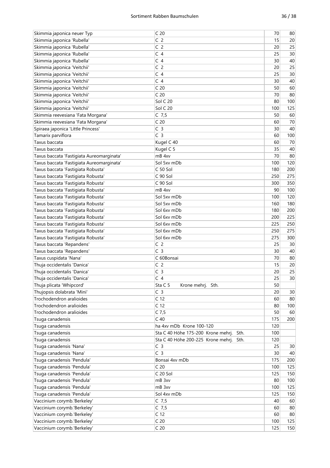| Skimmia japonica neuer Typ                             | C <sub>20</sub>                            | 70  | 80       |
|--------------------------------------------------------|--------------------------------------------|-----|----------|
| Skimmia japonica 'Rubella'                             | C <sub>2</sub>                             | 15  | 20       |
| Skimmia japonica 'Rubella'                             | C <sub>2</sub>                             | 20  | 25       |
| Skimmia japonica 'Rubella'                             | C <sub>4</sub>                             | 25  | 30       |
| Skimmia japonica 'Rubella'                             | C <sub>4</sub>                             | 30  | 40       |
| Skimmia japonica 'Veitchii'                            | C <sub>2</sub>                             | 20  | 25       |
| Skimmia japonica 'Veitchii'                            | C <sub>4</sub>                             | 25  | 30       |
| Skimmia japonica 'Veitchii'                            | C <sub>4</sub>                             | 30  | 40       |
| Skimmia japonica 'Veitchii'                            | C <sub>20</sub>                            | 50  | 60       |
| Skimmia japonica 'Veitchii'                            | C <sub>20</sub>                            | 70  | 80       |
| Skimmia japonica 'Veitchii'                            | Sol C 20                                   | 80  | 100      |
| Skimmia japonica 'Veitchii'                            | Sol C 20                                   | 100 | 125      |
| Skimmia reevesiana 'Fata Morgana'                      | $C$ 7,5                                    | 50  | 60       |
| Skimmia reevesiana 'Fata Morgana'                      | C <sub>20</sub>                            | 60  | 70       |
| Spiraea japonica 'Little Princess'                     | C <sub>3</sub>                             | 30  | 40       |
| Tamarix parviflora                                     | C <sub>3</sub>                             | 60  | 100      |
| Taxus baccata                                          | Kugel C 40                                 | 60  | 70       |
| Taxus baccata                                          | Kugel C 5                                  | 35  | 40       |
| Taxus baccata 'Fastigiata Aureomarginata'              | mB <sub>4xv</sub>                          | 70  | 80       |
| Taxus baccata 'Fastigiata Aureomarginata'              | Sol 5xv mDb                                | 100 | 120      |
| Taxus baccata 'Fastigiata Robusta'                     | C <sub>50</sub> Sol                        | 180 | 200      |
| Taxus baccata 'Fastigiata Robusta'                     | C 90 Sol                                   | 250 | 275      |
| Taxus baccata 'Fastigiata Robusta'                     | C 90 Sol                                   | 300 | 350      |
| Taxus baccata 'Fastigiata Robusta'                     | mB <sub>4xv</sub>                          | 90  | 100      |
| Taxus baccata 'Fastigiata Robusta'                     | Sol 5xy mDb                                | 100 | 120      |
| Taxus baccata 'Fastigiata Robusta'                     | Sol 5xv mDb                                | 160 | 180      |
| Taxus baccata 'Fastigiata Robusta'                     | Sol 6xv mDb                                | 180 | 200      |
| Taxus baccata 'Fastigiata Robusta'                     | Sol 6xv mDb                                | 200 | 225      |
| Taxus baccata 'Fastigiata Robusta'                     | Sol 6xv mDb                                | 225 | 250      |
| Taxus baccata 'Fastigiata Robusta'                     | Sol 6xv mDb                                | 250 | 275      |
| Taxus baccata 'Fastigiata Robusta'                     | Sol 6xv mDb                                | 275 | 300      |
| Taxus baccata 'Repandens'                              | C <sub>2</sub>                             | 25  | 30       |
| Taxus baccata 'Repandens'                              | C <sub>3</sub>                             | 30  | 40       |
| Taxus cuspidata 'Nana'                                 | C 60Bonsai                                 | 70  | 80       |
| Thuja occidentalis 'Danica'                            | C <sub>2</sub>                             | 15  | 20       |
| Thuja occidentalis 'Danica'                            | C <sub>3</sub>                             | 20  | 25       |
|                                                        | C <sub>4</sub>                             | 25  | $30\,$   |
| Thuja occidentalis 'Danica'                            | Sta C 5                                    | 50  |          |
| Thuja plicata 'Whipcord'                               | Krone mehrj. Sth.<br>C <sub>3</sub>        | 20  |          |
| Thujopsis dolabrata 'Mini'<br>Trochodendron aralioides | C <sub>12</sub>                            | 60  | 30<br>80 |
| Trochodendron aralioides                               | C <sub>12</sub>                            |     |          |
| Trochodendron aralioides                               | $C$ 7,5                                    | 80  | 100      |
|                                                        |                                            | 50  | 60       |
| Tsuga canadensis                                       | $C$ 40                                     | 175 | 200      |
| Tsuga canadensis                                       | ha 4xv mDb Krone 100-120                   | 120 |          |
| Tsuga canadensis                                       | Sta C 40 Höhe 175-200 Krone mehrj.<br>Sth. | 100 |          |
| Tsuga canadensis                                       | Sta C 40 Höhe 200-225 Krone mehrj.<br>Sth. | 120 |          |
| Tsuga canadensis 'Nana'                                | C <sub>3</sub>                             | 25  | 30       |
| Tsuga canadensis 'Nana'                                | C <sub>3</sub>                             | 30  | 40       |
| Tsuga canadensis 'Pendula'                             | Bonsai 4xv mDb                             | 175 | 200      |
| Tsuga canadensis 'Pendula'                             | C <sub>20</sub>                            | 100 | 125      |
| Tsuga canadensis 'Pendula'                             | $C$ 20 Sol                                 | 125 | 150      |
| Tsuga canadensis 'Pendula'                             | mB 3xv                                     | 80  | 100      |
| Tsuga canadensis 'Pendula'                             | mB 3xv                                     | 100 | 125      |
| Tsuga canadensis 'Pendula'                             | Sol 4xv mDb                                | 125 | 150      |
| Vaccinium corymb.'Berkeley'                            | $C$ 7,5                                    | 40  | 60       |
| Vaccinium corymb.'Berkeley'                            | $C$ 7,5                                    | 60  | 80       |
| Vaccinium corymb.'Berkeley'                            | C <sub>12</sub>                            | 60  | 80       |
| Vaccinium corymb.'Berkeley'                            | C <sub>20</sub>                            | 100 | 125      |
| Vaccinium corymb.'Berkeley'                            | C <sub>20</sub>                            | 125 | 150      |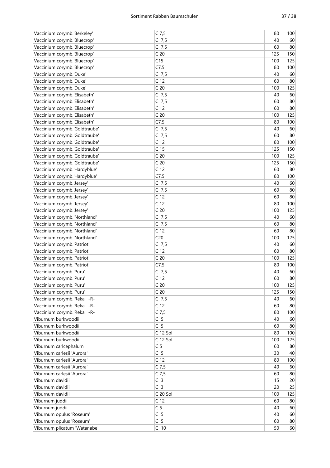| Vaccinium corymb.'Berkeley'   | $C$ 7,5         | 80  | 100 |
|-------------------------------|-----------------|-----|-----|
| Vaccinium corymb.'Bluecrop'   | $C$ 7,5         | 40  | 60  |
| Vaccinium corymb.'Bluecrop'   | $C$ 7,5         | 60  | 80  |
| Vaccinium corymb.'Bluecrop'   | C <sub>20</sub> | 125 | 150 |
| Vaccinium corymb.'Bluecrop'   | C15             | 100 | 125 |
| Vaccinium corymb.'Bluecrop'   | C7,5            | 80  | 100 |
| Vaccinium corymb.'Duke'       | $C$ 7,5         | 40  | 60  |
| Vaccinium corymb.'Duke'       | C <sub>12</sub> | 60  | 80  |
| Vaccinium corymb.'Duke'       | C <sub>20</sub> | 100 | 125 |
| Vaccinium corymb.'Elisabeth'  | $C$ 7,5         | 40  | 60  |
| Vaccinium corymb.'Elisabeth'  | $C$ 7,5         | 60  | 80  |
| Vaccinium corymb.'Elisabeth'  | C <sub>12</sub> | 60  | 80  |
| Vaccinium corymb.'Elisabeth'  | C <sub>20</sub> | 100 | 125 |
| Vaccinium corymb.'Elisabeth'  | C7,5            | 80  | 100 |
| Vaccinium corymb.'Goldtraube' | $C$ 7,5         | 40  | 60  |
|                               |                 |     |     |
| Vaccinium corymb.'Goldtraube' | $C$ 7,5         | 60  | 80  |
| Vaccinium corymb.'Goldtraube' | C <sub>12</sub> | 80  | 100 |
| Vaccinium corymb.'Goldtraube' | C <sub>15</sub> | 125 | 150 |
| Vaccinium corymb.'Goldtraube' | C <sub>20</sub> | 100 | 125 |
| Vaccinium corymb.'Goldtraube' | C <sub>20</sub> | 125 | 150 |
| Vaccinium corymb.'Hardyblue'  | C <sub>12</sub> | 60  | 80  |
| Vaccinium corymb.'Hardyblue'  | C7,5            | 80  | 100 |
| Vaccinium corymb.'Jersey'     | $C$ 7,5         | 40  | 60  |
| Vaccinium corymb.'Jersey'     | $C$ 7,5         | 60  | 80  |
| Vaccinium corymb.'Jersey'     | C <sub>12</sub> | 60  | 80  |
| Vaccinium corymb.'Jersey'     | C <sub>12</sub> | 80  | 100 |
| Vaccinium corymb.'Jersey'     | C <sub>20</sub> | 100 | 125 |
| Vaccinium corymb.'Northland'  | $C$ 7,5         | 40  | 60  |
| Vaccinium corymb.'Northland'  | $C$ 7,5         | 60  | 80  |
| Vaccinium corymb.'Northland'  | C <sub>12</sub> | 60  | 80  |
| Vaccinium corymb.'Northland'  | C <sub>20</sub> | 100 | 125 |
| Vaccinium corymb.'Patriot'    | $C$ 7,5         | 40  | 60  |
| Vaccinium corymb.'Patriot'    | C <sub>12</sub> | 60  | 80  |
| Vaccinium corymb.'Patriot'    | C <sub>20</sub> | 100 | 125 |
| Vaccinium corymb.'Patriot'    | C7,5            | 80  | 100 |
| Vaccinium corymb.'Puru'       | $C$ 7,5         | 40  | 60  |
| Vaccinium corymb.'Puru'       | C <sub>12</sub> | 60  | 80  |
| Vaccinium corymb.'Puru'       | C <sub>20</sub> | 100 | 125 |
| Vaccinium corymb.'Puru'       | C <sub>20</sub> | 125 | 150 |
| Vaccinium corymb.'Reka' -R-   | $C$ 7,5         | 40  | 60  |
| Vaccinium corymb.'Reka' -R-   | C <sub>12</sub> | 60  | 80  |
| Vaccinium corymb.'Reka' -R-   | $C$ 7,5         | 80  | 100 |
| Viburnum burkwoodii           | C <sub>5</sub>  | 40  | 60  |
| Viburnum burkwoodii           | C <sub>5</sub>  | 60  | 80  |
| Viburnum burkwoodii           | C 12 Sol        | 80  | 100 |
| Viburnum burkwoodii           | C 12 Sol        | 100 | 125 |
| Viburnum carlcephalum         | C <sub>5</sub>  | 60  | 80  |
| Viburnum carlesii 'Aurora'    | C <sub>5</sub>  | 30  | 40  |
| Viburnum carlesii 'Aurora'    | C <sub>12</sub> | 80  | 100 |
| Viburnum carlesii 'Aurora'    | $C$ 7,5         | 40  | 60  |
| Viburnum carlesii 'Aurora'    | $C$ 7,5         | 60  | 80  |
| Viburnum davidii              | C <sub>3</sub>  | 15  | 20  |
| Viburnum davidii              | C <sub>3</sub>  | 20  | 25  |
| Viburnum davidii              | C 20 Sol        | 100 | 125 |
| Viburnum juddii               | C <sub>12</sub> | 60  | 80  |
| Viburnum juddii               | C <sub>5</sub>  | 40  | 60  |
| Viburnum opulus 'Roseum'      | C <sub>5</sub>  | 40  | 60  |
| Viburnum opulus 'Roseum'      | C <sub>5</sub>  | 60  | 80  |
|                               |                 |     |     |
| Viburnum plicatum 'Watanabe'  | $C$ 10          | 50  | 60  |